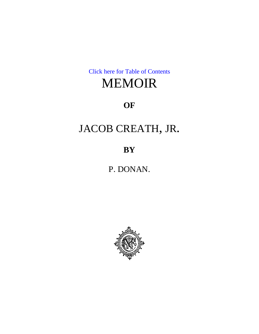[Click here for Table of Contents](#page-1-0)

# MEMOIR

## **OF**

# JACOB CREATH, JR.

**BY**

P. DONAN.

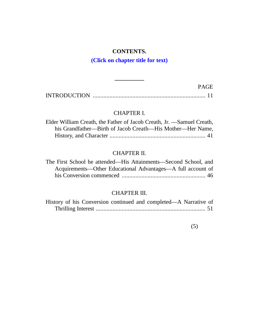## **CONTENTS.**

## **(Click on chapter title for text)**

<span id="page-1-0"></span>

|                     | PAGH. |  |
|---------------------|-------|--|
| <b>INTRODUCTION</b> |       |  |

**\_\_\_\_\_\_\_\_\_\_**

## CHAPTER I.

| Elder William Creath, the Father of Jacob Creath, Jr. —Samuel Creath, |
|-----------------------------------------------------------------------|
| his Grandfather—Birth of Jacob Creath—His Mother—Her Name,            |
|                                                                       |

### CHAPTER II.

| The First School he attended—His Attainments—Second School, and |  |
|-----------------------------------------------------------------|--|
| Acquirements—Other Educational Advantages—A full account of     |  |
|                                                                 |  |

### CHAPTER III.

| History of his Conversion continued and completed—A Narrative of |  |  |  |
|------------------------------------------------------------------|--|--|--|
|                                                                  |  |  |  |

(5)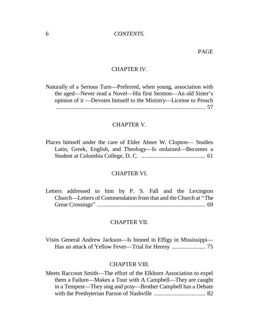#### 6 *CONTENTS.*

#### PAGE

#### CHAPTER IV.

Naturally of a Serious Turn— Preferred, when young, association with the aged— Never read a Novel— His first Sermon— An old Sister's opinion of it — Devotes himself to the Ministry— License to Preach [..................................................................................................](#page-51-0) 57

#### CHAPTER V.

Places himself under the care of Elder Abner W. Clopton— Studies Latin, Greek, English, and Theology—Is ordained—Becomes a [Student at Columbia College, D. C. ..........................................](#page-55-0) 61

#### CHAPTER VI.

[Letters addressed to him by P. S. Fall and the Lexington](#page-63-0) Church— Letters of Commendation from that and the Church at "The Great Crossings" ....................................................................... 69

#### CHAPTER VII.

Visits General Andrew Jackson— Is binned in Effigy in Mississippi— [Has an attack of Yellow Fever—](#page-69-0) Trial for Heresy ...................... 75

#### CHAPTER VIII.

Meets Raccoon Smith— [The effort of the Elkhorn Association to expel](#page-76-0) them a Failure— Makes a Tour with A Campbell— They are caught in a Tempest— They sing and pray— Brother Campbell has a Debate with the Presbyterian Parson of Nashville .................................. 82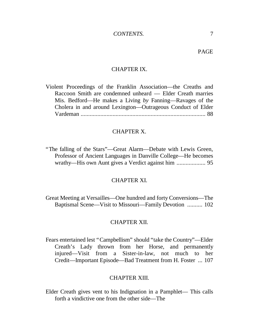#### PAGE

#### CHAPTER IX.

Violent Proceedings of the Franklin Association— the Creaths and Raccoon Smith are condemned unheard — Elder Creath marries Mis. Bedford— He makes a Living *by* Fanning— Ravages of the Cholera in and around Lexington— Outrageous Conduct of Elder Vardeman [..................................................................................](#page-82-0) 88

#### CHAPTER X.

"The falling of the Stars"— Great Alarm— Debate with Lewis Green, Professor of Ancient Languages in Danville College— He becomes wrathy— [His own Aunt gives a Verdict against him](#page-89-0) ................... 95

#### CHAPTER XI.

Great Meeting at Versailles— One hundred and forty Conversions— The Baptismal Scene— [Visit to Missouri—](#page-96-0) Family Devotion .......... 102

#### CHAPTER XII.

Fears entertained lest "Campbellism"should "take the Country"— Elder Creath's Lady thrown from her Horse, and permanently injured— [Visit from a Sister-in-law, not much to her](#page-101-0) Credit— Important Episode— Bad Treatment from H. Foster ... 107

#### CHAPTER XIII.

Elder Creath [gives vent to his Indignation in a Pamphlet— This calls](#page-108-0) forth a vindictive one from the other side— The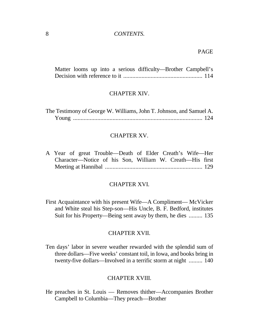#### 8 *CONTENTS.*

#### PAGE

Matter [looms up into a serious difficulty—](#page-108-0) Brother Campbell's Decision with reference to it .................................................... 114

#### CHAPTER XIV.

The Testimony of George W. Williams, John T. Johnson, and Samuel A. Young [.....................................................................................](#page-118-0) 124

#### CHAPTER XV.

A Year of great Trouble— Death of Elder Creath's Wife— Her Character— [Notice of his Son, William W. Creath—](#page-123-0) His first Meeting at Hannibal ................................................................ 129

#### CHAPTER XVI.

First Acquaintance with his present Wife— A Compliment— McVicker and White steal his Step-son— [His Uncle, B. F. Bedford, institutes](#page-129-0) Suit for his Property— Being sent away by them, he dies ......... 135

#### CHAPTER XVII.

Ten days'labor in severe weather rewarded with the splendid sum of three dollars— Five weeks'constant toil, in Iowa, and books bring in twenty-five dollars— [Involved in a terrific storm at night](#page-134-0) ......... 140

#### CHAPTER XVIII.

He [preaches in St. Louis — Removes thither—](#page-138-0) Accompanies Brother Campbell to Columbia— They preach— Brother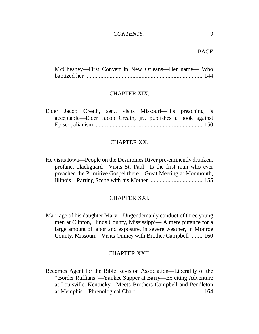#### *CONTENTS.* 9

PAGE

McChesney— First Convert in New Orleans— Her name— Who baptized her [.............................................................................](#page-138-0) 144

#### CHAPTER XIX.

Elder Jacob Creath, sen., visits Missouri— His preaching is acceptable— Elder Jacob Creath, jr., publishes a book against Episcopalianism [......................................................................](#page-144-0) 150

#### CHAPTER XX.

He visits Iowa— People on the Desmoines River pre-eminently drunken, profane, blackguard— Visits St. Paul— Is the first man who ever [preached the Primitive Gospel there—](#page-149-0) Great Meeting at Monmouth, Illinois— Parting Scene with his Mother .................................. 155

#### CHAPTER XXI.

Marriage of his daughter Mary— Ungentlemanly conduct of three young [men at Clinton, Hinds County, Mississippi— A mere pittance for a](#page-154-0) large amount of labor and exposure, in severe weather, in Monroe County, Missouri— Visits Quincy with Brother Campbell ........ 160

#### CHAPTER XXII.

Becomes Agent for the Bible Revision Association— Liberality of the "Border Ruffians"— Yankee Supper at Barry— Ex citing Adventure at Louisville, Kentucky— Meets Brothers Campbell and Pendleton at Memphis— Phrenological Chart [...........................................](#page-158-0) 164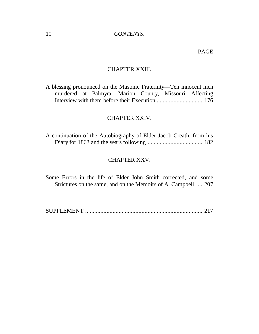#### PAGE

#### CHAPTER XXIII.

A blessing pronounced on the Masonic Fraternity— Ten innocent men murdered at Palmyra, Marion County, Missouri— Affecting [Interview with them before their Execution](#page-170-0) .............................. 176

#### CHAPTER XXIV.

[A continuation of the Autobiography of Elder Jacob Creath, from his](#page-176-0) Diary for 1862 and the years following .................................... 182

#### CHAPTER XXV.

Some Errors in the life of Elder John Smith corrected, and some [Strictures on the same, and on the Memoirs of A. Campbell](#page-201-0) .... 207

SUPPLEMENT [.............................................................................](#page-210-0) 217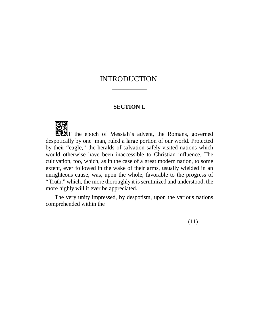## <span id="page-7-0"></span>INTRODUCTION.

——————

#### **SECTION I.**



T the epoch of Messiah's advent, the Romans, governed despotically by one man, ruled a large portion of our world. Protected by their "eagle," the heralds of salvation safely visited nations which would otherwise have been inaccessible to Christian influence. The cultivation, too, which, as in the case of a great modern nation, to some extent, ever followed in the wake of their arms, usually wielded in an unrighteous cause, was, upon the whole, favorable to the progress of "Truth,"which, the more thoroughly it is scrutinized and understood, the more highly will it ever be appreciated.

The very unity impressed, by despotism, upon the various nations comprehended within the

(11)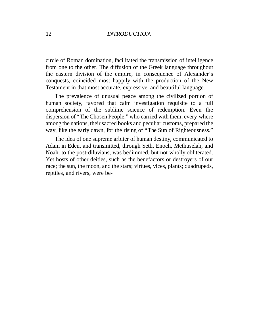circle of Roman domination, facilitated the transmission of intelligence from one to the other. The diffusion of the Greek language throughout the eastern division of the empire, in consequence of Alexander's conquests, coincided most happily with the production of the New Testament in that most accurate, expressive, and beautiful language.

The prevalence of unusual peace among the civilized portion of human society, favored that calm investigation requisite to a full comprehension of the sublime science of redemption. Even the dispersion of "The Chosen People,"who carried with them, every-where among the nations, their sacred books and peculiar customs, prepared the way, like the early dawn, for the rising of "The Sun of Righteousness."

The idea of one supreme arbiter of human destiny, communicated to Adam in Eden, and transmitted, through Seth, Enoch, Methuselah, and Noah, to the post-diluvians, was bedimmed, but not wholly obliterated. Yet hosts of other deities, such as the benefactors or destroyers of our race; the sun, the moon, and the stars; virtues, vices, plants; quadrupeds, reptiles, and rivers, were be-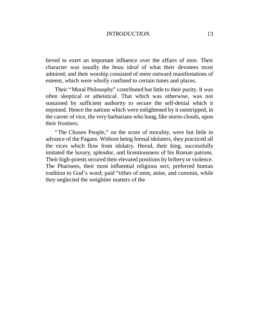lieved to exert an important influence over the affairs of men. Their character was usually the *beau ideal* of what their devotees most admired; and their worship consisted of mere outward manifestations of esteem, which were wholly confined to certain times and places.

Their "Moral Philosophy"contributed but little to their purity. It was often skeptical or atheistical. That which was otherwise, was not sustained by sufficient authority to secure the self-denial which it enjoined. Hence the nations which were enlightened by it outstripped, in the career of vice, the very barbarians who hung, like storm-clouds, upon their frontiers.

"The Chosen People," on the score of morality, were but little in advance of the Pagans. Without being formal idolaters, they practiced all the vices which flow from idolatry. Herod, their king, successfully imitated the luxury, splendor, and licentiousness of his Roman patrons. Their high-priests secured their elevated positions by bribery or violence. The Pharisees, their most influential religious sect, preferred human tradition to God's word; paid "tithes of mint, anise, and cummin, while they neglected the weightier matters of the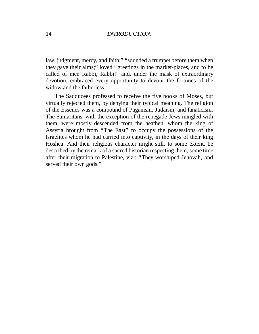law, judgment, mercy, and faith;" "sounded a trumpet before them when they gave their alms;" loved "greetings in the market-places, and to be called of men Rabbi, Rabbi!" and, under the mask of extraordinary devotion, embraced every opportunity to devour the fortunes of the widow and the fatherless.

The Sadducees professed to receive the five books of Moses, but virtually rejected them, by denying their typical meaning. The religion of the Essenes was a compound of Paganism, Judaism, and fanaticism. The Samaritans, with the exception of the renegade Jews mingled with them, were mostly descended from the heathen, whom the king of Assyria brought from "The East" to occupy the possessions of the Israelites whom he had carried into captivity, in the days of their king Hoshea. And their religious character might still, to some extent, be described by the remark of a sacred historian respecting them, some time after their migration to Palestine, viz.: "They worshiped Jehovah, and served their own gods."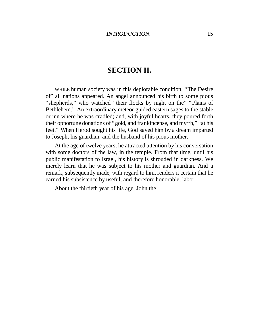## **SECTION II.**

WHILE human society was in this deplorable condition, "The Desire of" all nations appeared. An angel announced his birth to some pious "shepherds," who watched "their flocks by night on the" "Plains of Bethlehem." An extraordinary meteor guided eastern sages to the stable or inn where he was cradled; and, with joyful hearts, they poured forth their opportune donations of "gold, and frankincense, and myrrh,""at his feet." When Herod sought his life, God saved him by a dream imparted to Joseph, his guardian, and the husband of his pious mother.

At the age of twelve years, he attracted attention by his conversation with some doctors of the law, in the temple. From that time, until his public manifestation to Israel, his history is shrouded in darkness. We merely learn that he was subject to his mother and guardian. And a remark, subsequently made, with regard to him, renders it certain that he earned his subsistence by useful, and therefore honorable, labor.

About the thirtieth year of his age, John the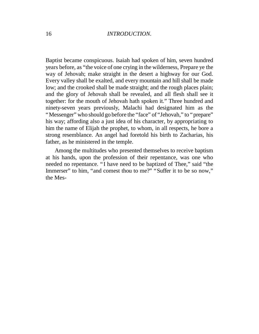Baptist became conspicuous. Isaiah had spoken of him, seven hundred years before, as "the voice of one crying in the wilderness, Prepare ye the way of Jehovah; make straight in the desert a highway for our God. Every valley shall be exalted, and every mountain and hill shall be made low; and the crooked shall be made straight; and the rough places plain; and the glory of Jehovah shall be revealed, and all flesh shall see it together: for the mouth of Jehovah hath spoken it." Three hundred and ninety-seven years previously, Malachi had designated him as the "Messenger" who should go before the "face" of "Jehovah," to "prepare" his way; affording also a just idea of his character, by appropriating to him the name of Elijah the prophet, to whom, in all respects, he bore a strong resemblance. An angel had foretold his birth to Zacharias, his father, as he ministered in the temple.

Among the multitudes who presented themselves to receive baptism at his hands, upon the profession of their repentance, was one who needed no repentance. "I have need to be baptized of Thee," said "the Immerser" to him, "and comest thou to me?" "Suffer it to be so now," the Mes-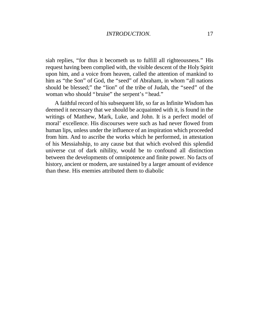siah replies, "for thus it becometh us to fulfill all righteousness." His request having been complied with, the visible descent of the Holy Spirit upon him, and a voice from heaven, called the attention of mankind to him as "the Son" of God, the "seed" of Abraham, in whom "all nations" should be blessed;" the "lion" of the tribe of Judah, the "seed" of the woman who should "bruise" the serpent's "head."

A faithful record of his subsequent life, so far as Infinite Wisdom has deemed it necessary that we should be acquainted with it, is found in the writings of Matthew, Mark, Luke, and John. It is a perfect model of moral'excellence. His discourses were such as had never flowed from human lips, unless under the influence of an inspiration which proceeded from him. And to ascribe the works which he performed, in attestation of his Messiahship, to any cause but that which evolved this splendid universe cut of dark nihility, would be to confound all distinction between the developments of omnipotence and finite power. No facts of history, ancient or modern, are sustained by a larger amount of evidence than these. His enemies attributed them to diabolic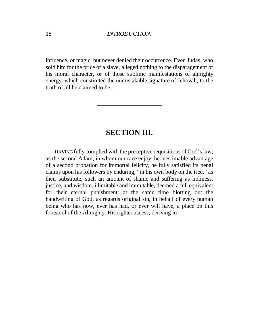influence, or magic, but never denied their occurrence. Even Judas, who sold him for the price of a slave, alleged nothing to the disparagement of his moral character, or of those sublime manifestations of almighty energy, which constituted the unmistakable signature of Jehovah, to the truth of all he claimed to be.

## **SECTION III.**

———————————

HAVING fully complied with the preceptive requisitions of God's law, as the second Adam, in whom our race enjoy the inestimable advantage of a second probation for immortal felicity, he fully satisfied its penal claims upon his followers by enduring, "in his own body on the tree,"as their substitute, such an amount of shame and suffering as holiness, justice, and wisdom, illimitable and immutable, deemed a full equivalent for their eternal punishment: at the same time blotting out the handwriting of God, as regards original sin, in behalf of every human being who has now, ever has had, or ever will have, a place on this footstool of the Almighty. His righteousness, deriving in-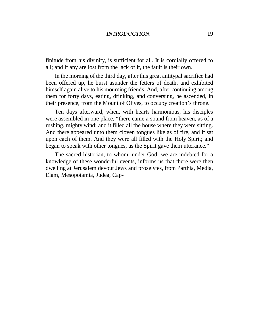#### *INTRODUCTION.* 19

finitude from his divinity, is sufficient for all. It is cordially offered to all; and if any are lost from the lack of it, the fault is their own.

In the morning of the third day, after this great antitypal sacrifice had been offered up, he burst asunder the fetters of death, and exhibited himself again alive to his mourning friends. And, after continuing among them for forty days, eating, drinking, and conversing, he ascended, in their presence, from the Mount of Olives, to occupy creation's throne.

Ten days afterward, when, with hearts harmonious, his disciples were assembled in one place, "there came a sound from heaven, as of a rushing, mighty wind; and it filled all the house where they were sitting. And there appeared unto them cloven tongues like as of fire, and it sat upon each of them. And they were all filled with the Holy Spirit; and began to speak with other tongues, as the Spirit gave them utterance."

The sacred historian, to whom, under God, we are indebted for a knowledge of these wonderful events, informs us that there were then dwelling at Jerusalem devout Jews and proselytes, from Parthia, Media, Elam, Mesopotamia, Judea, Cap-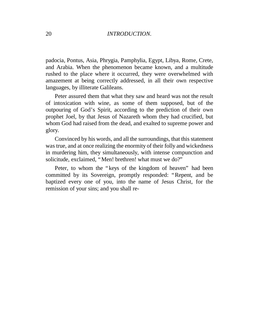padocia, Pontus, Asia, Phrygia, Pamphylia, Egypt, Libya, Rome, Crete, and Arabia. When the phenomenon became known, and a multitude rushed to the place where it occurred, they were overwhelmed with amazement at being correctly addressed, in all their own respective languages, by illiterate Galileans.

Peter assured them that what they saw and heard was not the result of intoxication with wine, as some of them supposed, but of the outpouring of God's Spirit, according to the prediction of their own prophet Joel, by that Jesus of Nazareth whom they had crucified, but whom God had raised from the dead, and exalted to supreme power and glory.

Convinced by his words, and all the surroundings, that this statement was true, and at once realizing the enormity of their folly and wickedness in murdering him, they simultaneously, with intense compunction and solicitude, exclaimed, "Men! brethren! what must we do?"

Peter, to whom the "keys of the kingdom of heaven" had been committed by its Sovereign, promptly responded: "Repent, and be baptized every one of you, into the name of Jesus Christ, for the remission of your sins; and you shall re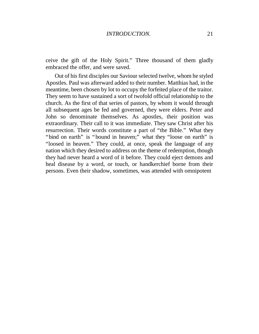ceive the gift of the Holy Spirit." Three thousand of them gladly embraced the offer, and were saved.

Out of his first disciples our Saviour selected twelve, whom he styled Apostles. Paul was afterward added to their number. Matthias had, in the meantime, been chosen by lot to occupy the forfeited place of the traitor. They seem to have sustained a sort of twofold official relationship to the church. As the first of that series of pastors, by whom it would through all subsequent ages be fed and governed, they were elders. Peter and John so denominate themselves. As apostles, their position was extraordinary. Their call to it was immediate. They saw Christ after his resurrection. Their words constitute a part of "the Bible." What they "bind on earth" is "bound in heaven;" what they "loose on earth" is "loosed in heaven." They could, at once, speak the language of any nation which they desired to address on the theme of redemption, though they had never heard a word of it before. They could eject demons and heal disease by a word, or touch, or handkerchief borne from their persons. Even their shadow, sometimes, was attended with omnipotent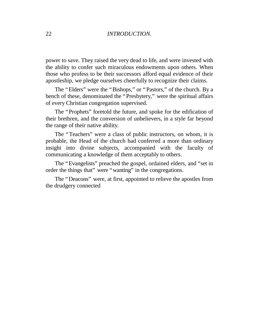power to save. They raised the very dead to life, and were invested with the ability to confer such miraculous endowments upon others. When those who profess to be their successors afford equal evidence of their apostleship, we pledge ourselves cheerfully to recognize their claims.

The "Elders" were the "Bishops," or "Pastors," of the church. By a bench of these, denominated the "Presbytery," were the spiritual affairs of every Christian congregation supervised.

The "Prophets" foretold the future, and spoke for the edification of their brethren, and the conversion of unbelievers, in a style far beyond the range of their native ability.

The "Teachers" were a class of public instructors, on whom, it is probable, the Head of the church had conferred a more than ordinary insight into divine subjects, accompanied with the faculty of communicating a knowledge of them acceptably to others.

The "Evangelists" preached the gospel, ordained elders, and "set in order the things that" were "wanting" in the congregations.

The "Deacons" were, at first, appointed to relieve the apostles from the drudgery connected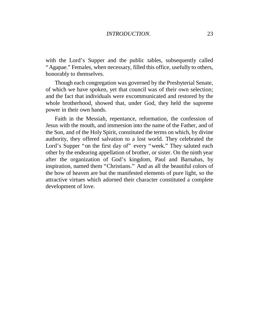with the Lord's Supper and the public tables, subsequently called "Agapae." Females, when necessary, filled this office, usefully to others, honorably to themselves.

Though each congregation was governed by the Presbyterial Senate, of which we have spoken, yet that council was of their own selection; and the fact that individuals were excommunicated and restored by the whole brotherhood, showed that, under God, they held the supreme power in their own hands.

Faith in the Messiah, repentance, reformation, the confession of Jesus with the mouth, and immersion into the name of the Father, and of the Son, and of the Holy Spirit, constituted the terms on which, by divine authority, they offered salvation to a lost world. They celebrated the Lord's Supper "on the first day of" every "week." They saluted each other by the endearing appellation of brother, or sister. On the ninth year after the organization of God's kingdom, Paul and Barnabas, by inspiration, named them "Christians." And as all the beautiful colors of the bow of heaven are but the manifested elements of pure light, so the attractive virtues which adorned their character constituted a complete development of love.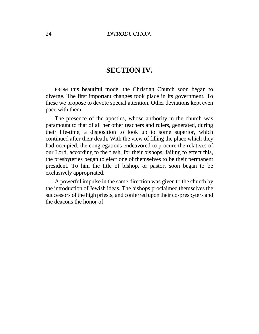## **SECTION IV.**

FROM this beautiful model the Christian Church soon began to diverge. The first important changes took place in its government. To these we propose to devote special attention. Other deviations kept even pace with them.

The presence of the apostles, whose authority in the church was paramount to that of all her other teachers and rulers, generated, during their life-time, a disposition to look up to some superior, which continued after their death. With the view of filling the place which they had occupied, the congregations endeavored to procure the relatives of our Lord, according to the flesh, for their bishops; failing to effect this, the presbyteries began to elect one of themselves to be their permanent president. To him the title of bishop, or pastor, soon began to be exclusively appropriated.

A powerful impulse in the same direction was given to the church by the introduction of Jewish ideas. The bishops proclaimed themselves the successors of the high priests, and conferred upon their co-presbyters and the deacons the honor of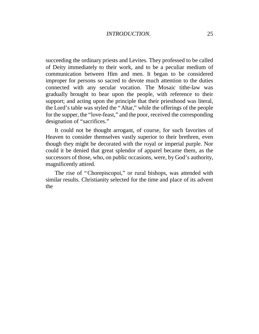succeeding the ordinary priests and Levites. They professed to be called of Deity immediately to their work, and to be a peculiar medium of communication between Him and men. It began to be considered improper for persons so sacred to devote much attention to the duties connected with any secular vocation. The Mosaic tithe-law was gradually brought to bear upon the people, with reference to their support; and acting upon the principle that their priesthood was literal, the Lord's table was styled the "Altar,"while the offerings of the people for the supper, the "love-feast,"and the poor, received the corresponding designation of "sacrifices."

It could not be thought arrogant, of course, for such favorites of Heaven to consider themselves vastly superior to their brethren, even though they might be decorated with the royal or imperial purple. Nor could it be denied that great splendor of apparel became them, as the successors of those, who, on public occasions, were, by God's authority, magnificently attired.

The rise of "Chorepiscopoi," or rural bishops, was attended with similar results. Christianity selected for the time and place of its advent the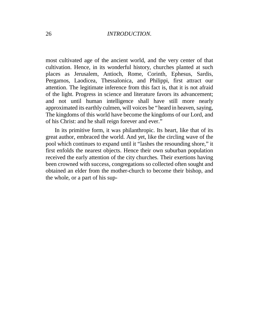most cultivated age of the ancient world, and the very center of that cultivation. Hence, in its wonderful history, churches planted at such places as Jerusalem, Antioch, Rome, Corinth, Ephesus, Sardis, Pergamos, Laodicea, Thessalonica, and Philippi, first attract our attention. The legitimate inference from this fact is, that it is not afraid of the light. Progress in science and literature favors its advancement; and not until human intelligence shall have still more nearly approximated its earthly culmen, will voices be "heard in heaven, saying, The kingdoms of this world have become the kingdoms of our Lord, and of his Christ: and he shall reign forever and ever."

In its primitive form, it was philanthropic. Its heart, like that of its great author, embraced the world. And yet, like the circling wave of the pool which continues to expand until it "lashes the resounding shore,"it first enfolds the nearest objects. Hence their own suburban population received the early attention of the city churches. Their exertions having been crowned with success, congregations so collected often sought and obtained an elder from the mother-church to become their bishop, and the whole, or a part of his sup-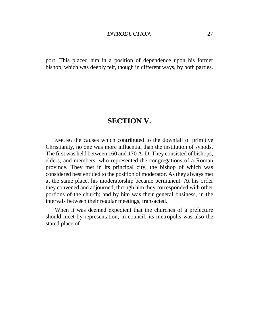port. This placed him in a position of dependence upon his former bishop, which was deeply felt, though in different ways, by both parties.

## **SECTION V.**

 $\overline{\phantom{a}}$ 

AMONG the causes which contributed to the downfall of primitive Christianity, no one was more influential than the institution of synods. The first was held between 160 and 170 A. D. They consisted of bishops, elders, and members, who represented the congregations of a Roman province. They met in its principal city, the bishop of which was considered best entitled to the position of moderator. As they always met at the same place, his moderatorship became permanent. At his order they convened and adjourned; through him they corresponded with other portions of the church; and by him was their general business, in the intervals between their regular meetings, transacted.

When it was deemed expedient that the churches of a prefecture should meet by representation, in council, its metropolis was also the stated place of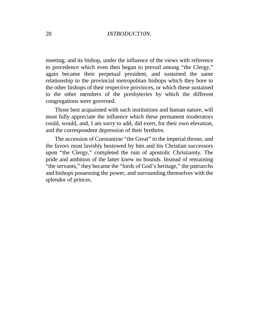meeting; and its bishop, under the influence of the views with reference to precedence which even then began to prevail among "the Clergy," again became their perpetual president, and sustained the same relationship to the provincial metropolitan bishops which they bore to the other bishops of their respective provinces, or which these sustained to the other members of the presbyteries by which the different congregations were governed.

Those best acquainted with such institutions and human nature, will most fully appreciate the influence which these permanent moderators could, would, and, I am sorry to add, did exert, for their own elevation, and the correspondent depression of their brethren.

The accession of Constantine "the Great" to the imperial throne, and the favors most lavishly bestowed by him and his Christian successors upon "the Clergy," completed the ruin of apostolic Christianity. The pride and ambition of the latter knew no bounds. Instead of remaining "the servants," they became the "lords of God's heritage," the patriarchs and bishops possessing the power, and surrounding themselves with the splendor of princes.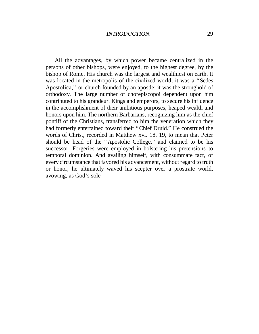All the advantages, by which power became centralized in the persons of other bishops, were enjoyed, to the highest degree, by the bishop of Rome. His church was the largest and wealthiest on earth. It was located in the metropolis of the civilized world; it was a "Sedes Apostolica," or church founded by an apostle; it was the stronghold of orthodoxy. The large number of chorepiscopoi dependent upon him contributed to his grandeur. Kings and emperors, to secure his influence in the accomplishment of their ambitious purposes, heaped wealth and honors upon him. The northern Barbarians, recognizing him as the chief pontiff of the Christians, transferred to him the veneration which they had formerly entertained toward their "Chief Druid." He construed the words of Christ, recorded in Matthew xvi. 18, 19, to mean that Peter should be head of the "Apostolic College," and claimed to be his successor. Forgeries were employed in bolstering his pretensions to temporal dominion. And availing himself, with consummate tact, of every circumstance that favored his advancement, without regard to truth or honor, he ultimately waved his scepter over a prostrate world, avowing, as God's sole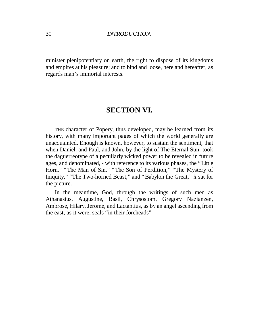minister plenipotentiary on earth, the right to dispose of its kingdoms and empires at his pleasure; and to bind and loose, here and hereafter, as regards man's immortal interests.

## **SECTION VI.**

 $\overline{\phantom{a}}$ 

THE character of Popery, thus developed, may be learned from its history, with many important pages of which the world generally are unacquainted. Enough is known, however, to sustain the sentiment, that when Daniel, and Paul, and John, by the light of The Eternal Sun, took the daguerreotype of a peculiarly wicked power to be revealed in future ages, and denominated, - with reference to its various phases, the "Little Horn," "The Man of Sin," "The Son of Perdition," "The Mystery of Iniquity," "The Two-horned Beast," and "Babylon the Great," *it* sat for the picture.

In the meantime, God, through the writings of such men as Athanasius, Augustine, Basil, Chrysostom, Gregory Nazianzen, Ambrose, Hilary, Jerome, and Lactantius, as by an angel ascending from the east, as it were, seals "in their foreheads"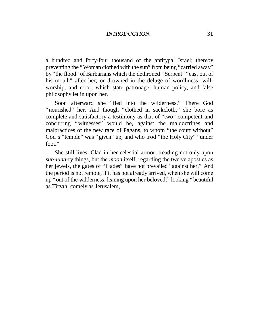a hundred and forty-four thousand of the antitypal Israel; thereby preventing the "Woman clothed with the sun" from being "carried away" by "the flood" of Barbarians which the dethroned "Serpent" "cast out of his mouth" after her; or drowned in the deluge of wordliness, willworship, and error, which state patronage, human policy, and false philosophy let in upon her.

Soon afterward she "fled into the wilderness." There God "nourished" her. And though "clothed in sackcloth," she bore as complete and satisfactory a testimony as that of "two" competent and concurring "witnesses" would be, against the maldoctrines and malpractices of the new race of Pagans, to whom "the court without" God's "temple" was "given" up, and who trod "the Holy City" "under foot."

She still lives. Clad in her celestial armor, treading not only upon *sub-luna-*ry things, but the *moon* itself, regarding the twelve apostles as her jewels, the gates of "Hades" have not prevailed "against her." And the period is not remote, if it has not already arrived, when she will come up "out of the wilderness, leaning upon her beloved,"looking "beautiful as Tirzah, comely as Jerusalem,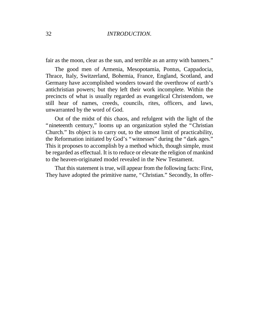fair as the moon, clear as the sun, and terrible as an army with banners."

The good men of Armenia, Mesopotamia, Pontus, Cappadocia, Thrace, Italy, Switzerland, Bohemia, France, England, Scotland, and Germany have accomplished wonders toward the overthrow of earth's antichristian powers; but they left their work incomplete. Within the precincts of what is usually regarded as evangelical Christendom, we still hear of names, creeds, councils, rites, officers, and laws, unwarranted by the word of God.

Out of the midst of this chaos, and refulgent with the light of the "nineteenth century," looms up an organization styled the "Christian Church." Its object is to carry out, to the utmost limit of practicability, the Reformation initiated by God's "witnesses" during the "dark ages." This it proposes to accomplish by a method which, though simple, must be regarded as effectual. It is to reduce or elevate the religion of mankind to the heaven-originated model revealed in the New Testament.

That this statement is true, will appear from the following facts: First, They have adopted the primitive name, "Christian." Secondly, In offer-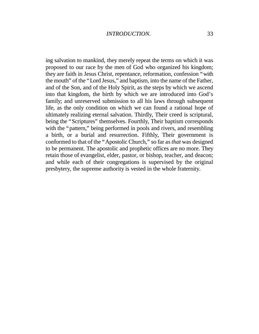ing salvation to mankind, they merely repeat the terms on which it was proposed to our race by the men of God who organized his kingdom; they are faith in Jesus Christ, repentance, reformation, confession "with the mouth" of the "Lord Jesus," and baptism, into the name of the Father, and of the Son, and of the Holy Spirit, as the steps by which we ascend into that kingdom, the birth by which we are introduced into God's family; and unreserved submission to all his laws through subsequent life, as the only condition on which we can found a rational hope of ultimately realizing eternal salvation. Thirdly, Their creed is scriptural, being the "Scriptures" themselves. Fourthly, Their baptism corresponds with the "pattern," being performed in pools and rivers, and resembling a birth, or a burial and resurrection. Fifthly, Their government is conformed to that of the "Apostolic Church,"so far as *that* was designed to be permanent. The apostolic and prophetic offices are no more. They retain those of evangelist, elder, pastor, or bishop, teacher, and deacon; and while each of their congregations is supervised by the original presbytery, the supreme authority is vested in the whole fraternity.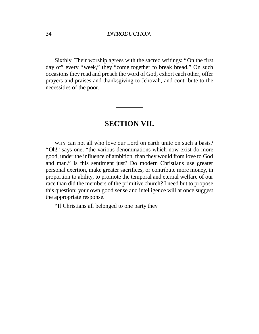Sixthly, Their worship agrees with the sacred writings: "On the first day of" every "week," they "come together to break bread." On such occasions they read and preach the word of God, exhort each other, offer prayers and praises and thanksgiving to Jehovah, and contribute to the necessities of the poor.

## **SECTION VII.**

\_\_\_\_\_\_\_\_\_

WHY can not all who love our Lord on earth unite on such a basis? "Oh!" says one, "the various denominations which now exist do more good, under the influence of ambition, than they would from love to God and man." Is this sentiment just? Do modern Christians use greater personal exertion, make greater sacrifices, or contribute more money, in proportion to ability, to promote the temporal and eternal welfare of our race than did the members of the primitive church? I need but to propose this question; your own good sense and intelligence will at once suggest the appropriate response.

"If Christians all belonged to one party they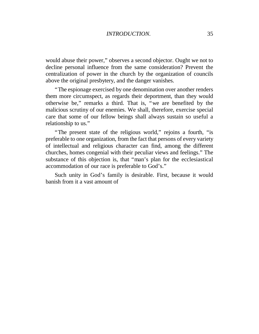would abuse their power," observes a second objector. Ought we not to decline personal influence from the same consideration? Prevent the centralization of power in the church by the organization of councils above the original presbytery, and the danger vanishes.

"The espionage exercised by one denomination over another renders them more circumspect, as regards their deportment, than they would otherwise be," remarks a third. That is, "we are benefited by the malicious scrutiny of our enemies. We shall, therefore, exercise special care that some of our fellow beings shall always sustain so useful a relationship to us."

"The present state of the religious world," rejoins a fourth, "is preferable to one organization, from the fact that persons of every variety of intellectual and religious character can find, among the different churches, homes congenial with their peculiar views and feelings." The substance of this objection is, that "man's plan for the ecclesiastical accommodation of our race is preferable to God's."

Such unity in God's family is desirable. First, because it would banish from it a vast amount of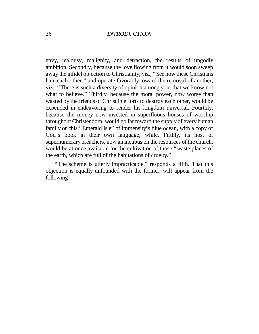envy, jealousy, malignity, and detraction, the results of ungodly ambition. Secondly, because the love flowing from it would soon sweep away the infidel objection to Christianity; viz., "See how these Christians hate each other;" and operate favorably toward the removal of another, viz., "There is such a diversity of opinion among you, that we know not what to believe." Thirdly, because the moral power, now worse than wasted by the friends of Christ in efforts to destroy each other, would be expended in endeavoring to render his kingdom universal. Fourthly, because the money now invested in superfluous houses of worship throughout Christendom, would go far toward the supply of every human family on this "Emerald Isle" of immensity's blue ocean, with a copy of God's book in their own language; while, Fifthly, its host of supernumerary preachers, now an incubus on the resources of the church, would be at once available for the cultivation of those "waste places of the earth, which are full of the habitations of cruelty."

"The scheme is utterly impracticable," responds a fifth. That this objection is equally unfounded with the former, will appear from the following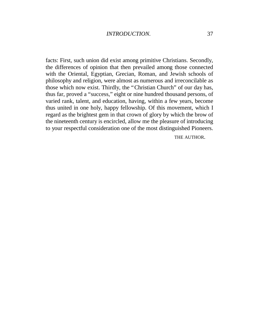facts: First, such union did exist among primitive Christians. Secondly, the differences of opinion that then prevailed among those connected with the Oriental, Egyptian, Grecian, Roman, and Jewish schools of philosophy and religion, were almost as numerous and irreconcilable as those which now exist. Thirdly, the "Christian Church" of our day has, thus far, proved a "success,"eight or nine hundred thousand persons, of varied rank, talent, and education, having, within a few years, become thus united in one holy, happy fellowship. Of this movement, which I regard as the brightest gem in that crown of glory by which the brow of the nineteenth century is encircled, allow me the pleasure of introducing to your respectful consideration one of the most distinguished Pioneers.

THE AUTHOR.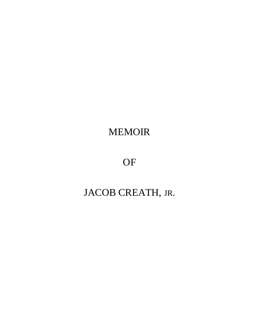## MEMOIR

## OF

# JACOB CREATH, JR.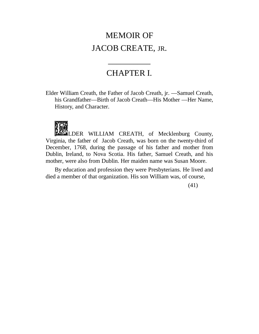## <span id="page-35-0"></span>MEMOIR OF JACOB CREATE, JR.

## CHAPTER I.

 $\frac{1}{2}$ 

Elder William Creath, the Father of Jacob Creath, jr. — Samuel Creath, his Grandfather— Birth of Jacob Creath— His Mother — Her Name, History, and Character.



LDER WILLIAM CREATH, of Mecklenburg County, Virginia, the father of Jacob Creath, was born on the twenty-third of December, 1768, during the passage of his father and mother from Dublin, Ireland, to Nova Scotia. His father, Samuel Creath, and his mother, were also from Dublin. Her maiden name was Susan Moore.

By education and profession they were Presbyterians. He lived and died a member of that organization. His son William was, of course,

(41)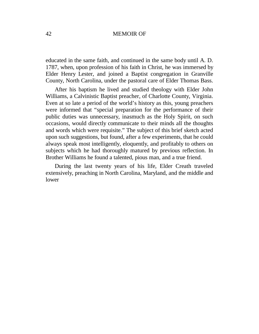educated in the same faith, and continued in the same body until A. D. 1787, when, upon profession of his faith in Christ, he was immersed by Elder Henry Lester, and joined a Baptist congregation in Granville County, North Carolina, under the pastoral care of Elder Thomas Bass.

After his baptism he lived and studied theology with Elder John Williams, a Calvinistic Baptist preacher, of Charlotte County, Virginia. Even at so late a period of the world's history as this, young preachers were informed that "special preparation for the performance of their public duties was unnecessary, inasmuch as the Holy Spirit, on such occasions, would directly communicate to their minds all the thoughts and words which were requisite." The subject of this brief sketch acted upon such suggestions, but found, after a few experiments, that he could always speak most intelligently, eloquently, and profitably to others on subjects which he had thoroughly matured by previous reflection. In Brother Williams he found a talented, pious man, and a true friend.

During the last twenty years of his life, Elder Creath traveled extensively, preaching in North Carolina, Maryland, and the middle and lower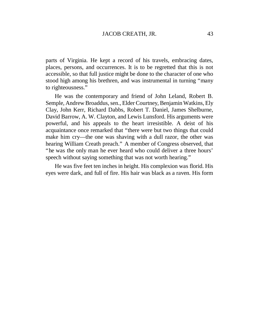parts of Virginia. He kept a record of his travels, embracing dates, places, persons, and occurrences. It is to be regretted that this is not accessible, so that full justice might be done to the character of one who stood high among his brethren, and was instrumental in turning "many to righteousness."

He was the contemporary and friend of John Leland, Robert B. Semple, Andrew Broaddus, sen., Elder Courtney, Benjamin Watkins, Ely Clay, John Kerr, Richard Dabbs, Robert T. Daniel, James Shelburne, David Barrow, A. W. Clayton, and Lewis Lunsford. His arguments were powerful, and his appeals to the heart irresistible. A deist of his acquaintance once remarked that "there were but two things that could make him cry— the one was shaving with a dull razor, the other was hearing William Creath preach." A member of Congress observed, that "he was the only man he ever heard who could deliver a three hours' speech without saying something that was not worth hearing."

He was five feet ten inches in height. His complexion was florid. His eyes were dark, and full of fire. His hair was black as a raven. His form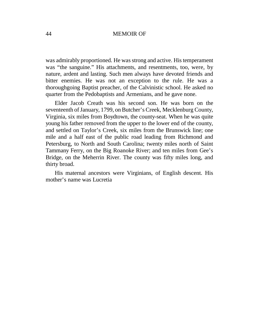was admirably proportioned. He was strong and active. His temperament was "the sanguine." His attachments, and resentments, too, were, by nature, ardent and lasting. Such men always have devoted friends and bitter enemies. He was not an exception to the rule. He was a thoroughgoing Baptist preacher, of the Calvinistic school. He asked no quarter from the Pedobaptists and Armenians, and he gave none.

Elder Jacob Creath was his second son. He was born on the seventeenth of January, 1799, on Butcher's Creek, Mecklenburg County, Virginia, six miles from Boydtown, the county-seat. When he was quite young his father removed from the upper to the lower end of the county, and settled on Taylor's Creek, six miles from the Brunswick line; one mile and a half east of the public road leading from Richmond and Petersburg, to North and South Carolina; twenty miles north of Saint Tammany Ferry, on the Big Roanoke River; and ten miles from Gee's Bridge, on the Meherrin River. The county was fifty miles long, and thirty broad.

His maternal ancestors were Virginians, of English descent. His mother's name was Lucretia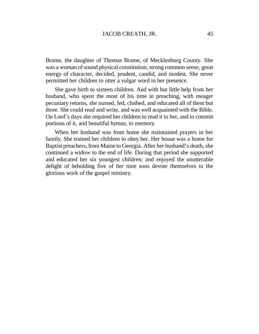Brame, the daughter of Thomas Brame, of Mecklenburg County. She was a woman of sound physical constitution, strong common sense, great energy of character, decided, prudent, candid, and modest. She never permitted her children to utter a vulgar word in her presence.

She gave birth to sixteen children. And with but little help from her husband, who spent the most of his time in preaching, with meager pecuniary returns, she nursed, fed, clothed, and educated all of them but three. She could read and write, and was well acquainted with the Bible. On Lord's days she required her children to read it to her, and to commit portions of it, and beautiful hymns, to memory.

When her husband was from home she maintained prayers in her family. She trained her children to obey her. Her house was a home for Baptist preachers, from Maine to Georgia. After her husband's death, she continued a widow to the end of life. During that period she supported and educated her six youngest children; and enjoyed the unutterable delight of beholding five of her nine sons devote themselves to the glorious work of the gospel ministry.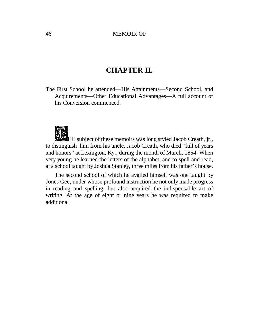# **CHAPTER II.**

The First School he attended— His Attainments— Second School, and Acquirements— Other Educational Advantages— A full account of his Conversion commenced.



HE subject of these memoirs was long styled Jacob Creath, jr., to distinguish him from his uncle, Jacob Creath, who died "full of years and honors"at Lexington, Ky., during the month of March, 1854. When very young he learned the letters of the alphabet, and to spell and read, at a school taught by Joshua Stanley, three miles from his father's house.

The second school of which he availed himself was one taught by Jones Gee, under whose profound instruction he not only made progress in reading and spelling, but also acquired the indispensable art of writing. At the age of eight or nine years he was required to make additional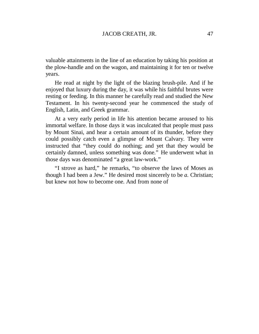valuable attainments in the line of an education by taking his position at the plow-handle and on the wagon, and maintaining it for ten or twelve years.

He read at night by the light of the blazing brush-pile. And if he enjoyed that luxury during the day, it was while his faithful brutes were resting or feeding. In this manner he carefully read and studied the New Testament. In his twenty-second year he commenced the study of English, Latin, and Greek grammar.

At a very early period in life his attention became aroused to his immortal welfare. In those days it was inculcated that people must pass by Mount Sinai, and hear a certain amount of its thunder, before they could possibly catch even a glimpse of Mount Calvary. They were instructed that "they could do nothing; and yet that they would be certainly damned, unless something was done." He underwent what in those days was denominated "a great law-work."

"I strove as hard," he remarks, "to observe the laws of Moses as though I had been a Jew." He desired most sincerely to be *a.* Christian; but knew not how to become one. And from none of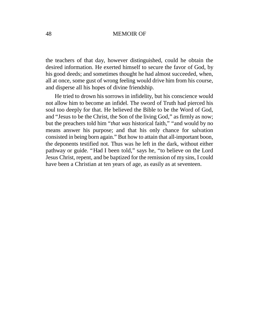the teachers of that day, however distinguished, could he obtain the desired information. He exerted himself to secure the favor of God, by his good deeds; and sometimes thought he had almost succeeded, when, all at once, some gust of wrong feeling would drive him from his course, and disperse all his hopes of divine friendship.

He tried to drown his sorrows in infidelity, but his conscience would not allow him to become an infidel. The sword of Truth had pierced his soul too deeply for that. He believed the Bible to be the Word of God, and "Jesus to be the Christ, the Son of the living God,"as firmly as now; but the preachers told him "*that was* historical faith," "and would by no means answer his purpose; and that his only chance for salvation consisted in being born again."But how to attain that all-important boon, the deponents testified not. Thus was he left in the dark, without either pathway or guide. "Had I been told," says he, "to believe on the Lord Jesus Christ, repent, and be baptized for the remission of my sins, I could have been a Christian at ten years of age, as easily as at seventeen.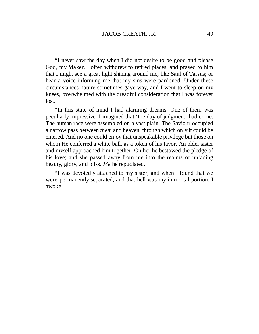"I never saw the day when I did not desire to be good and please God, my Maker. I often withdrew to retired places, and prayed to him that I might see a great light shining around me, like Saul of Tarsus; or hear a voice informing me that my sins were pardoned. Under these circumstances nature sometimes gave way, and I went to sleep on my knees, overwhelmed with the dreadful consideration that I was forever lost.

"In this state of mind I had alarming dreams. One of them was peculiarly impressive. I imagined that 'the day of judgment'had come. The human race were assembled on a vast plain. The Saviour occupied a narrow pass between *them* and heaven, through which only it could be entered. And no one could enjoy that unspeakable privilege but those on whom He conferred a white ball, as a token of his favor. An older sister and myself approached him together. On her he bestowed the pledge of his love; and she passed away from me into the realms of unfading beauty, glory, and bliss. *Me* he repudiated.

"I was devotedly attached to my sister; and when I found that we were permanently separated, and that hell was my immortal portion, I awoke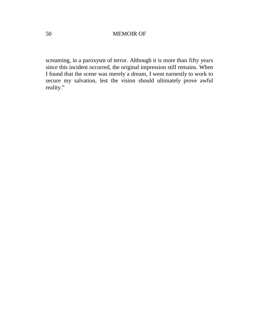screaming, in a paroxysm of terror. Although it is more than fifty years since this incident occurred, the original impression still remains. When I found that the scene was merely a dream, I went earnestly to work to secure my salvation, lest the vision should ultimately prove awful reality."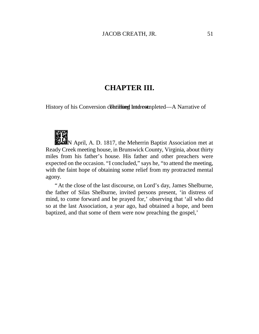## **CHAPTER III.**

History of his Conversion contributed Interest equal and Narrative of



N April, A. D. 1817, the Meherrin Baptist Association met at Ready Creek meeting house, in Brunswick County, Virginia, about thirty miles from his father's house. His father and other preachers were expected on the occasion. "I concluded,"says he, "to attend the meeting, with the faint hope of obtaining some relief from my protracted mental agony.

"At the close of the last discourse, on Lord's day, James Shelburne, the father of Silas Shelburne, invited persons present, 'in distress of mind, to come forward and be prayed for,' observing that 'all who did so at the last Association, a year ago, had obtained a hope, and been baptized, and that some of them were now preaching the gospel,'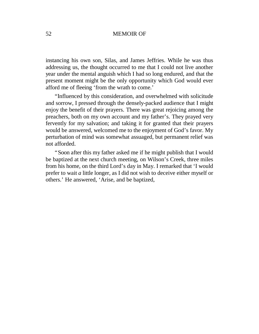instancing his own son, Silas, and James Jeffries. While he was thus addressing us, the thought occurred to me that I could not live another year under the mental anguish which I had so long endured, and that the present moment might be the only opportunity which God would ever afford me of fleeing 'from the wrath to come.'

"Influenced by this consideration, and overwhelmed with solicitude and sorrow, I pressed through the densely-packed audience that I might enjoy the benefit of their prayers. There was great rejoicing among the preachers, both on my own account and my father's. They prayed very fervently for my salvation; and taking it for granted that their prayers would be answered, welcomed me to the enjoyment of God's favor. My perturbation of mind was somewhat assuaged, but permanent relief was not afforded.

"Soon after this my father asked me if he might publish that I would be baptized at the next church meeting, on Wilson's Creek, three miles from his home, on the third Lord's day in May. I remarked that 'I would prefer to wait *a* little longer, as I did not wish to deceive either myself or others.' He answered, 'Arise, and be baptized,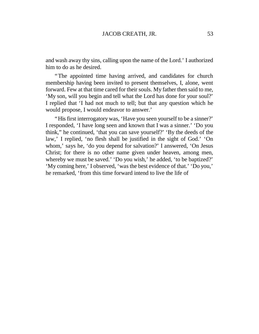and wash away thy sins, calling upon the name of the Lord.'I authorized him to do as he desired.

"The appointed time having arrived, and candidates for church membership having been invited to present themselves, I, alone, went forward. Few at that time cared for their souls. My father then said to me, 'My son, will you begin and tell what the Lord has done for your soul?' I replied that 'I had not much to tell; but that any question which he would propose, I would endeavor to answer.'

"His first interrogatory was, 'Have you seen yourself to be a sinner?' I responded, 'I have long seen and known that I was a sinner.' 'Do you think," he continued, 'that you can save yourself?' 'By the deeds of the law,' I replied, 'no flesh shall be justified in the sight of God.' 'On whom,' says he, 'do you depend for salvation?' I answered, 'On Jesus Christ; for there is no other name given under heaven, among men, whereby we must be saved.' 'Do you wish,' he added, 'to be baptized?' 'My coming here,'I observed, 'was the best evidence of that.''Do you,' he remarked, 'from this time forward intend to live the life of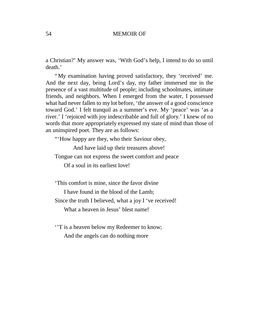a Christian?'My answer was, 'With God's help, I intend to do so until death.'

"My examination having proved satisfactory, they 'received' me. And the next day, being Lord's day, my father immersed me in the presence of a vast multitude of people; including schoolmates, intimate friends, and neighbors. When I emerged from the water, I possessed what had never fallen to my lot before, 'the answer of a good conscience toward God.'I felt tranquil as a summer's eve. My 'peace' was 'as a river.' I 'rejoiced with joy indescribable and full of glory.' I knew of no words that more appropriately expressed my state of mind than those of an uninspired poet. They are as follows:

"'How happy are they, who their Saviour obey,

And have laid up their treasures above!

Tongue can not express the sweet comfort and peace

Of a soul in its earliest love!

'This comfort is mine, since the favor divine

I have found in the blood of the Lamb;

Since the truth I believed, what a joy I 've received!

What a heaven in Jesus' blest name!

''T is a heaven below my Redeemer to know; And the angels can do nothing more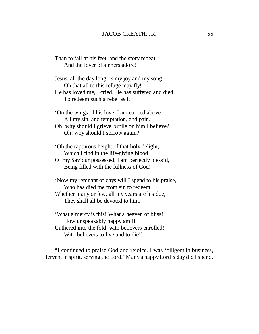Than to fall at his feet, and the story repeat, And the lover of sinners adore!

Jesus, all the day long, is my joy and my song; Oh that all to this refuge may fly! He has loved me, I cried. He has suffered and died To redeem such a rebel as I.

'On the wings of his love, I am carried above All my sin, and temptation, and pain. Oh! why should I grieve, while on him I believe? Oh! why should I sorrow again?

'Oh the rapturous height of that holy delight, Which I find in the life-giving blood! Of my Saviour possessed, I am perfectly bless'd, Being filled with the fullness of God!

'Now my remnant of days will I spend to his praise, Who has died me from sin to redeem.

Whether many or few, all my years are his due; They shall all be devoted to him.

'What a mercy is this! What a heaven of bliss! How unspeakably happy am I! Gathered into the fold, with believers enrolled! With believers to live and to die!'

"I continued to praise God and rejoice. I was 'diligent in business, fervent in spirit, serving the Lord.'Many a happy Lord's day did I spend,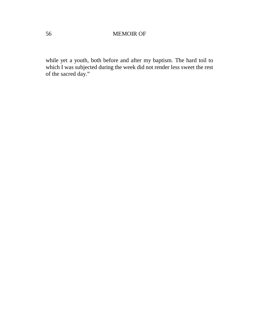while yet a youth, both before and after my baptism. The hard toil to which I was subjected during the week did not render less sweet the rest of the sacred day."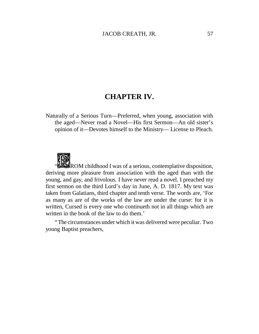# **CHAPTER IV.**

Naturally of a Serious Turn— Preferred, when young, association with the aged— Never read a Novel— His first Sermon— An old sister's opinion of it— Devotes himself to the Ministry— License to Pleach.



 $\mathbb{R}$  ROM childhood I was of a serious, contemplative disposition, deriving more pleasure from association with the aged than with the young, and gay, and frivolous. I have never read a novel. I preached my first sermon on the third Lord's day in June, A. D. 1817. My text was taken from Galatians, third chapter and tenth verse. The words are, 'For as many as are of the works of the law are under the curse: for it is written, Cursed is every one who continueth not in all things which are written in the book of the law to do them.'

"The circumstances under which it was delivered were peculiar. Two young Baptist preachers,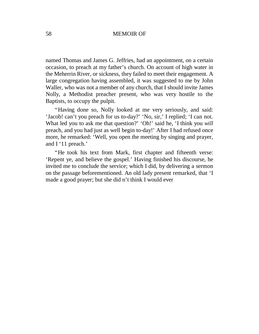named Thomas and James G. Jeffries, had an appointment, on a certain occasion, to preach at my father's church. On account of high water in the Meherrin River, or sickness, they failed to meet their engagement. A large congregation having assembled, it was suggested to me by John Waller, who was not a member of any church, that I should invite James Nolly, a Methodist preacher present, who was very hostile to the Baptists, to occupy the pulpit.

"Having done so, Nolly looked at me very seriously, and said: 'Jacob! can't you preach for us to-day?' 'No, sir,' I replied; 'I can not. What led you to ask me that question?' 'Oh!' said he, 'I think you *will* preach, and you had just as well begin to-day!' After I had refused once more, he remarked: 'Well, you open the meeting by singing and prayer, and I '11 preach.'

"He took his text from Mark, first chapter and fifteenth verse: 'Repent ye, and believe the gospel.' Having finished his discourse, he invited me to conclude the service; which I did, by delivering a sermon on the passage beforementioned. An old lady present remarked, that 'I made a good prayer; but she did n't think I would ever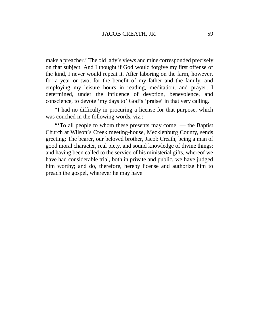make a preacher.'The old lady's views and mine corresponded precisely on that subject. And I thought if God would forgive my first offense of the kind, I never would repeat it. After laboring on the farm, however, for a year or two, for the benefit of my father and the family, and employing my leisure hours in reading, meditation, and prayer, I determined, under the influence of devotion, benevolence, and conscience, to devote 'my days to' God's 'praise' in that very calling.

"I had no difficulty in procuring a license for that purpose, which was couched in the following words, viz.:

"'To all people to whom these presents may come, — the Baptist Church at Wilson's Creek meeting-house, Mecklenburg County, sends greeting: The bearer, our beloved brother, Jacob Creath, being a man of good moral character, real piety, and sound knowledge of divine things; and having been called to the service of his ministerial gifts, whereof we have had considerable trial, both in private and public, we have judged him worthy; and do, therefore, hereby license and authorize him to preach the gospel, wherever he may have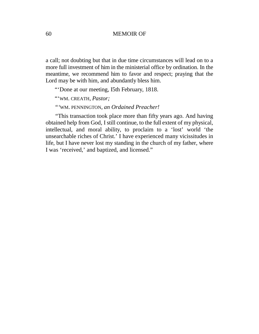a call; not doubting but that in due time circumstances will lead on to a more full investment of him in the ministerial office by ordination. In the meantime, we recommend him to favor and respect; praying that the Lord may be with him, and abundantly bless him.

"'Done at our meeting, I5th February, 1818.

"'WM. CREATH, *Pastor;*

*"'*WM. PENNINGTON, *an Ordained Preacher!*

*"*This transaction took place more than fifty years ago. And having obtained help from God, I still continue, to the full extent of my physical, intellectual, and moral ability, to proclaim to a 'lost' world 'the unsearchable riches of Christ.'I have experienced many vicissitudes in life, but I have never lost my standing in the church of my father, where I was 'received,' and baptized, and licensed."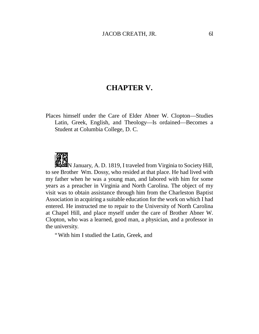### **CHAPTER V.**

Places himself under the Care of Elder Abner W. Clopton— Studies Latin, Greek, English, and Theology—Is ordained—Becomes a Student at Columbia College, D. C.



**M**N January, A. D. 1819, I traveled from Virginia to Society Hill, to see Brother Wm. Dossy, who resided at that place. He had lived with my father when he was a young man, and labored with him for some years as a preacher in Virginia and North Carolina. The object of my visit was to obtain assistance through him from the Charleston Baptist Association in acquiring a suitable education for the work on which I had entered. He instructed me to repair to the University of North Carolina at Chapel Hill, and place myself under the care of Brother Abner W. Clopton, who was a learned, good man, a physician, and a professor in the university.

"With him I studied the Latin, Greek, and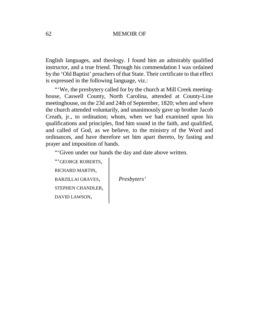English languages, and theology. I found him an admirably qualified instructor, and a true friend. Through his commendation I was ordained by the 'Old Baptist' preachers of that State. Their certificate to that effect is expressed in the following language, viz.:

"'We, the presbytery called for by the church at Mill Creek meetinghouse, Caswell County, North Carolina, attended at County-Line meetinghouse, on the 23d and 24th of September, 1820; when and where the church attended voluntarily, and unanimously gave up brother Jacob Creath, jr., to ordination; whom, when we had examined upon his qualifications and principles, find him sound in the faith, and qualified, and called of God, as we believe, to the ministry of the Word and ordinances, and have therefore set him apart thereto, by fasting and prayer and imposition of hands.

"'Given under our hands the day and date above written.

"'GEORGE ROBERTS, RICHARD MARTIN, BARZILLAI GRAVES, *Presbyters'* STEPHEN CHANDLER, DAVID LAWSON,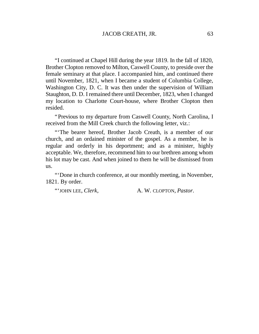"I continued at Chapel Hill during the year 1819. In the fall of 1820, Brother Clopton removed to Milton, Caswell County, to preside over the female seminary at that place. I accompanied him, and continued there until November, 1821, when I became a student of Columbia College, Washington City, D. C. It was then under the supervision of William Staughton, D. D. I remained there until December, 1823, when I changed my location to Charlotte Court-house, where Brother Clopton then resided.

"Previous to my departure from Caswell County, North Carolina, I received from the Mill Creek church the following letter, viz.:

"'The bearer hereof, Brother Jacob Creath, is a member of our church, and an ordained minister of the gospel. As a member, he is regular and orderly in his deportment; and as a minister, highly acceptable. We, therefore, recommend him to our brethren among whom his lot may be cast. And when joined to them he will be dismissed from us.

"'Done in church conference, at our monthly meeting, in November, 1821. By order.

"'JOHN LEE, *Clerk*, A. W. CLOPTON, *Pastor*.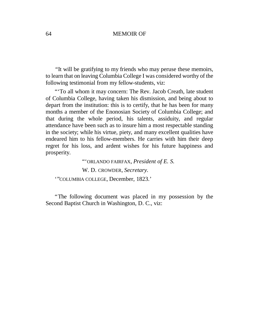*"*It will be gratifying to my friends who may peruse these memoirs, to learn that on leaving Columbia College I was considered worthy of the following testimonial from my fellow-students, viz:

"'To all whom it may concern: The Rev. Jacob Creath, late student of Columbia College, having taken his dismission, and being about to depart from the institution: this is to certify, that he has been for many months a member of the Enonosian Society of Columbia College; and that during the whole period, his talents, assiduity, and regular attendance have been such as to insure him a most respectable standing in the society; while his virtue, piety, and many excellent qualities have endeared him to his fellow-members. He carries with him their deep regret for his loss, and ardent wishes for his future happiness and prosperity.

> "'ORLANDO FAIRFAX, *President of E. S.*  W. D. CROWDER, *Secretary.*

'"COLUMBIA COLLEGE, December, 1823.'

"The following document was placed in my possession by the Second Baptist Church in Washington, D. C., viz: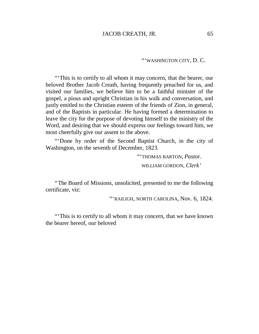"'WASHINGTON CITY, D. C.

"'This is to certify to all whom it may concern, that the bearer, our beloved Brother Jacob Creath, having frequently preached for us, and visited our families, we believe him to be a faithful minister of the gospel, a pious and upright Christian in his walk and conversation, and justly entitled to the Christian esteem of the friends of Zion, in general, and of the Baptists in particular. He having formed a determination to leave the city for the purpose of devoting himself to the ministry of the Word, and desiring that we should express our feelings toward him, we most cheerfully give our assent to the above.

"'Done by order of the Second Baptist Church, in the city of Washington, on the seventh of December, 1823.

> "'THOMAS BARTON, *Pastor.* WILLIAM GORDON, *Clerk'*

"The Board of Missions, unsolicited, presented to me the following certificate, viz:

"'RAILIGH, NORTH CAROLINA, Nov. 6, 1824.

"'This is to certify to all whom it may concern, that we have known the bearer hereof, our beloved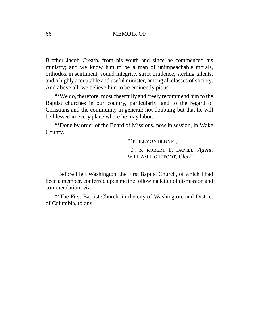Brother Jacob Creath, from his youth and since he commenced his ministry; and we know him to be a man of unimpeachable morals, orthodox in sentiment, sound integrity, strict prudence, sterling talents, and a highly acceptable and useful minister, among all classes of society. And above all, we believe him to be eminently pious.

"'We do, therefore, most cheerfully and freely recommend him to the Baptist churches in our country, particularly, and to the regard of Christians and the community in general: not doubting but that he will be blessed in every place where he may labor.

"'Done by order of the Board of Missions, now in session, in Wake County.

"'PHILEMON BENNET,

*P. S.* ROBERT T. DANIEL, *Agent.* WILLIAM LIGHTFOOT, *Clerk'*

*"*Before I left Washington, the First Baptist Church, of which I had been a member, conferred upon me the following letter of dismission and commendation, viz:

"'The First Baptist Church, in the city of Washington, and District of Columbia, to any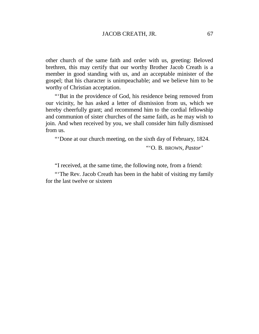other church of the same faith and order with us, greeting: Beloved brethren, this may certify that our worthy Brother Jacob Creath is a member in good standing with us, and an acceptable minister of the gospel; that his character is unimpeachable; and we believe him to be worthy of Christian acceptation.

"'But in the providence of God, his residence being removed from our vicinity, he has asked a letter of dismission from us, which we hereby cheerfully grant; and recommend him to the cordial fellowship and communion of sister churches of the same faith, as he may wish to join. And when received by you, we shall consider him fully dismissed from us.

"'Done at our church meeting, on the sixth day of February, 1824.

"'O. B. BROWN, *Pastor'*

"I received, at the same time, the following note, from a friend:

"'The Rev. Jacob Creath has been in the habit of visiting my family for the last twelve or sixteen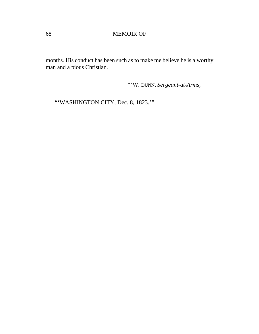months. His conduct has been such as to make me believe he is a worthy man and a pious Christian.

"'W. DUNN, *Sergeant-at-Arms,*

"'WASHINGTON CITY, Dec. 8, 1823.'"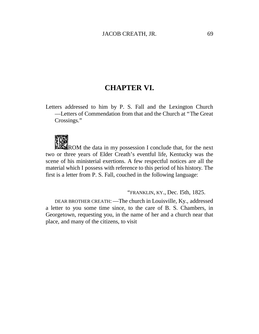## **CHAPTER VI.**

Letters addressed to him by P. S. Fall and the Lexington Church — Letters of Commendation from that and the Church at "The Great Crossings."



ROM the data in my possession I conclude that, for the next two or three years of Elder Creath's eventful life, Kentucky was the scene of his ministerial exertions. A few respectful notices are all the material which I possess with reference to this period of his history. The first is a letter from P. S. Fall, couched in the following language:

"FRANKLIN, KY., Dec. I5th, 1825.

DEAR BROTHER CREATH: — The church in Louisville, Ky., addressed a letter to you some time since, to the care of B. S. Chambers, in Georgetown, requesting you, in the name of her and a church near that place, and many of the citizens, to visit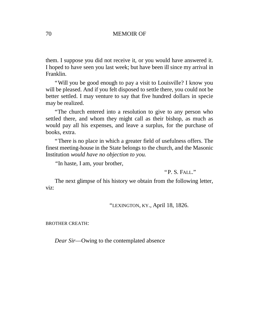them. I suppose you did not receive it, or you would have answered it. I hoped to have seen you last week; but have been ill since my arrival in Franklin.

"Will you be good enough to pay a visit to Louisville? I know you will be pleased. And if you felt disposed to settle there, you could not be better settled. I may venture to say that five hundred dollars in specie may be realized.

"The church entered into a resolution to give to any person who settled there, and whom they might call as their bishop, as much as would pay all his expenses, and leave a surplus, for the purchase of books, extra.

"There is no place in which a greater field of usefulness offers. The finest meeting-house in the State belongs to the church, and the Masonic Institution *would have no objection to you.*

*"*In haste, I am, your brother,

"P. S. FALL."

The next glimpse of his history we obtain from the following letter, viz:

"LEXINGTON, KY., April 18, 1826.

BROTHER CREATH:

*Dear Sir*—Owing to the contemplated absence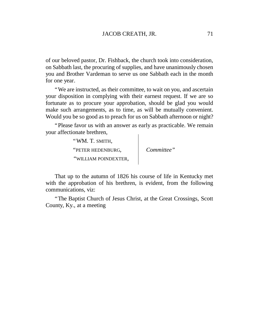of our beloved pastor, Dr. Fishback, the church took into consideration, on Sabbath last, the procuring of supplies, and have unanimously chosen you and Brother Vardeman to serve us one Sabbath each in the month for one year.

"We are instructed, as their committee, to wait on you, and ascertain your disposition in complying with their earnest request. If we are so fortunate as to procure your approbation, should be glad you would make such arrangements, as to time, as will be mutually convenient. Would you be so good as to preach for us on Sabbath afternoon or night?

"Please favor us with an answer as early as practicable. We remain your affectionate brethren,  $\mathbf{I}$ 

| "WM. T. SMITH,       |            |
|----------------------|------------|
| "PETER HEDENBURG,    | Committee" |
| "WILLIAM POINDEXTER, |            |

That up to the autumn of 1826 his course of life in Kentucky met with the approbation of his brethren, is evident, from the following communications, viz:

"The Baptist Church of Jesus Christ, at the Great Crossings, Scott County, Ky., at a meeting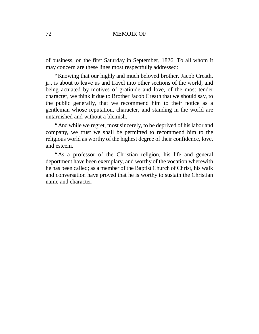of business, on the first Saturday in September, 1826. To all whom it may concern are these lines most respectfully addressed:

"Knowing that our highly and much beloved brother, Jacob Creath, jr., is about to leave us and travel into other sections of the world, and being actuated by motives of gratitude and love, of the most tender character, we think it due to Brother Jacob Creath that we should say, to the public generally, that we recommend him to their notice as a gentleman whose reputation, character, and standing in the world are untarnished and without a blemish.

"And while we regret, most sincerely, to be deprived of his labor and company, we trust we shall be permitted to recommend him to the religious world as worthy of the highest degree of their confidence, love, and esteem.

"As a professor of the Christian religion, his life and general deportment have been exemplary, and worthy of the vocation wherewith he has been called; as a member of the Baptist Church of Christ, his walk and conversation have proved that he is worthy to sustain the Christian name and character.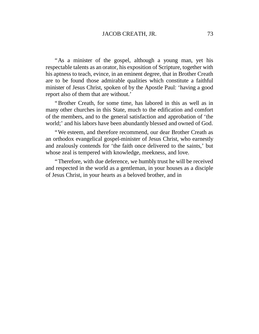"As a minister of the gospel, although a young man, yet his respectable talents as an orator, his exposition of Scripture, together with his aptness to teach, evince, in an eminent degree, that in Brother Creath are to be found those admirable qualities which constitute a faithful minister of Jesus Christ, spoken of by the Apostle Paul: 'having a good report also of them that are without.'

"Brother Creath, for some time, has labored in this as well as in many other churches in this State, much to the edification and comfort of the members, and to the general satisfaction and approbation of 'the world;' and his labors have been abundantly blessed and owned of God.

"We esteem, and therefore recommend, our dear Brother Creath as an orthodox evangelical gospel-minister of Jesus Christ, who earnestly and zealously contends for 'the faith once delivered to the saints,' but whose zeal is tempered with knowledge, meekness, and love.

"Therefore, with due deference, we humbly trust he will be received and respected in the world as a gentleman, in your houses as a disciple of Jesus Christ, in your hearts as a beloved brother, and in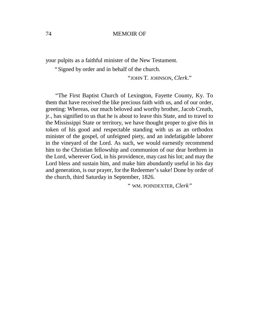your pulpits as a faithful minister of the New Testament.

"Signed by order and in behalf of the church.

"JOHN T. JOHNSON, *Clerk*."

*"*The First Baptist Church of Lexington, Fayette County, Ky. To them that have received the like precious faith with us, and of our order, greeting: Whereas, our much beloved and worthy brother, Jacob Creath, jr., has signified to us that he is about to leave this State, and to travel to the Mississippi State or territory, we have thought proper to give this in token of his good and respectable standing with us as an orthodox minister of the gospel, of unfeigned piety, and an indefatigable laborer in the vineyard of the Lord. As such, we would earnestly recommend him to the Christian fellowship and communion of our dear brethren in the Lord, wherever God, in his providence, may cast his lot; and may the Lord bless and sustain him, and make him abundantly useful in his day and generation, is our prayer, for the Redeemer's sake! Done by order of the church, third Saturday in September, 1826.

" WM. POINDEXTER, *Clerk"*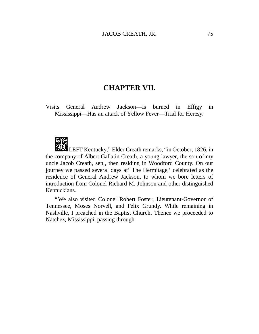## **CHAPTER VII.**

Visits General Andrew Jackson— Is burned in Effigy in Mississippi— Has an attack of Yellow Fever— Trial for Heresy.



LEFT Kentucky," Elder Creath remarks, "in October, 1826, in the company of Albert Gallatin Creath, a young lawyer, the son of my uncle Jacob Creath, sen,, then residing in Woodford County. On our journey we passed several days at'The Hermitage,'celebrated as the residence of General Andrew Jackson, to whom we bore letters of introduction from Colonel Richard M. Johnson and other distinguished Kentuckians.

"We also visited Colonel Robert Foster, Lieutenant-Governor of Tennessee, Moses Norvell, and Felix Grundy. While remaining in Nashville, I preached in the Baptist Church. Thence we proceeded to Natchez, Mississippi, passing through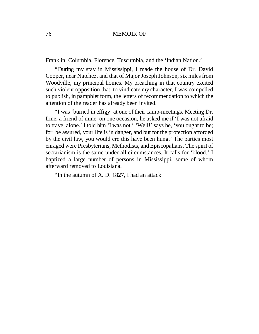Franklin, Columbia, Florence, Tuscumbia, and the 'Indian Nation.'

"During my stay in Mississippi, I made the house of Dr. David Cooper, near Natchez, and that of Major Joseph Johnson, six miles from Woodville, my principal homes. My preaching in that country excited such violent opposition that, to vindicate my character, I was compelled to publish, in pamphlet form, the letters of recommendation to which the attention of the reader has already been invited.

"I was 'burned in effigy'at one of their camp-meetings. Meeting Dr. Line, a friend of mine, on one occasion, he asked me if 'I was not afraid to travel alone.' I told him 'I was not.' 'Well!' says he, 'you ought to be; for, be assured, your life is in danger, and but for the protection afforded by the civil law, you would ere this have been hung.' The parties most enraged were Presbyterians, Methodists, and Episcopalians. The spirit of sectarianism is the same under all circumstances. It calls for 'blood.' I baptized a large number of persons in Mississippi, some of whom afterward removed to Louisiana.

"In the autumn of A. D. 1827, I had an attack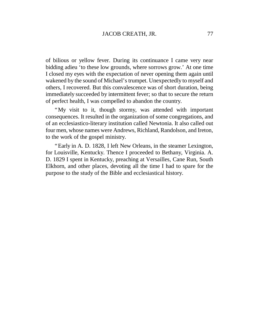of bilious or yellow fever. During its continuance I came very near bidding adieu 'to these low grounds, where sorrows grow.' At one time I closed my eyes with the expectation of never opening them again until wakened by the sound of Michael's trumpet. Unexpectedly to myself and others, I recovered. But this convalescence was of short duration, being immediately succeeded by intermittent fever; so that to secure the return of perfect health, I was compelled to abandon the country.

"My visit to it, though stormy, was attended with important consequences. It resulted in the organization of some congregations, and of an ecclesiastico-literary institution called Newtonia. It also called out four men, whose names were Andrews, Richland, Randolson, and Ireton, to the work of the gospel ministry.

"Early in A. D. 1828, I left New Orleans, in the steamer Lexington, for Louisville, Kentucky. Thence I proceeded to Bethany, Virginia. A. D. 1829 I spent in Kentucky, preaching at Versailles, Cane Run, South Elkhorn, and other places, devoting all the time I had to spare for the purpose to the study of the Bible and ecclesiastical history.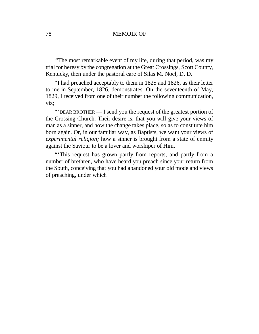*"*The most remarkable event of my life, during that period, was my trial for heresy by the congregation at the Great Crossings, Scott County, Kentucky, then under the pastoral care of Silas M. Noel, D. D.

"I had preached acceptably to them in 1825 and 1826, as their letter to me in September, 1826, demonstrates. On the seventeenth of May, 1829, I received from one of their number the following communication, viz;

"'DEAR BROTHER — I send you the request of the greatest portion of the Crossing Church. Their desire is, that you will give your views of man as a sinner, and how the change takes place, so as to constitute him born again. Or, in our familiar way, as Baptists, we want your views of *experimental religion;* how a sinner is brought from a state of enmity against the Saviour to be a lover and worshiper of Him.

"'This request has grown partly from reports, and partly from a number of brethren, who have heard you preach since your return from the South, conceiving that you had abandoned your old mode and views of preaching, under which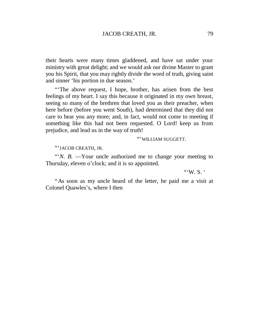their hearts were many times gladdened, and have sat under your ministry with great delight; and we would ask our divine Master to grant you his Spirit, that you may rightly divide the word of truth, giving saint and sinner 'his portion in due season.'

"'The above request, I hope, brother, has arisen from the best feelings of my heart. I say this because it originated in my own breast, seeing so many of the brethren that loved you as their preacher, when here before (before you went South), had determined that they did not care to hear you any more; and, in fact, would not come to meeting if something like this had not been requested. O Lord! keep us from prejudice, and lead us in the way of truth!

"'WILLIAM SUGGETT.

"'JACOB CREATH, JR.

"'*N. B.* — Your uncle authorized me to change your meeting to Thursday, eleven o'clock; and it is so appointed.

"'W.  $S$ . "

"As soon as my uncle heard of the letter, he paid me a visit at Colonel Quawles's, where I then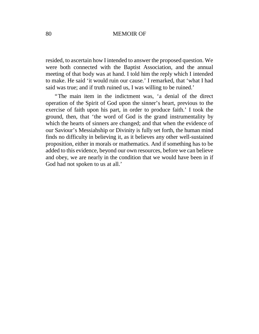resided, to ascertain how I intended to answer the proposed question. We were both connected with the Baptist Association, and the annual meeting of that body was at hand. I told him the reply which I intended to make. He said 'it would ruin our cause.' I remarked, that 'what I had said was true; and if truth ruined us, I was willing to be ruined.'

"The main item in the indictment was, 'a denial of the direct operation of the Spirit of God upon the sinner's heart, previous to the exercise of faith upon his part, in order to produce faith.' I took the ground, then, that 'the word of God is the grand instrumentality by which the hearts of sinners are changed; and that when the evidence of our Saviour's Messiahship or Divinity is fully set forth, the human mind finds no difficulty in believing it, as it believes any other well-sustained proposition, either in morals or mathematics. And if something has to be added to this evidence, beyond our own resources, before we can believe and obey, we are nearly in the condition that we would have been in if God had not spoken to us at all.'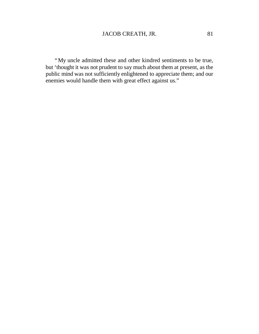"My uncle admitted these and other kindred sentiments to be true, but 'thought it was not prudent to say much about them at present, as the public mind was not sufficiently enlightened to appreciate them; and our enemies would handle them with great effect against us."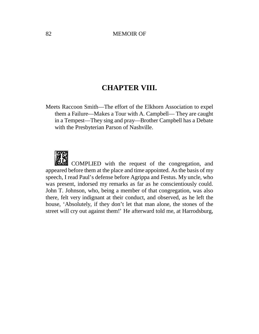# **CHAPTER VIII.**

Meets Raccoon Smith— The effort of the Elkhorn Association to expel them a Failure— Makes a Tour with A. Campbell— They are caught in a Tempest— They sing and pray— Brother Campbell has a Debate with the Presbyterian Parson of Nashville.



COMPLIED with the request of the congregation, and appeared before them at the place and time appointed. As the basis of my speech, I read Paul's defense before Agrippa and Festus. My uncle, who was present, indorsed my remarks as far as he conscientiously could. John T. Johnson, who, being a member of that congregation, was also there, felt very indignant at their conduct, and observed, as he left the house, 'Absolutely, if they don't let that man alone, the stones of the street will cry out against them!' He afterward told me, at Harrodsburg,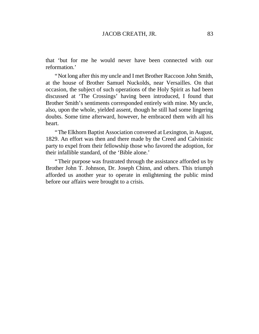that 'but for me he would never have been connected with our reformation.'

"Not long after this my uncle and I met Brother Raccoon John Smith, at the house of Brother Samuel Nuckolds, near Versailles. On that occasion, the subject of such operations of the Holy Spirit as had been discussed at 'The Crossings' having been introduced, I found that Brother Smith's sentiments corresponded entirely with mine. My uncle, also, upon the whole, yielded assent, though he still had some lingering doubts. Some time afterward, however, he embraced them with all his heart.

"The Elkhorn Baptist Association convened at Lexington, in August, 1829. An effort was then and there made by the Creed and Calvinistic party to expel from their fellowship those who favored the adoption, for their infallible standard, of the 'Bible alone.'

"Their purpose was frustrated through the assistance afforded us by Brother John T. Johnson, Dr. Joseph Chinn, and others. This triumph afforded us another year to operate in enlightening the public mind before our affairs were brought to a crisis.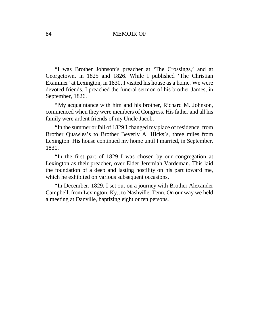"I was Brother Johnson's preacher at 'The Crossings,' and at Georgetown, in 1825 and 1826. While I published 'The Christian Examiner'at Lexington, in 1830, I visited his house as a home. We were devoted friends. I preached the funeral sermon of his brother James, in September, 1826.

"My acquaintance with him and his brother, Richard M. Johnson, commenced when they were members of Congress. His father and all his family were ardent friends of my Uncle Jacob.

"In the summer or fall of 1829 I changed my place of residence, from Brother Quawles's to Brother Beverly A. Hicks's, three miles from Lexington. His house continued my home until I married, in September, 1831.

"In the first part of 1829 I was chosen by our congregation at Lexington as their preacher, over Elder Jeremiah Vardeman. This laid the foundation of a deep and lasting hostility on his part toward me, which he exhibited on various subsequent occasions.

"In December, 1829, I set out on a journey with Brother Alexander Campbell, from Lexington, Ky., to Nashville, Tenn. On our way we held a meeting at Danville, baptizing eight or ten persons.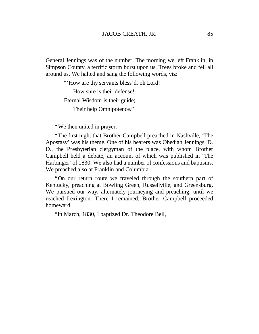General Jennings was of the number. The morning we left Franklin, in Simpson County, a terrific storm burst upon us. Trees broke and fell all around us. We halted and sang the following words, viz:

"'How are thy servants bless'd, oh Lord!

How sure is their defense!

Eternal Wisdom is their guide;

Their help Omnipotence."

"We then united in prayer.

"The first night that Brother Campbell preached in Nashville, 'The Apostasy' was his theme. One of his hearers was Obediah Jennings, D. D., the Presbyterian clergyman of the place, with whom Brother Campbell held a debate, an account of which was published in 'The Harbinger'of 1830. We also had a number of confessions and baptisms. We preached also at Franklin and Columbia.

"On our return route we traveled through the southern part of Kentucky, preaching at Bowling Green, Russellville, and Greensburg. We pursued our way, alternately journeying and preaching, until we reached Lexington. There I remained. Brother Campbell proceeded homeward.

"In March, 1830, I baptized Dr. Theodore Bell,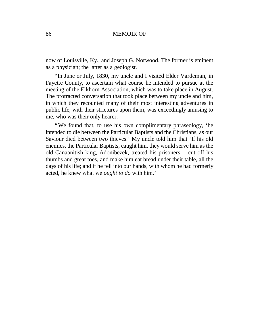now of Louisville, Ky., and Joseph G. Norwood. The former is eminent as a physician; the latter as a geologist.

"In June or July, 1830, my uncle and I visited Elder Vardeman, in Fayette County, to ascertain what course he intended to pursue at the meeting of the Elkhorn Association, which was to take place in August. The protracted conversation that took place between my uncle and him, in which they recounted many of their most interesting adventures in public life, with their strictures upon them, was exceedingly amusing to me, who was their only hearer.

"We found that, to use his own complimentary phraseology, 'he intended to die between the Particular Baptists and the Christians, as our Saviour died between two thieves.'My uncle told him that 'If his old enemies, the Particular Baptists, caught him, they would serve him as the old Canaanitish king, Adonibezek, treated his prisoners— cut off his thumbs and great toes, and make him eat bread under their table, all the days of his life; and if he fell into our hands, with whom he had formerly acted, he knew what we *ought to do* with him.'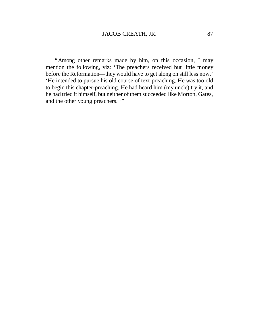"Among other remarks made by him, on this occasion, I may mention the following, viz: 'The preachers received but little money before the Reformation— they would have to get along on still less now.' 'He intended to pursue his old course of text-preaching. He was too old to begin this chapter-preaching. He had heard him (my uncle) try it, and he had tried it himself, but neither of them succeeded like Morton, Gates, and the other young preachers. "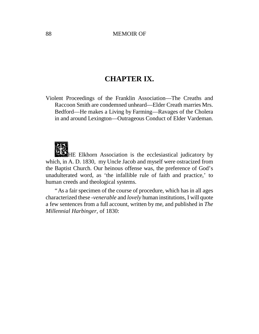# **CHAPTER IX.**

Violent Proceedings of the Franklin Association— The Creaths and Raccoon Smith are condemned unheard— Elder Creath marries Mrs. Bedford— He makes a Living by Farming— Ravages of the Cholera in and around Lexington— Outrageous Conduct of Elder Vardeman.

HE Elkhorn Association is the ecclesiastical judicatory by which, in A. D. 1830, my Uncle Jacob and myself were ostracized from the Baptist Church. Our heinous offense was, the preference of God's unadulterated word, as 'the infallible rule of faith and practice,' to human creeds and theological systems.

"As a fair specimen of the course of procedure, which has in all ages characterized these *-venerable* and *lovely* human institutions, I will quote a few sentences from a full account, written by me, and published in *The Millennial Harbinger,* of 1830: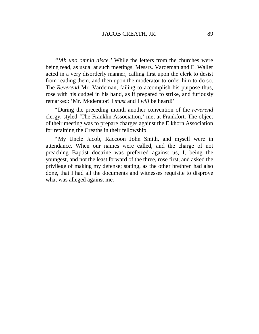*"'Ab uno omnia disce.'*While the letters from the churches were being read, as usual at such meetings, Messrs. Vardeman and E. Waller acted in a very disorderly manner, calling first upon the clerk to desist from reading them, and then upon the moderator to order him to do so. The *Reverend* Mr. Vardeman, failing to accomplish his purpose thus, rose with his cudgel in his hand, as if prepared to strike, and furiously remarked: 'Mr. Moderator! I *must* and I *will* be heard!'

"During the preceding month another convention of the *reverend* clergy, styled 'The Franklin Association,'met at Frankfort. The object of their meeting was to prepare charges against the Elkhorn Association for retaining the Creaths in their fellowship.

"My Uncle Jacob, Raccoon John Smith, and myself were in attendance. When our names were called, and the charge of not preaching Baptist doctrine was preferred against us, I, being the youngest, and not the least forward of the three, rose first, and asked the privilege of making my defense; stating, as the other brethren had also done, that I had all the documents and witnesses requisite to disprove what was alleged against me.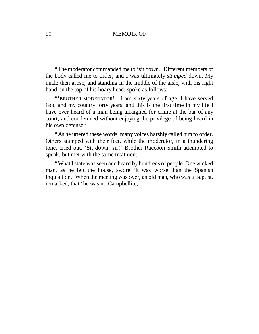"The moderator commanded me to 'sit down.'Different members of the body called me to order; and I was ultimately *stamped* down. My uncle then arose, and standing in the middle of the aisle, with his right hand on the top of his hoary head, spoke as follows:

"'BROTHER MODERATOR!—I am sixty years of age. I have served God and my country forty years, and this is the first time in my life I have ever heard of a man being arraigned for crime at the bar of any court, and condemned without enjoying the privilege of being heard in his own defense.'

"As he uttered these words, many voices harshly called him to order. Others stamped with their feet, while the moderator, in a thundering tone, cried out, 'Sit down, sir!' Brother Raccoon Smith attempted to speak, but met with the same treatment.

"What I state was seen and heard by hundreds of people. One wicked man, as he left the house, swore 'it was worse than the Spanish Inquisition.'When the meeting was over, an old man, who was a Baptist, remarked, that 'he was no Campbellite,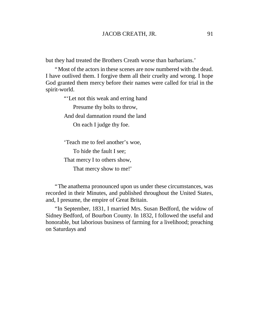but they had treated the Brothers Creath worse than barbarians.'

"Most of the actors in these scenes are now numbered with the dead. I have outlived them. I forgive them all their cruelty and wrong. I hope God granted them mercy before their names were called for trial in the spirit-world.

"'Let not this weak and erring hand

Presume thy bolts to throw, And deal damnation round the land

On each I judge thy foe.

'Teach me to feel another's woe, To hide the fault I see; That mercy I to others show, That mercy show to me!'

"The anathema pronounced upon us under these circumstances, was recorded in their Minutes, and published throughout the United States, and, I presume, the empire of Great Britain.

"In September, 1831, I married Mrs. Susan Bedford, the widow of Sidney Bedford, of Bourbon County. In 1832, I followed the useful and honorable, but laborious business of farming for a livelihood; preaching on Saturdays and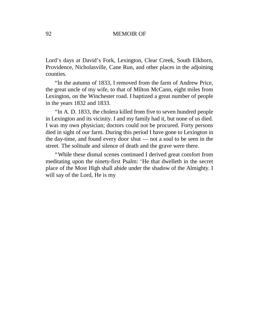Lord's days at David's Fork, Lexington, Clear Creek, South Elkhorn, Providence, Nicholasville, Cane Run, and other places in the adjoining counties.

"In the autumn of 1833, I removed from the farm of Andrew Price, the great uncle of my wife, to that of Milton McCann, eight miles from Lexington, on the Winchester road. I baptized a great number of people in the years 1832 and 1833.

"In A. D. 1833, the cholera killed from five to seven hundred people in Lexington and its vicinity. I and my family had it, but none of us died. I was my own physician; doctors could not be procured. Forty persons died in sight of our farm. During this period I have gone to Lexington in the day-time, and found every door shut — not a soul to be seen in the street. The solitude and silence of death and the grave were there.

"While these dismal scenes continued I derived great comfort from meditating upon the ninety-first Psalm: 'He that dwelleth in the secret place of the Most High shall abide under the shadow of the Almighty. I will say of the Lord, He is my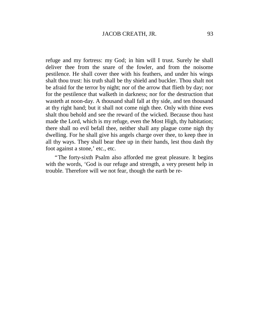refuge and my fortress: my God; in him will I trust. Surely he shall deliver thee from the snare of the fowler, and from the noisome pestilence. He shall cover thee with his feathers, and under his wings shalt thou trust: his truth shall be thy shield and buckler. Thou shalt not be afraid for the terror by night; nor of the arrow that flieth by day; nor for the pestilence that walketh in darkness; nor for the destruction that wasteth at noon-day. A thousand shall fall at thy side, and ten thousand at thy right hand; but it shall not come nigh thee. Only with thine eves shalt thou behold and see the reward of the wicked. Because thou hast made the Lord, which is my refuge, even the Most High, thy habitation; there shall no evil befall thee, neither shall any plague come nigh thy dwelling. For he shall give his angels charge over thee, to keep thee in all thy ways. They shall bear thee up in their hands, lest thou dash thy foot against a stone,' etc., etc.

"The forty-sixth Psalm also afforded me great pleasure. It begins with the words, 'God is our refuge and strength, a very present help in trouble. Therefore will we not fear, though the earth be re-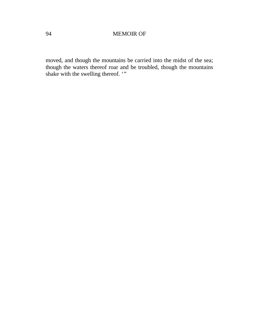moved, and though the mountains be carried into the midst of the sea; though the waters thereof roar and be troubled, though the mountains shake with the swelling thereof. "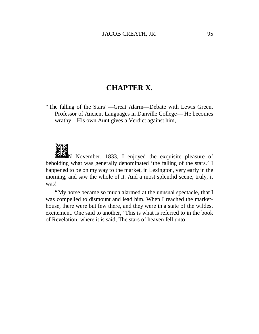## **CHAPTER X.**

"The falling of the Stars"— Great Alarm— Debate with Lewis Green, Professor of Ancient Languages in Danville College— He becomes wrathy— His own Aunt gives a Verdict against him,



 $\mathbb{Z}_N$  November, 1833, I enjoyed the exquisite pleasure of beholding what was generally denominated 'the falling of the stars.' I happened to be on my way to the market, in Lexington, very early in the morning, and saw the whole of it. And a most splendid scene, truly, it was!

"My horse became so much alarmed at the unusual spectacle, that I was compelled to dismount and lead him. When I reached the markethouse, there were but few there, and they were in a state of the wildest excitement. One said to another, 'This is what is referred to in the book of Revelation, where it is said, The stars of heaven fell unto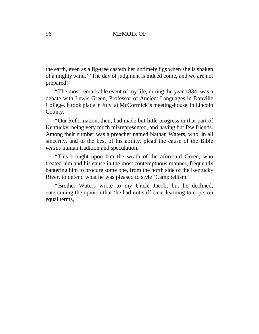the earth, even as a fig-tree casteth her untimely figs when she is shaken of a mighty wind.''The day of judgment is indeed come, and we are not prepared!'

"The most remarkable event of my life, during the year 1834, was a debate with Lewis Green, Professor of Ancient Languages in Danville College. It took place in July, at McCormick's meeting-house, in Lincoln County.

"Our Reformation, then, had made but little progress in that part of Kentucky; being very much misrepresented, and having but few friends. Among their number was a preacher named Nathan Waters, who, in all sincerity, and to the best of his ability, plead the cause of the Bible *versus* human tradition and speculation.

"This brought upon him the wrath of the aforesaid Green, who treated him and his cause in the most contemptuous manner, frequently bantering him to procure some one, from the north side of the Kentucky River, to defend what he was pleased to style 'Campbellism.'

"Brother Waters wrote to my Uncle Jacob, but he declined, entertaining the opinion that 'he had not sufficient learning to cope, on equal terms,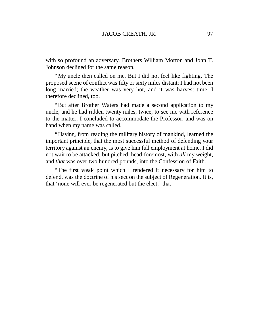with so profound an adversary. Brothers William Morton and John T. Johnson declined for the same reason.

"My uncle then called on me. But I did not feel like fighting. The proposed scene of conflict was fifty or sixty miles distant; I had not been long married; the weather was very hot, and it was harvest time. I therefore declined, too.

"But after Brother Waters had made a second application to my uncle, and he had ridden twenty miles, twice, to see me with reference to the matter, I concluded to accommodate the Professor, and was on hand when my name was called.

"Having, from reading the military history of mankind, learned the important principle, that the most successful method of defending your territory against an enemy, is to give him full employment at home, I did not wait to be attacked, but pitched, head-foremost, with *all* my weight, and *that* was over two hundred pounds, into the Confession of Faith.

"The first weak point which I rendered it necessary for him to defend, was the doctrine of his sect on the subject of Regeneration. It is, that 'none will ever be regenerated but the elect;' that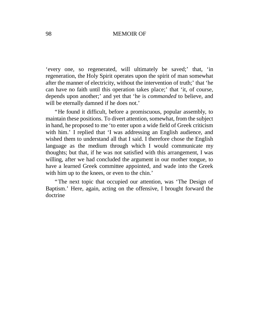'every one, so regenerated, will ultimately be saved;' that, 'in regeneration, the Holy Spirit operates upon the spirit of man somewhat after the manner of electricity, without the intervention of truth;'that 'he can have no faith until this operation takes place;' that 'it, of course, depends upon another;'and yet that 'he is *commanded* to believe, and will be eternally damned if he does not.'

"He found it difficult, before a promiscuous, popular assembly, to maintain these positions. To divert attention, somewhat, from the subject in hand, he proposed to me 'to enter upon a wide field of Greek criticism with him.' I replied that 'I was addressing an English audience, and wished them to understand all that I said. I therefore chose the English language as the medium through which I would communicate my thoughts; but that, if he was not satisfied with this arrangement, I was willing, after we had concluded the argument in our mother tongue, to have a learned Greek committee appointed, and wade into the Greek with him up to the knees, or even to the chin.'

"The next topic that occupied our attention, was 'The Design of Baptism.' Here, again, acting on the offensive, I brought forward the doctrine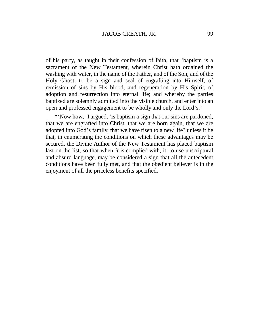of his party, as taught in their confession of faith, that 'baptism is a sacrament of the New Testament, wherein Christ hath ordained the washing with water, in the name of the Father, and of the Son, and of the Holy Ghost, to be a sign and seal of engrafting into Himself, of remission of sins by His blood, and regeneration by His Spirit, of adoption and resurrection into eternal life; and whereby the parties baptized are solemnly admitted into the visible church, and enter into an open and professed engagement to be wholly and only the Lord's.'

"'Now how,' I argued, 'is baptism a sign that our sins are pardoned, that we are engrafted into Christ, that we are born again, that we are adopted into God's family, that we have risen to a new life? unless it be that, in enumerating the conditions on which these advantages may be secured, the Divine Author of the New Testament has placed baptism last on the list, so that when *it* is complied with, it, to use unscriptural and absurd language, may be considered a sign that all the antecedent conditions have been fully met, and that the obedient believer is in the enjoyment of all the priceless benefits specified.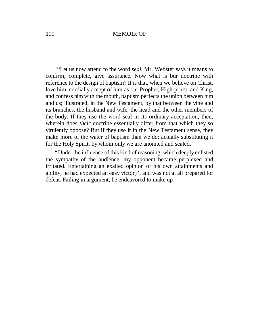*"'*Let us now attend to the word *seal.* Mr. Webster says it means to confirm, complete, give assurance. Now what is bur doctrine with reference to the design of baptism? It is that, when we believe on Christ, love him, cordially accept of him as our Prophet, High-priest, and King, and confess him with the mouth, baptism perfects the union between him and us; illustrated, in the New Testament, by that between the vine and its branches, the husband and wife, the head and the other members of the body. If they use the word seal in its ordinary acceptation, then, wherein does *their* doctrine essentially differ from that which they so virulently oppose? But if they use it in the New Testament sense, they make more of the water of baptism than we do; actually substituting it for the Holy Spirit, by whom only we are anointed and sealed.'

"Under the influence of this kind of reasoning, which deeply enlisted the sympathy of the audience, my opponent became perplexed and irritated. Entertaining an exalted opinion of his own attainments and ability, he had expected an easy victor}', and was not at all prepared for defeat. Failing in argument, he endeavored to make up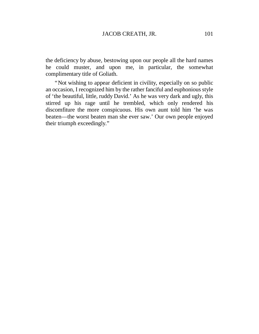the deficiency by abuse, bestowing upon our people all the hard names he could muster, and upon me, in particular, the somewhat complimentary title of Goliath.

"Not wishing to appear deficient in civility, especially on so public an occasion, I recognized him by the rather fanciful and euphonious style of 'the beautiful, little, ruddy David.'As he was very dark and ugly, this stirred up his rage until he trembled, which only rendered his discomfiture the more conspicuous. His own aunt told him 'he was beaten— the worst beaten man she ever saw.' Our own people enjoyed their triumph exceedingly."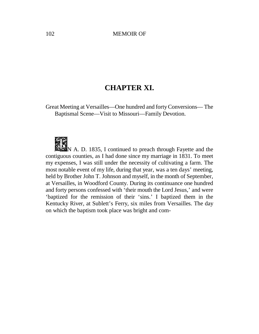# **CHAPTER XI.**

Great Meeting at Versailles— One hundred and forty Conversions— The Baptismal Scene— Visit to Missouri— Family Devotion.



**N** A. D. 1835, I continued to preach through Fayette and the contiguous counties, as I had done since my marriage in 1831. To meet my expenses, I was still under the necessity of cultivating a farm. The most notable event of my life, during that year, was a ten days'meeting, held by Brother John T. Johnson and myself, in the month of September, at Versailles, in Woodford County. During its continuance one hundred and forty persons confessed with 'their mouth the Lord Jesus,'and were 'baptized for the remission of their 'sins.' I baptized them in the Kentucky River, at Sublett's Ferry, six miles from Versailles. The day on which the baptism took place was bright and com-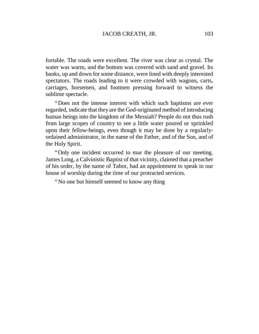fortable. The roads were excellent. The river was clear as crystal. The water was warm, and the bottom was covered with sand and gravel. Its banks, up and down for some distance, were lined with deeply interested spectators. The roads leading to it were crowded with wagons, carts, carriages, horsemen, and footmen pressing forward to witness the sublime spectacle.

"Does not the intense interest with which such baptisms are ever regarded, indicate that they are the God-originated method of introducing human beings into the kingdom of the Messiah? People do not thus rush from large scopes of country to see a little water poured or sprinkled upon their fellow-beings, even though it may be done by a regularlyordained administrator, in the name of the Father, and of the Son, and of the Holy Spirit.

"Only one incident occurred to mar the pleasure of our meeting. James Long, a Calvinistic Baptist of that vicinity, claimed that a preacher of his order, by the name of Tabor, had an appointment to speak in our house of worship during the time of our protracted services.

"No one but himself seemed to know any thing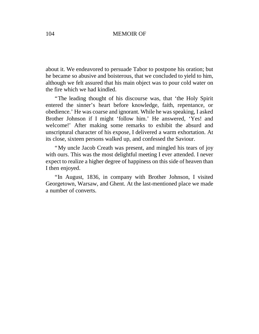about it. We endeavored to persuade Tabor to postpone his oration; but he became so abusive and boisterous, that we concluded to yield to him, although we felt assured that his main object was to pour cold water on the fire which we had kindled.

"The leading thought of his discourse was, that 'the Holy Spirit entered the sinner's heart before knowledge, faith, repentance, or obedience.'He was coarse and ignorant. While he was speaking, I asked Brother Johnson if I might 'follow him.' He answered, 'Yes! and welcome!' After making some remarks to exhibit the absurd and unscriptural character of his expose, I delivered a warm exhortation. At its close, sixteen persons walked up, and confessed the Saviour.

"My uncle Jacob Creath was present, and mingled his tears of joy with ours. This was the most delightful meeting I ever attended. I never expect to realize a higher degree of happiness on this side of heaven than I then enjoyed.

"In August, 1836, in company with Brother Johnson, I visited Georgetown, Warsaw, and Ghent. At the last-mentioned place we made a number of converts.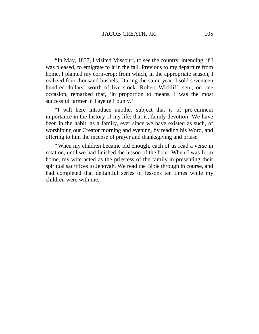"In May, 1837, I visited Missouri, to see the country, intending, if I was pleased, to emigrate to it in the fall. Previous to my departure from home, I planted my corn-crop; from which, in the appropriate season, I realized four thousand bushels. During the same year, I sold seventeen hundred dollars' worth of live stock. Robert Wickliff, sen., on one occasion, remarked that, 'in proportion to means, I was the most successful farmer in Fayette County.'

"I will here introduce another subject that is of pre-eminent importance in the history of my life; that is, family devotion. We have been in the habit, as a family, ever since we have existed as such, of worshiping our Creator morning and evening, by reading his Word, and offering to him the incense of prayer and thanksgiving and praise.

"When my children became old enough, each of us read a verse in rotation, until we had finished the lesson of the hour. When I was from home, my wife acted as the priestess of the family in presenting their spiritual sacrifices to Jehovah. We read the Bible through in course, and had completed that delightful series of lessons ten times while my children were with me.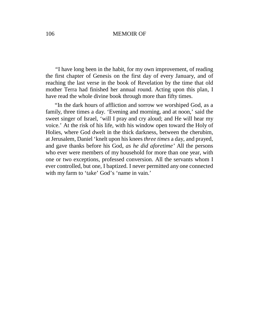*"*I have long been in the habit, for my own improvement, of reading the first chapter of Genesis on the first day of every January, and of reaching the last verse in the book of Revelation by the time that old mother Terra had finished her annual round. Acting upon this plan, I have read the whole divine book through more than fifty times.

"In the dark hours of affliction and sorrow we worshiped God, as a family, three times a day. 'Evening and morning, and at noon,' said the sweet singer of Israel, 'will I pray and cry aloud; and He will hear my voice.'At the risk of his life, with his window open toward the Holy of Holies, where God dwelt in the thick darkness, between the cherubim, at Jerusalem, Daniel 'knelt upon his knees *three times* a day, and prayed, and gave thanks before his God, *as he did aforetime'*All the persons who ever were members of my household for more than one year, with one or two exceptions, professed conversion. All the servants whom I ever controlled, but one, I baptized. I never permitted any one connected with my farm to 'take' God's 'name in vain.'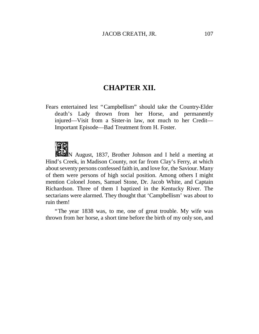# **CHAPTER XII.**

Fears entertained lest "Campbellism" should take the Country-Elder death's Lady thrown from her Horse, and permanently injured— Visit from a Sister-in law, not much to her Credit— Important Episode— Bad Treatment from H. Foster.

N August, 1837, Brother Johnson and I held a meeting at Hind's Creek, in Madison County, not far from Clay's Ferry, at which about seventy persons confessed faith in, and love for, the Saviour. Many of them were persons of high social position. Among others I might mention Colonel Jones, Samuel Stone, Dr. Jacob White, and Captain Richardson. Three of them I baptized in the Kentucky River. The sectarians were alarmed. They thought that 'Campbellism' was about to ruin them!

"The year 1838 was, to me, one of great trouble. My wife was thrown from her horse, a short time before the birth of my only son, and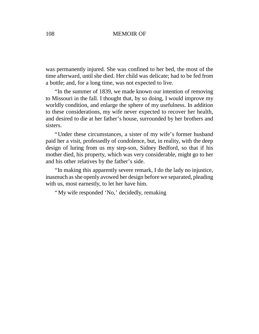was permanently injured. She was confined to her bed, the most of the time afterward, until she died. Her child was delicate; had to be fed from a bottle; and, for a long time, was not expected to live.

"In the summer of 1839, we made known our intention of removing to Missouri in the fall. I thought that, by so doing, I would improve my worldly condition, and enlarge the sphere of my usefulness. In addition to these considerations, my wife never expected to recover her health, and desired to die at her father's house, surrounded by her brothers and sisters.

"Under these circumstances, a sister of my wife's former husband paid her a visit, professedly of condolence, but, in reality, with the deep design of luring from us my step-son, Sidney Bedford, so that if his mother died, his property, which was very considerable, might go to her and his other relatives by the father's side.

"In making this apparently severe remark, I do the lady no injustice, inasmuch asshe openly avowed her design before we separated, pleading with us, most earnestly, to let her have him.

"My wife responded 'No,' decidedly, remaking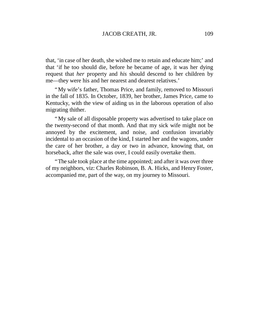that, 'in case of her death, she wished me to retain and educate him;'and that 'if he too should die, before he became of age, it was her dying request that *her* property and *his* should descend to her children by me— they were his and her nearest and dearest relatives.'

"My wife's father, Thomas Price, and family, removed to Missouri in the fall of 1835. In October, 1839, her brother, James Price, came to Kentucky, with the view of aiding us in the laborous operation of also migrating thither.

"My sale of all disposable property was advertised to take place on the twenty-second of that month. And that my sick wife might not be annoyed by the excitement, and noise, and confusion invariably incidental to an occasion of the kind, I started her and the wagons, under the care of her brother, a day or two in advance, knowing that, on horseback, after the sale was over, I could easily overtake them.

"The sale took place at the time appointed; and after it was over three of my neighbors, viz: Charles Robinson, B. A. Hicks, and Henry Foster, accompanied me, part of the way, on my journey to Missouri.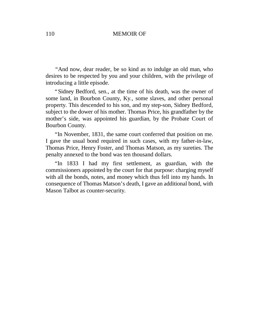*"*And now, dear reader, be so kind as to indulge an old man, who desires to be respected by you and your children, with the privilege of introducing a little episode.

"Sidney Bedford, sen., at the time of his death, was the owner of some land, in Bourbon County, Ky., some slaves, and other personal property. This descended to his son, and my step-son, Sidney Bedford, subject to the dower of his mother. Thomas Price, his grandfather by the mother's side, was appointed his guardian, by the Probate Court of Bourbon County.

"In November, 1831, the same court conferred that position on me. I gave the usual bond required in such cases, with my father-in-law, Thomas Price, Henry Foster, and Thomas Matson, as my sureties. The penalty annexed to the bond was ten thousand dollars.

"In 1833 I had my first settlement, as guardian, with the commissioners appointed by the court for that purpose: charging myself with all the bonds, notes, and money which thus fell into my hands. In consequence of Thomas Matson's death, I gave an additional bond, with Mason Talbot as counter-security.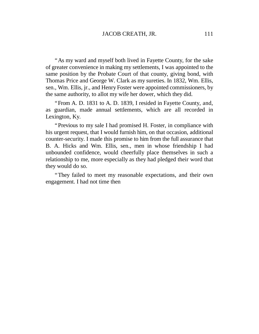"As my ward and myself both lived in Fayette County, for the sake of greater convenience in making my settlements, I was appointed to the same position by the Probate Court of that county, giving bond, with Thomas Price and George W. Clark as my sureties. In 1832, Wm. Ellis, sen., Wm. Ellis, jr., and Henry Foster were appointed commissioners, by the same authority, to allot my wife her dower, which they did.

"From A. D. 1831 to A. D. 1839, I resided in Fayette County, and, as guardian, made annual settlements, which are all recorded in Lexington, Ky.

"Previous to my sale I had promised H. Foster, in compliance with his urgent request, that I would furnish him, on that occasion, additional counter-security. I made this promise to him from the full assurance that B. A. Hicks and Wm. Ellis, sen., men in whose friendship I had unbounded confidence, would cheerfully place themselves in such a relationship to me, more especially as they had pledged their word that they would do so.

"They failed to meet my reasonable expectations, and their own engagement. I had not time then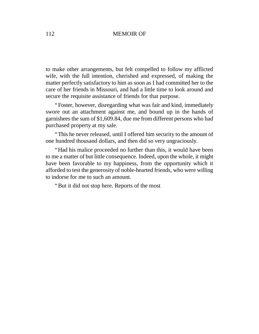to make other arrangements, but felt compelled to follow my afflicted wife, with the full intention, cherished and expressed, of making the matter perfectly satisfactory to him as soon as I had committed her to the care of her friends in Missouri, and had a little time to look around and secure the requisite assistance of friends for that purpose.

"Foster, however, disregarding what was fair and kind, immediately swore out an attachment against me, and bound up in the hands of garnishees the sum of \$1,609.84, due me from different persons who had purchased property at my sale.

"This he never released, until I offered him security to the amount of one hundred thousand dollars, and then did so very ungraciously.

"Had his malice proceeded no further than this, it would have been to me a matter of but little consequence. Indeed, upon the whole, it might have been favorable to my happiness, from the opportunity which it afforded to test the generosity of noble-hearted friends, who were willing to indorse for me to such an amount.

"But it did not stop here. Reports of the most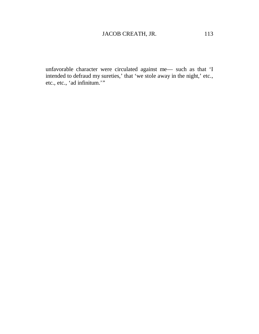unfavorable character were circulated against me— such as that 'I intended to defraud my sureties,' that 'we stole away in the night,'etc., etc., etc., 'ad infinitum.'"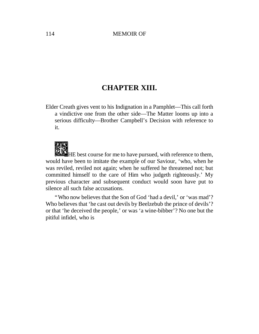## **CHAPTER XIII.**

Elder Creath gives vent to his Indignation in a Pamphlet— This call forth a vindictive one from the other side— The Matter looms up into a serious difficulty— Brother Campbell's Decision with reference to it.

HE best course for me to have pursued, with reference to them, would have been to imitate the example of our Saviour, 'who, when he was reviled, reviled not again; when he suffered he threatened not; but committed himself to the care of Him who judgeth righteously.' My previous character and subsequent conduct would soon have put to silence all such false accusations.

"Who now believes that the Son of God 'had a devil,'or 'was mad'? Who believes that 'he cast out devils by Beelzebub the prince of devils'? or that 'he deceived the people,'or was 'a wine-bibber'? No one but the pitiful infidel, who is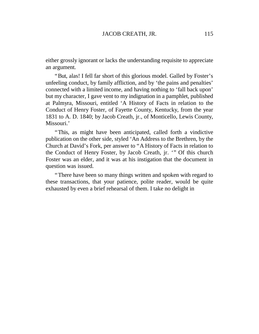either grossly ignorant or lacks the understanding requisite to appreciate an argument.

"But, alas! I fell far short of this glorious model. Galled by Foster's unfeeling conduct, by family affliction, and by 'the pains and penalties' connected with a limited income, and having nothing to 'fall back upon' but my character, I gave vent to my indignation in a pamphlet, published at Palmyra, Missouri, entitled 'A History of Facts in relation to the Conduct of Henry Foster, of Fayette County, Kentucky, from the year 1831 to A. D. 1840; by Jacob Creath, jr., of Monticello, Lewis County, Missouri.'

"This, as might have been anticipated, called forth a vindictive publication on the other side, styled 'An Address to the Brethren, by the Church at David's Fork, per answer to "A History of Facts in relation to the Conduct of Henry Foster, by Jacob Creath, jr. '" Of this church Foster was an elder, and it was at his instigation that the document in question was issued.

"There have been so many things written and spoken with regard to these transactions, that your patience, polite reader, would be quite exhausted by even a brief rehearsal of them. I take no delight in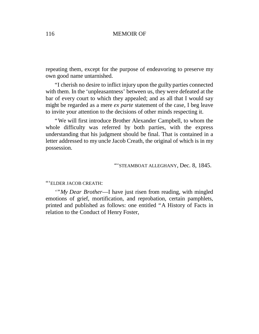repeating them, except for the purpose of endeavoring to preserve my own good name untarnished.

"I cherish no desire to inflict injury upon the guilty parties connected with them. In the 'unpleasantness'between us, they were defeated at the bar of every court to which they appealed; and as all that I would say might be regarded as a mere *ex parte* statement of the case, I beg leave to invite your attention to the decisions of other minds respecting it.

"We will first introduce Brother Alexander Campbell, to whom the whole difficulty was referred by both parties, with the express understanding that his judgment should be final. That is contained in a letter addressed to my uncle Jacob Creath, the original of which is in my possession.

## "'STEAMBOAT ALLEGHANY, Dec. 8, 1845.

### "'ELDER JACOB CREATH:

*'"My Dear Brother*— I have just risen from reading, with mingled emotions of grief, mortification, and reprobation, certain pamphlets, printed and published as follows: one entitled "A History of Facts in relation to the Conduct of Henry Foster,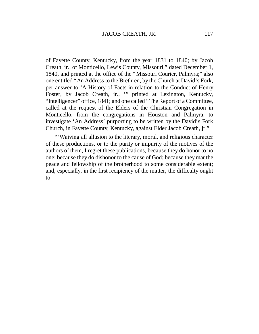of Fayette County, Kentucky, from the year 1831 to 1840; by Jacob Creath, jr., of Monticello, Lewis County, Missouri," dated December 1, 1840, and printed at the office of the "Missouri Courier, Palmyra;" also one entitled "An Address to the Brethren, by the Church at David's Fork, per answer to 'A History of Facts in relation to the Conduct of Henry Foster, by Jacob Creath, jr., '" printed at Lexington, Kentucky, "Intelligencer"office, 1841; and one called "The Report of a Committee, called at the request of the Elders of the Christian Congregation in Monticello, from the congregations in Houston and Palmyra, to investigate 'An Address' purporting to be written by the David's Fork Church, in Fayette County, Kentucky, against Elder Jacob Creath, jr."

"'Waiving all allusion to the literary, moral, and religious character of these productions, or to the purity or impurity of the motives of the authors of them, I regret these publications, because they do honor to no one; because they do dishonor to the cause of God; because they mar the peace and fellowship of the brotherhood to some considerable extent; and, especially, in the first recipiency of the matter, the difficulty ought to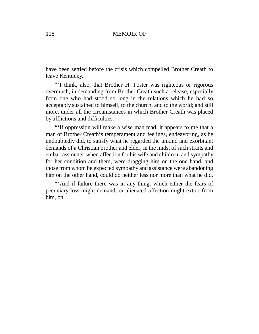have been settled before the crisis which compelled Brother Creath to leave Kentucky.

"'I think, also, that Brother H. Foster was righteous or rigorous overmuch, in demanding from Brother Creath such a release, especially from one who had stood so long in the relations which he had so acceptably sustained to himself, to the church, and to the world; and still more, under all the circumstances in which Brother Creath was placed by afflictions and difficulties.

"'If oppression will make a wise man mad, it appears to me that a man of Brother Creath's temperament and feelings, endeavoring, as he undoubtedly did, to satisfy what he regarded the unkind and exorbitant demands of a Christian brother and elder, in the midst of such straits and embarrassments, when affection for his wife and children, and sympathy for her condition and them, were dragging him on the one hand, and those from whom he expected sympathy and assistance were abandoning him on the other hand, could do neither less nor more than what he did.

"'And if failure there was in any thing, which either the fears of pecuniary loss might demand, or alienated affection might extort from him, on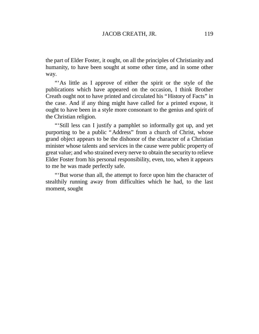the part of Elder Foster, it ought, on all the principles of Christianity and humanity, to have been sought at some other time, and in some other way.

"'As little as I approve of either the spirit or the style of the publications which have appeared on the occasion, I think Brother Creath ought not to have printed and circulated his "History of Facts"in the case. And if any thing might have called for a printed expose, it ought to have been in a style more consonant to the genius and spirit of the Christian religion.

"'Still less can I justify a pamphlet so informally got up, and yet purporting to be a public "Address" from a church of Christ, whose grand object appears to be the dishonor of the character of a Christian minister whose talents and services in the cause were public property of great value; and who strained every nerve to obtain the security to relieve Elder Foster from his personal responsibility, even, too, when it appears to me he was made perfectly safe.

"'But worse than all, the attempt to force upon him the character of stealthily running away from difficulties which he had, to the last moment, sought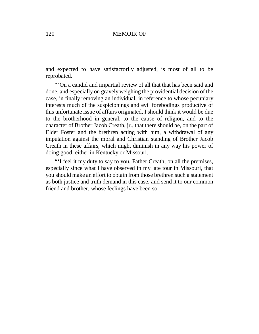and expected to have satisfactorily adjusted, is most of all to be reprobated.

"'On a candid and impartial review of all that that has been said and done, and especially on gravely weighing the providential decision of the case, in finally removing an individual, in reference to whose pecuniary interests much of the suspicionings and evil forebodings productive of this unfortunate issue of affairs originated, I should think it would be due to the brotherhood in general, to the cause of religion, and to the character of Brother Jacob Creath, jr., that there should be, on the part of Elder Foster and the brethren acting with him, a withdrawal of any imputation against the moral and Christian standing of Brother Jacob Creath in these affairs, which might diminish in any way his power of doing good, either in Kentucky or Missouri.

"'I feel it my duty to say to you, Father Creath, on all the premises, especially since what I have observed in my late tour in Missouri, that you should make an effort to obtain from those brethren such a statement as both justice and truth demand in this case, and send it to our common friend and brother, whose feelings have been so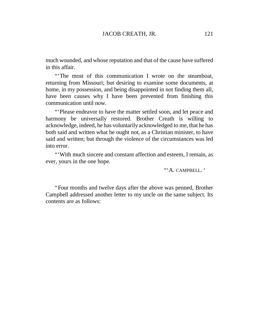much wounded, and whose reputation and that of the cause have suffered in this affair.

"'The most of this communication I wrote on the steamboat, returning from Missouri; but desiring to examine some documents, at home, in my possession, and being disappointed in not finding them all, have been causes why I have been prevented from finishing this communication until now.

"'Please endeavor to have the matter settled soon, and let peace and harmony be universally restored. Brother Creath is willing to acknowledge, indeed, he has voluntarily acknowledged to me, that he has both said and written what he ought not, as a Christian minister, to have said and written; but through the violence of the circumstances was led into error.

"'With much sincere and constant affection and esteem, I remain, as ever, yours in the one hope.

"'A. CAMPBELL. '

"Four months and twelve days after the above was penned, Brother Campbell addressed another letter to my uncle on the same subject. Its contents are as follows: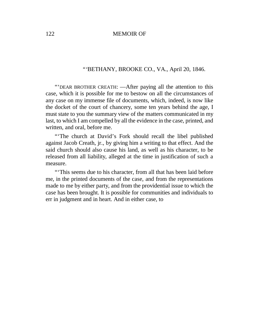## *"'*BETHANY, BROOKE CO., VA., April 20, 1846.

"'DEAR BROTHER CREATH: — After paying all the attention to this case, which it is possible for me to bestow on all the circumstances of any case on my immense file of documents, which, indeed, is now like the docket of the court of chancery, some ten years behind the age, I must state to you the summary view of the matters communicated in my last, to which I am compelled by all the evidence in the case, printed, and written, and oral, before me.

"'The church at David's Fork should recall the libel published against Jacob Creath, jr., by giving him a writing to that effect. And the said church should also cause his land, as well as his character, to be released from all liability, alleged at the time in justification of such a measure.

"'This seems due to his character, from all that has been laid before me, in the printed documents of the case, and from the representations made to me by either party, and from the providential issue to which the case has been brought. It is possible for communities and individuals to err in judgment and in heart. And in either case, to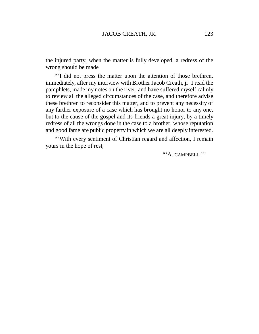the injured party, when the matter is fully developed, a redress of the wrong should be made

"'I did not press the matter upon the attention of those brethren, immediately, after my interview with Brother Jacob Creath, jr. I read the pamphlets, made my notes on the river, and have suffered myself calmly to review all the alleged circumstances of the case, and therefore advise these brethren to reconsider this matter, and to prevent any necessity of any farther exposure of a case which has brought no honor to any one, but to the cause of the gospel and its friends a great injury, by a timely redress of all the wrongs done in the case to a brother, whose reputation and good fame are public property in which we are all deeply interested.

"'With every sentiment of Christian regard and affection, I remain yours in the hope of rest,

"'A. CAMPBELL."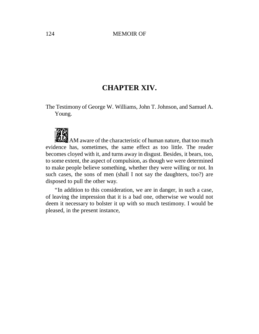# **CHAPTER XIV.**

The Testimony of George W. Williams, John T. Johnson, and Samuel A. Young.



AM aware of the characteristic of human nature, that too much evidence has, sometimes, the same effect as too little. The reader becomes cloyed with it, and turns away in disgust. Besides, it bears, too, to some extent, the aspect of compulsion, as though we were determined to make people believe something, whether they were willing or not. In such cases, the sons of men (shall I not say the daughters, too?) are disposed to pull the other way.

"In addition to this consideration, we are in danger, in such a case, of leaving the impression that it is a bad one, otherwise we would not deem it necessary to bolster it up with so much testimony. I would be pleased, in the present instance,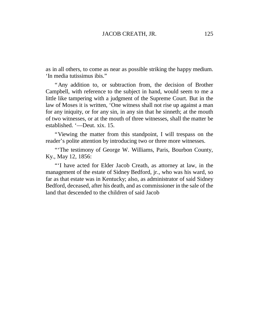as in all others, to come as near as possible striking the happy medium. 'In media tutissimus ibis."

"Any addition to, or subtraction from, the decision of Brother Campbell, with reference to the subject in hand, would seem to me a little like tampering with a judgment of the Supreme Court. But in the law of Moses it is written, 'One witness shall not rise up against a man for any iniquity, or for any sin, in any sin that he sinneth; at the mouth of two witnesses, or at the mouth of three witnesses, shall the matter be established. '— Deut. xix. 15.

"Viewing the matter from this standpoint, I will trespass on the reader's polite attention by introducing two or three more witnesses.

"The testimony of George W. Williams, Paris, Bourbon County, Ky., May 12, 1856:

"'I have acted for Elder Jacob Creath, as attorney at law, in the management of the estate of Sidney Bedford, jr., who was his ward, so far as that estate was in Kentucky; also, as administrator of said Sidney Bedford, deceased, after his death, and as commissioner in the sale of the land that descended to the children of said Jacob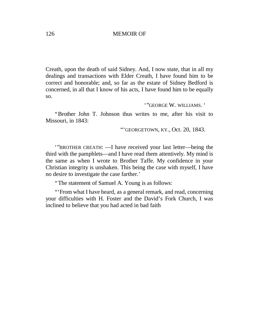Creath, upon the death of said Sidney. And, I now state, that in all my dealings and transactions with Elder Creath, I have found him to be correct and honorable; and, so far as the estate of Sidney Bedford is concerned, in all that I know of his acts, I have found him to be equally so.

## '"GEORGE W. WILLIAMS. '

"Brother John T. Johnson thus writes to me, after his visit to Missouri, in 1843:

"'GEORGETOWN, KY., Oct. 20, 1843.

'"BROTHER CREATH: — I have received your last letter— being the third with the pamphlets— and I have read them attentively. My mind is the same as when I wrote to Brother Taffe. My confidence in your Christian integrity is unshaken. This being the case with myself, I have no desire to investigate the case farther.'

"The statement of Samuel A. Young is as follows:

"'From what I have heard, as a general remark, and read, concerning your difficulties with H. Foster and the David's Fork Church, I was inclined to believe that you had acted in bad faith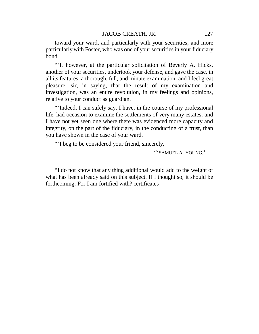toward your ward, and particularly with your securities; and more particularly with Foster, who was one of your securities in your fiduciary bond.

"'I, however, at the particular solicitation of Beverly A. Hicks, another of your securities, undertook your defense, and gave the case, in all its features, a thorough, full, and minute examination, and I feel great pleasure, sir, in saying, that the result of my examination and investigation, was an entire revolution, in my feelings and opinions, relative to your conduct as guardian.

"'Indeed, I can safely say, I have, in the course of my professional life, had occasion to examine the settlements of very many estates, and I have not yet seen one where there was evidenced more capacity and integrity, on the part of the fiduciary, in the conducting of a trust, than you have shown in the case of your ward.

"'I beg to be considered your friend, sincerely,

"'SAMUEL A. YOUNG.'

"I do not know that any thing additional would add to the weight of what has been already said on this subject. If I thought so, it should be forthcoming. For I am fortified with? certificates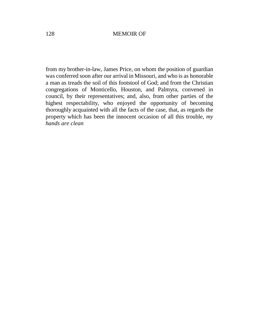from my brother-in-law, James Price, on whom the position of guardian was conferred soon after our arrival in Missouri, and who is as honorable a man as treads the soil of this footstool of God; and from the Christian congregations of Monticello, Houston, and Palmyra, convened in council, by their representatives; and, also, from other parties of the highest respectability, who enjoyed the opportunity of becoming thoroughly acquainted with all the facts of the case, that, as regards the property which has been the innocent occasion of all this trouble, *my hands are clean*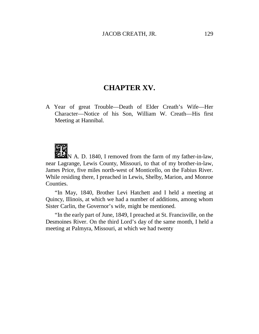## **CHAPTER XV.**

A Year of great Trouble— Death of Elder Creath's Wife— Her Character— Notice of his Son, William W. Creath— His first Meeting at Hannibal.

N A. D. 1840, I removed from the farm of my father-in-law, near Lagrange, Lewis County, Missouri, to that of my brother-in-law, James Price, five miles north-west of Monticello, on the Fabius River. While residing there, I preached in Lewis, Shelby, Marion, and Monroe Counties.

"In May, 1840, Brother Levi Hatchett and I held a meeting at Quincy, Illinois, at which we had a number of additions, among whom Sister Carlin, the Governor's wife, might be mentioned.

"In the early part of June, 1849, I preached at St. Francisville, on the Desmoines River. On the third Lord's day of the same month, I held a meeting at Palmyra, Missouri, at which we had twenty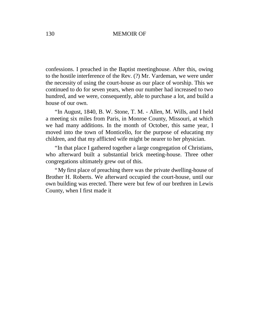confessions. I preached in the Baptist meetinghouse. After this, owing to the hostile interference of the Rev. (?) Mr. Vardeman, we were under the necessity of using the court-house as our place of worship. This we continued to do for seven years, when our number had increased to two hundred, and we were, consequently, able to purchase a lot, and build a house of our own.

"In August, 1840, B. W. Stone, T. M. - Allen, M. Wills, and I held a meeting six miles from Paris, in Monroe County, Missouri, at which we had many additions. In the month of October, this same year, I moved into the town of Monticello, for the purpose of educating my children, and that my afflicted wife might be nearer to her physician.

"In that place I gathered together a large congregation of Christians, who afterward built a substantial brick meeting-house. Three other congregations ultimately grew out of this.

"My first place of preaching there was the private dwelling-house of Brother H. Roberts. We afterward occupied the court-house, until our own building was erected. There were but few of our brethren in Lewis County, when I first made it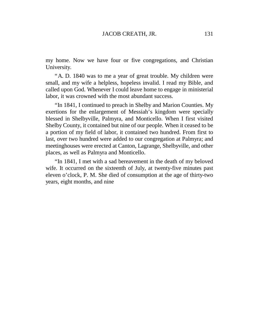my home. Now we have four or five congregations, and Christian University.

"A. D. 1840 was to me a year of great trouble. My children were small, and my wife a helpless, hopeless invalid. I read my Bible, and called upon God. Whenever I could leave home to engage in ministerial labor, it was crowned with the most abundant success.

"In 1841, I continued to preach in Shelby and Marion Counties. My exertions for the enlargement of Messiah's kingdom were specially blessed in Shelbyville, Palmyra, and Monticello. When I first visited Shelby County, it contained but nine of our people. When it ceased to be a portion of my field of labor, it contained two hundred. From first to last, over two hundred were added to our congregation at Palmyra; and meetinghouses were erected at Canton, Lagrange, Shelbyville, and other places, as well as Palmyra and Monticello.

"In 1841, I met with a sad bereavement in the death of my beloved wife. It occurred on the sixteenth of July, at twenty-five minutes past eleven o'clock, P. M. She died of consumption at the age of thirty-two years, eight months, and nine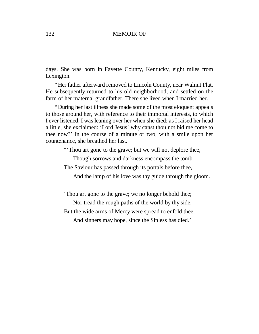days. She was born in Fayette County, Kentucky, eight miles from Lexington.

"Her father afterward removed to Lincoln County, near Walnut Flat. He subsequently returned to his old neighborhood, and settled on the farm of her maternal grandfather. There she lived when I married her.

"During her last illness she made some of the most eloquent appeals to those around her, with reference to their immortal interests, to which I ever listened. I was leaning over her when she died; as I raised her head a little, she exclaimed: 'Lord Jesus! why canst thou not bid me come to thee now?' In the course of a minute or two, with a smile upon her countenance, she breathed her last.

"'Thou art gone to the grave; but we will not deplore thee,

Though sorrows and darkness encompass the tomb.

The Saviour has passed through its portals before thee,

And the lamp of his love was thy guide through the gloom.

'Thou art gone to the grave; we no longer behold thee;

Nor tread the rough paths of the world by thy side;

But the wide arms of Mercy were spread to enfold thee,

And sinners may hope, since the Sinless has died.'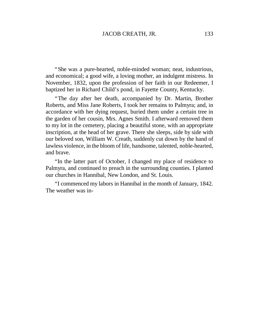"She was a pure-hearted, noble-minded woman; neat, industrious, and economical; a good wife, a loving mother, an indulgent mistress. In November, 1832, upon the profession of her faith in our Redeemer, I baptized her in Richard Child's pond, in Fayette County, Kentucky.

"The day after her death, accompanied by Dr. Martin, Brother Roberts, and Miss Jane Roberts, I took her remains to Palmyra; and, in accordance with her dying request, buried them under a certain tree in the garden of her cousin, Mrs. Agnes Smith. I afterward removed them to my lot in the cemetery, placing a beautiful stone, with an appropriate inscription, at the head of her grave. There she sleeps, side by side with our beloved son, William W. Creath, suddenly cut down by the hand of lawless violence, in the bloom of life, handsome, talented, noble-hearted, and brave.

"In the latter part of October, I changed my place of residence to Palmyra, and continued to preach in the surrounding counties. I planted our churches in Hannibal, New London, and St. Louis.

"I commenced my labors in Hannibal in the month of January, 1842. The weather was in-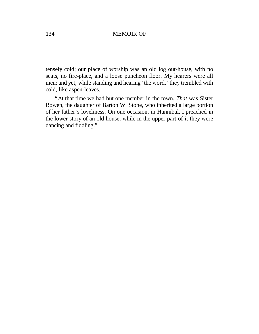tensely cold; our place of worship was an old log out-house, with no seats, no fire-place, and a loose puncheon floor. My hearers were all men; and yet, while standing and hearing 'the word,' they trembled with cold, like aspen-leaves.

"At that time we had but one member in the town. *That* was Sister Bowen, the daughter of Barton W. Stone, who inherited a large portion of her father's loveliness. On one occasion, in Hannibal, I preached in the lower story of an old house, while in the upper part of it they were dancing and fiddling."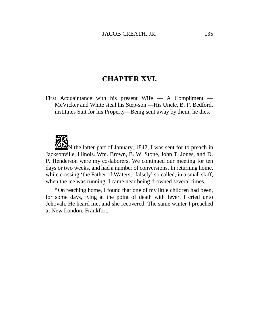## **CHAPTER XVI.**

First Acquaintance with his present Wife — A Compliment — McVicker and White steal his Step-son — His Uncle, B. F. Bedford, institutes Suit for his Property— Being sent away by them, he dies.



 $\mathbb{R}$  is the latter part of January, 1842, I was sent for to preach in Jacksonville, Illinois. Wm. Brown, B. W. Stone, John T. Jones, and D. P. Henderson were my co-laborers. We continued our meeting for ten days or two weeks, and had a number of conversions. In returning home, while crossing 'the Father of Waters,' falsely' so called, in a small skiff, when the ice was running, I came near being drowned several times.

"On reaching home, I found that one of my little children had been, for some days, lying at the point of death with fever. I cried unto Jehovah. He heard me, and she recovered. The same winter I preached at New London, Frankfort,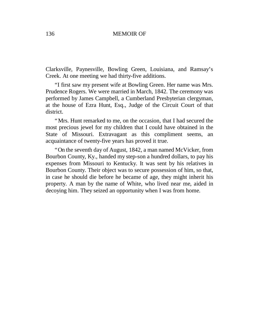Clarksville, Paynesville, Bowling Green, Louisiana, and Ramsay's Creek. At one meeting we had thirty-five additions.

"I first saw my present wife at Bowling Green. Her name was Mrs. Prudence Rogers. We were married in March, 1842. The ceremony was performed by James Campbell, a Cumberland Presbyterian clergyman, at the house of Ezra Hunt, Esq., Judge of the Circuit Court of that district.

"Mrs. Hunt remarked to me, on the occasion, that I had secured the most precious jewel for my children that I could have obtained in the State of Missouri. Extravagant as this compliment seems, an acquaintance of twenty-five years has proved it true.

"On the seventh day of August, 1842, a man named McVicker, from Bourbon County, Ky., handed my step-son a hundred dollars, to pay his expenses from Missouri to Kentucky. It was sent by his relatives in Bourbon County. Their object was to secure possession of him, so that, in case he should die before he became of age, they might inherit his property. A man by the name of White, who lived near me, aided in decoying him. They seized an opportunity when I was from home.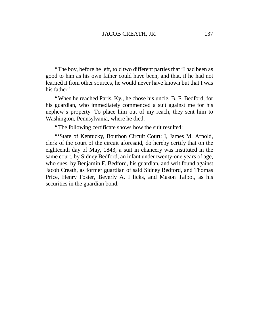"The boy, before he left, told two different parties that 'I had been as good to him as his own father could have been, and that, if he had not learned it from other sources, he would never have known but that I was his father.'

"When he reached Paris, Ky., he chose his uncle, B. F. Bedford, for his guardian, who immediately commenced a suit against me for his nephew's property. To place him out of my reach, they sent him to Washington, Pennsylvania, where he died.

"The following certificate shows how the suit resulted:

"'State of Kentucky, Bourbon Circuit Court: I, James M. Arnold, clerk of the court of the circuit aforesaid, do hereby certify that on the eighteenth day of May, 1843, a suit in chancery was instituted in the same court, by Sidney Bedford, an infant under twenty-one years of age, who sues, by Benjamin F. Bedford, his guardian, and writ found against Jacob Creath, as former guardian of said Sidney Bedford, and Thomas Price, Henry Foster, Beverly A. I licks, and Mason Talbot, as his securities in the guardian bond.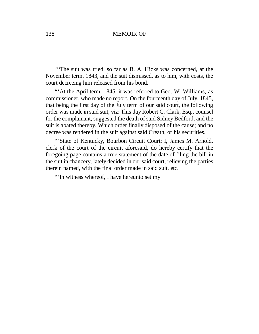*"'*The suit was tried, so far as B. A. Hicks was concerned, at the November term, 1843, and the suit dismissed, as to him, with costs, the court decreeing him released from his bond.

"'At the April term, 1845, it was referred to Geo. W. Williams, as commissioner, who made no report. On the fourteenth day of July, 1845, that being the first day of the July term of our said court, the following order was made in said suit, viz: This day Robert C. Clark, Esq., counsel for the complainant, suggested the death of said Sidney Bedford, and the suit is abated thereby. Which order finally disposed of the cause; and no decree was rendered in the suit against said Creath, or his securities.

"'State of Kentucky, Bourbon Circuit Court: I, James M. Arnold, clerk of the court of the circuit aforesaid, do hereby certify that the foregoing page contains a true statement of the date of filing the bill in the suit in chancery, lately decided in our said court, relieving the parties therein named, with the final order made in said suit, etc.

"'In witness whereof, I have hereunto set my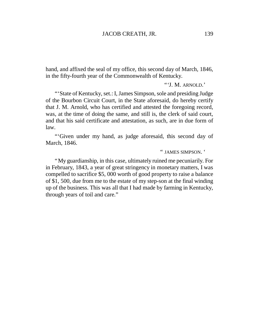hand, and affixed the seal of my office, this second day of March, 1846, in the fifty-fourth year of the Commonwealth of Kentucky.

*"'*J. M. ARNOLD.'

"State of Kentucky, set.: I, James Simpson, sole and presiding Judge of the Bourbon Circuit Court, in the State aforesaid, do hereby certify that J. M. Arnold, who has certified and attested the foregoing record, was, at the time of doing the same, and still is, the clerk of said court, and that his said certificate and attestation, as such, are in due form of law.

"'Given under my hand, as judge aforesaid, this second day of March, 1846.

" JAMES SIMPSON. '

"My guardianship, in this case, ultimately ruined me pecuniarily. For in February, 1843, a year of great stringency in monetary matters, I was compelled to sacrifice \$5, 000 worth of good property to raise a balance of \$1, 500, due from me to the estate of my step-son at the final winding up of the business. This was all that I had made by farming in Kentucky, through years of toil and care."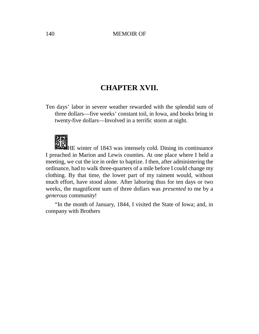# **CHAPTER XVII.**

Ten days'labor in severe weather rewarded with the splendid sum of three dollars— five weeks'constant toil, in Iowa, and books bring in twenty-five dollars— Involved in a terrific storm at night.

HE winter of 1843 was intensely cold. Dining its continuance I preached in Marion and Lewis counties. At one place where I held a meeting, we cut the ice in order to baptize. I then, after administering the ordinance, had to walk three-quarters of a mile before I could change my clothing. By that time, the lower part of my raiment would, without much effort, have stood alone. After laboring thus for ten days or two weeks, the magnificent sum of three dollars was *presented* to me by a *generous* community!

"In the month of January, 1844, I visited the State of Iowa; and, in company with Brothers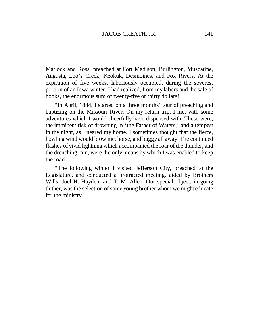Matlock and Ross, preached at Fort Madison, Burlington, Muscatine, Augusta, Loo's Creek, Keokuk, Desmoines, and Fox Rivers. At the expiration of five weeks, laboriously occupied, during the severest portion of an Iowa winter, I had realized, from my labors and the sale of books, the enormous sum of twenty-five or thirty dollars!

"In April, 1844, I started on a three months' tour of preaching and baptizing on the Missouri River. On my return trip, I met with some adventures which I would cheerfully have dispensed with. These were, the imminent risk of drowning in 'the Father of Waters,' and a tempest in the night, as I neared my home. I sometimes thought that the fierce, howling wind would blow me, horse, and buggy all away. The continued flashes of vivid lightning which accompanied the roar of the thunder, and the drenching rain, were the only means by which I was enabled to keep the road.

"The following winter I visited Jefferson City, preached to the Legislature, and conducted a protracted meeting, aided by Brothers Wills, Joel H. Hayden, and T. M. Allen. Our special object, in going thither, was the selection of some young brother whom we might educate for the ministry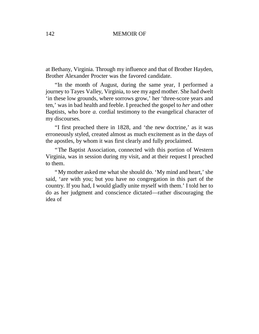at Bethany, Virginia. Through my influence and that of Brother Hayden, Brother Alexander Procter was the favored candidate.

"In the month of August, during the same year, I performed a journey to Tayes Valley, Virginia, to see my aged mother. She had dwelt 'in these low grounds, where sorrows grow,' her 'three-score years and ten,'was in bad health and feeble. I preached the gospel to *her* and other Baptists, who bore *a.* cordial testimony to the evangelical character of my discourses.

"I first preached there in 1828, and 'the new doctrine,' as it was erroneously styled, created almost as much excitement as in the days of the apostles, by whom it was first clearly and fully proclaimed.

"The Baptist Association, connected with this portion of Western Virginia, was in session during my visit, and at their request I preached to them.

"My mother asked me what she should do. 'My mind and heart,' she said, 'are with you; but you have no congregation in this part of the country. If you had, I would gladly unite myself with them.'I told her to do as her judgment and conscience dictated— rather discouraging the idea of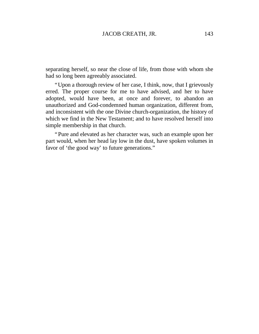separating herself, so near the close of life, from those with whom she had so long been agreeably associated.

"Upon a thorough review of her case, I think, now, that I grievously erred. The proper course for me to have advised, and her to have adopted, would have been, at once and forever, to abandon an unauthorized and God-condemned human organization, different from, and inconsistent with the one Divine church-organization, the history of which we find in the New Testament; and to have resolved herself into simple membership in that church.

"Pure and elevated as her character was, such an example upon her part would, when her head lay low in the dust, have spoken volumes in favor of 'the good way' to future generations."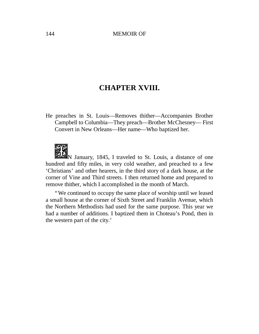# **CHAPTER XVIII.**

He preaches in St. Louis— Removes thither— Accompanies Brother Campbell to Columbia— They preach— Brother McChesney— First Convert in New Orleans— Her name— Who baptized her.

N January, 1845, I traveled to St. Louis, a distance of one hundred and fifty miles, in very cold weather, and preached to a few 'Christians' and other hearers, in the third story of a dark house, at the corner of Vine and Third streets. I then returned home and prepared to remove thither, which I accomplished in the month of March.

"We continued to occupy the same place of worship until we leased a small house at the corner of Sixth Street and Franklin Avenue, which the Northern Methodists had used for the same purpose. This year we had a number of additions. I baptized them in Choteau's Pond, then in the western part of the city.'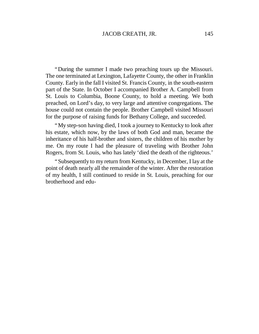"During the summer I made two preaching tours up the Missouri. The one terminated at Lexington, Lafayette County, the other in Franklin County. Early in the fall I visited St. Francis County, in the south-eastern part of the State. In October I accompanied Brother A. Campbell from St. Louis to Columbia, Boone County, to hold a meeting. We both preached, on Lord's day, to very large and attentive congregations. The house could not contain the people. Brother Campbell visited Missouri for the purpose of raising funds for Bethany College, and succeeded.

"My step-son having died, I took a journey to Kentucky to look after his estate, which now, by the laws of both God and man, became the inheritance of his half-brother and sisters, the children of his mother by me. On my route I had the pleasure of traveling with Brother John Rogers, from St. Louis, who has lately 'died the death of the righteous.'

"Subsequently to my return from Kentucky, in December, I lay at the point of death nearly all the remainder of the winter. After the restoration of my health, I still continued to reside in St. Louis, preaching for our brotherhood and edu-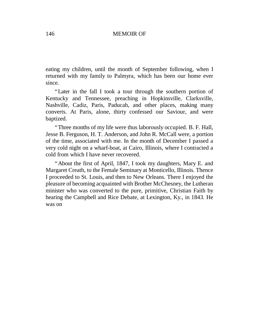eating my children, until the month of September following, when I returned with my family to Palmyra, which has been our home ever since.

"Later in the fall I took a tour through the southern portion of Kentucky and Tennessee, preaching in Hopkinsville, Clarksville, Nashville, Cadiz, Paris, Paducah, and other places, making many converts. At Paris, alone, thirty confessed our Saviour, and were baptized.

"Three months of my life were thus laborously occupied. B. F. Hall, Jesse B. Ferguson, H. T. Anderson, and John R. McCall were, a portion of the time, associated with me. In the month of December I passed a very cold night on a wharf-boat, at Cairo, Illinois, where I contracted a cold from which I have never recovered.

"About the first of April, 1847, I took my daughters, Mary E. and Margaret Creath, to the Female Seminary at Monticello, Illinois. Thence I proceeded to St. Louis, and then to New Orleans. There I enjoyed the pleasure of becoming acquainted with Brother McChesney, the Lutheran minister who was converted to the pure, primitive, Christian Faith by hearing the Campbell and Rice Debate, at Lexington, Ky., in 1843. He was on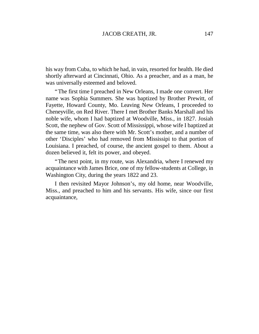his way from Cuba, to which he had, in vain, resorted for health. He died shortly afterward at Cincinnati, Ohio. As a preacher, and as a man, he was universally esteemed and beloved.

"The first time I preached in New Orleans, I made one convert. Her name was Sophia Summers. She was baptized by Brother Prewitt, of Fayette, Howard County, Mo. Leaving New Orleans, I proceeded to Cheneyville, on Red River. There I met Brother Banks Marshall and his noble wife, whom I had baptized at Woodville, Miss., in 1827. Josiah Scott, the nephew of Gov. Scott of Mississippi, whose wife I baptized at the same time, was also there with Mr. Scott's mother, and a number of other 'Disciples' who had removed from Mississipi to that portion of Louisiana. I preached, of course, the ancient gospel to them. About a dozen believed it, felt its power, and obeyed.

"The next point, in my route, was Alexandria, where I renewed my acquaintance with James Brice, one of my fellow-students at College, in Washington City, during the years 1822 and 23.

I then revisited Mayor Johnson's, my old home, near Woodville, Miss., and preached to him and his servants. His wife, since our first acquaintance,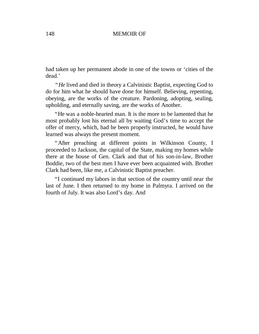had taken up her permanent abode in one of the towns or 'cities of the dead.'

*"He* lived and died in theory a Calvinistic Baptist, expecting God to do for him what he should have done for himself. Believing, repenting, obeying, are the works of the creature. Pardoning, adopting, sealing, upholding, and eternally saving, are the works of Another.

"He was a noble-hearted man. It is the more to be lamented that he most probably lost his eternal all by waiting God's time to accept the offer of mercy, which, had he been properly instructed, he would have learned was always the present moment.

"After preaching at different points in Wilkinson County, I proceeded to Jackson, the capital of the State, making my homes while there at the house of Gen. Clark and that of his son-in-law, Brother Boddie, two of the best men I have ever been acquainted with. Brother Clark had been, like me, a Calvinistic Baptist preacher.

"I continued my labors in that section of the country until near the last of June. I then returned to my home in Palmyra. I arrived on the fourth of July. It was also Lord's day. And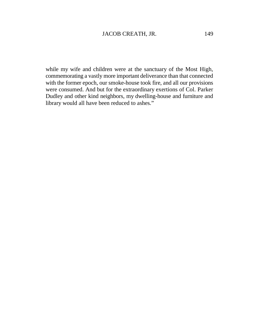while my wife and children were at the sanctuary of the Most High, commemorating a vastly more important deliverance than that connected with the former epoch, our smoke-house took fire, and all our provisions were consumed. And but for the extraordinary exertions of Col. Parker Dudley and other kind neighbors, my dwelling-house and furniture and library would all have been reduced to ashes."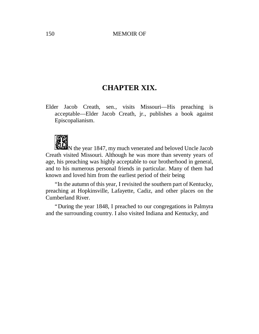# **CHAPTER XIX.**

Elder Jacob Creath, sen., visits Missouri— His preaching is acceptable— Elder Jacob Creath, jr., publishes a book against Episcopalianism.



N the year 1847, my much venerated and beloved Uncle Jacob Creath visited Missouri. Although he was more than seventy years of age, his preaching was highly acceptable to our brotherhood in general, and to his numerous personal friends in particular. Many of them had known and loved him from the earliest period of their being

"In the autumn of this year, I revisited the southern part of Kentucky, preaching at Hopkinsville, Lafayette, Cadiz, and other places on the Cumberland River.

"During the year 1848, I preached to our congregations in Palmyra and the surrounding country. I also visited Indiana and Kentucky, and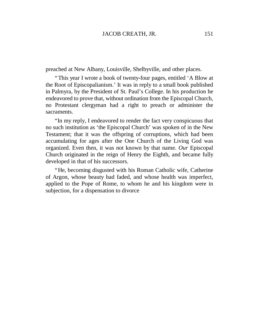preached at New Albany, Louisville, Shelbyville, and other places.

"This year I wrote a book of twenty-four pages, entitled 'A Blow at the Root of Episcopalianism.'It was in reply to a small book published in Palmyra, by the President of St. Paul's College. In his production he endeavored to prove that, without ordination from the Episcopal Church, no Protestant clergyman had a right to preach or administer the sacraments.

"In my reply, I endeavored to render the fact very conspicuous that no such institution as 'the Episcopal Church' was spoken of in the New Testament; that it was the offspring of corruptions, which had been accumulating for ages after the One Church of the Living God was organized. Even then, it was not known by that name. *Our* Episcopal Church originated in the reign of Henry the Eighth, and became fully developed in that of his successors.

"He, becoming disgusted with his Roman Catholic wife, Catherine of Argon, whose beauty had faded, and whose health was imperfect, applied to the Pope of Rome, to whom he and his kingdom were in subjection, for a dispensation to divorce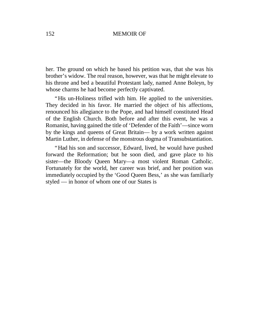her. The ground on which he based his petition was, that she was his brother's widow. The real reason, however, was that he might elevate to his throne and bed a beautiful Protestant lady, named Anne Boleyn, by whose charms he had become perfectly captivated.

"His un-Holiness trifled with him. He applied to the universities. They decided in his favor. He married the object of his affections, renounced his allegiance to the Pope, and had himself constituted Head of the English Church. Both before and after this event, he was a Romanist, having gained the title of 'Defender of the Faith'— since worn by the kings and queens of Great Britain— by a work written against Martin Luther, in defense of the monstrous dogma of Transubstantiation.

"Had his son and successor, Edward, lived, he would have pushed forward the Reformation; but he soon died, and gave place to his sister—the Bloody Queen Mary—a most violent Roman Catholic. Fortunately for the world, her career was brief, and her position was immediately occupied by the 'Good Queen Bess,' as she was familiarly styled — in honor of whom one of our States is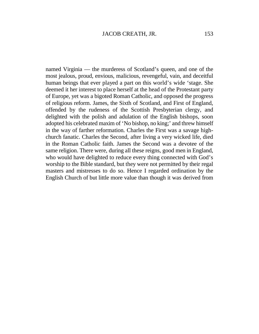named Virginia — the murderess of Scotland's queen, and one of the most jealous, proud, envious, malicious, revengeful, vain, and deceitful human beings that ever played a part on this world's wide 'stage. She deemed it her interest to place herself at the head of the Protestant party of Europe, yet was a bigoted Roman Catholic, and opposed the progress of religious reform. James, the Sixth of Scotland, and First of England, offended by the rudeness of the Scottish Presbyterian clergy, and delighted with the polish and adulation of the English bishops, soon adopted his celebrated maxim of 'No bishop, no king;'and threw himself in the way of farther reformation. Charles the First was a savage highchurch fanatic. Charles the Second, after living a very wicked life, died in the Roman Catholic faith. James the Second was a devotee of the same religion. There were, during all these reigns, good men in England, who would have delighted to reduce every thing connected with God's worship to the Bible standard, but they were not permitted by their regal masters and mistresses to do so. Hence I regarded ordination by the English Church of but little more value than though it was derived from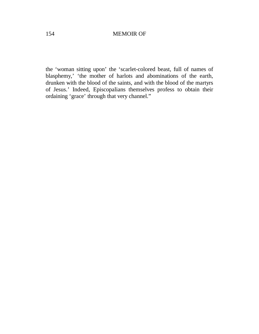the 'woman sitting upon' the 'scarlet-colored beast, full of names of blasphemy,' 'the mother of harlots and abominations of the earth, drunken with the blood of the saints, and with the blood of the martyrs of Jesus.' Indeed, Episcopalians themselves profess to obtain their ordaining 'grace' through that very channel."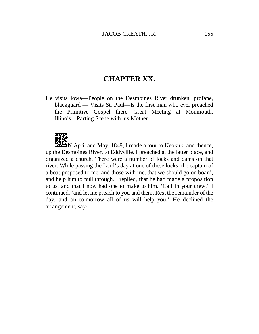# **CHAPTER XX.**

He visits Iowa— People on the Desmoines River drunken, profane, blackguard — Visits St. Paul— Is the first man who ever preached the Primitive Gospel there— Great Meeting at Monmouth, Illinois— Parting Scene with his Mother.



**NEW** April and May, 1849, I made a tour to Keokuk, and thence, up the Desmoines River, to Eddyville. I preached at the latter place, and organized a church. There were a number of locks and dams on that river. While passing the Lord's day at one of these locks, the captain of a boat proposed to me, and those with me, that we should go on board, and help him to pull through. I replied, that he had made a proposition to us, and that I now had one to make to him. 'Call in your crew,' I continued, 'and let me preach to you and them. Rest the remainder of the day, and on to-morrow all of us will help you.' He declined the arrangement, say-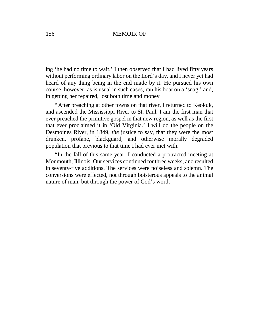ing 'he had no time to wait.'I then observed that I had lived fifty years without performing ordinary labor on the Lord's day, and I never yet had heard of any thing being in the end made by it. He pursued his own course, however, as is usual in such cases, ran his boat on a 'snag,'and, in getting her repaired, lost both time and money.

"After preaching at other towns on that river, I returned to Keokuk, and ascended the Mississippi River to St. Paul. I am the first man that ever preached the primitive gospel in that new region, as well as the first that ever proclaimed it in 'Old Virginia.' I will do the people on the Desmoines River, in 1849, *the* justice to say, that they were the most drunken, profane, blackguard, and otherwise morally degraded population that previous to that time I had ever met with.

"In the fall of this same year, I conducted a protracted meeting at Monmouth, Illinois. Our services continued for three weeks, and resulted in seventy-five additions. The services were noiseless and solemn. The conversions were effected, not through boisterous appeals to the animal nature of man, but through the power of God's word,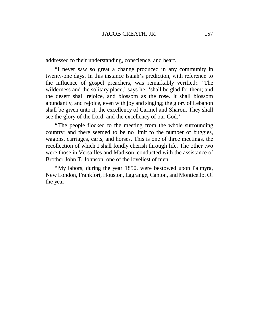addressed to their understanding, conscience, and heart.

"I never saw so great a change produced in any community in twenty-one days. In this instance Isaiah's prediction, with reference to the influence of gospel preachers, was remarkably verified:. 'The wilderness and the solitary place,' says he, 'shall be glad for them; and the desert shall rejoice, and blossom as the rose. It shall blossom abundantly, and rejoice, even with joy and singing; the glory of Lebanon shall be given unto it, the excellency of Carmel and Sharon. They shall see the glory of the Lord, and the excellency of our God.'

"The people flocked to the meeting from the whole surrounding country; and there seemed to be no limit to the number of buggies, wagons, carriages, carts, and horses. This is one of three meetings, the recollection of which I shall fondly cherish through life. The other two were those in Versailles and Madison, conducted with the assistance of Brother John T. Johnson, one of the loveliest of men.

"My labors, during the year 1850, were bestowed upon Palmyra, New London, Frankfort, Houston, Lagrange, Canton, and Monticello. Of the year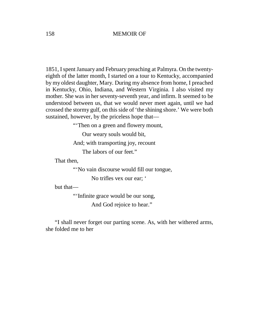1851, I spent January and February preaching at Palmyra. On the twentyeighth of the latter month, I started on a tour to Kentucky, accompanied by my oldest daughter, Mary. During my absence from home, I preached in Kentucky, Ohio, Indiana, and Western Virginia. I also visited my mother. She was in her seventy-seventh year, and infirm. It seemed to be understood between us, that we would never meet again, until we had crossed the stormy gulf, on this side of 'the shining shore.'We were both sustained, however, by the priceless hope that—

"Then on a green and flowery mount,

Our weary souls would bit,

And; with transporting joy, recount

The labors of our feet."

That then,

"'No vain discourse would fill our tongue,

No trifles vex our ear; '

but that—

"'Infinite grace would be our song,

And God rejoice to hear."

"I shall never forget our parting scene. As, with her withered arms, she folded me to her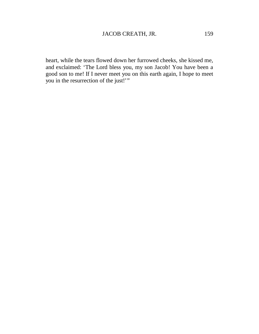heart, while the tears flowed down her furrowed cheeks, she kissed me, and exclaimed: 'The Lord bless you, my son Jacob! You have been a good son to me! If I never meet you on this earth again, I hope to meet you in the resurrection of the just!'"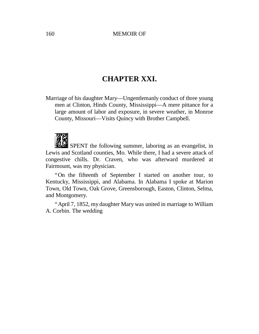# **CHAPTER XXI.**

Marriage of his daughter Mary— Ungentlemanly conduct of three young men at Clinton, Hinds County, Mississippi— A mere pittance for a large amount of labor and exposure, in severe weather, in Monroe County, Missouri— Visits Quincy with Brother Campbell.



SPENT the following summer, laboring as an evangelist, in Lewis and Scotland counties, Mo. While there, I had a severe attack of congestive chills. Dr. Craven, who was afterward murdered at Fairmount, was my physician.

"On the fifteenth of September I started on another tour, to Kentucky, Mississippi, and Alabama. In Alabama I spoke at Marion Town, Old Town, Oak Grove, Greensborough, Easton, Clinton, Selma, and Montgomery.

"April 7, 1852, my daughter Mary was united in marriage to William A. Corbin. The wedding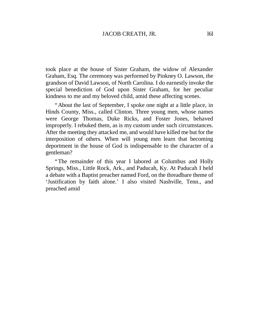took place at the house of Sister Graham, the widow of Alexander Graham, Esq. The ceremony was performed by Pinkney O. Lawson, the grandson of David Lawson, of North Carolina. I do earnestly invoke the special benediction of God upon Sister Graham, for her peculiar kindness to me and my beloved child, amid these affecting scenes.

"About the last of September, I spoke one night at a little place, in Hinds County, Miss., called Clinton. Three young men, whose names were George Thomas, Duke Ricks, and Foster Jones, behaved improperly. I rebuked them, as is my custom under such circumstances. After the meeting they attacked me, and would have killed me but for the interposition of others. When will young men learn that becoming deportment in the house of God is indispensable to the character of a gentleman?

"The remainder of this year I labored at Columbus and Holly Springs, Miss., Little Rock, Ark., and Paducah, Ky. At Paducah I held a debate with a Baptist preacher named Ford, on the threadbare theme of 'Justification by faith alone.' I also visited Nashville, Tenn., and preached amid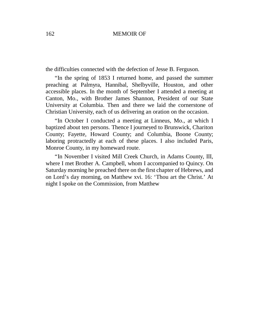the difficulties connected with the defection of Jesse B. Ferguson.

"In the spring of 1853 I returned home, and passed the summer preaching at Palmyra, Hannibal, Shelbyville, Houston, and other accessible places. In the month of September I attended a meeting at Canton, Mo., with Brother James Shannon, President of our State University at Columbia. Then and there we laid the cornerstone of Christian University, each of us delivering an oration on the occasion.

"In October I conducted a meeting at Linneus, Mo., at which I baptized about ten persons. Thence I journeyed to Brunswick, Chariton County; Fayette, Howard County; and Columbia, Boone County; laboring protractedly at each of these places. I also included Paris, Monroe County, in my homeward route.

"In November I visited Mill Creek Church, in Adams County, III, where I met Brother A. Campbell, whom I accompanied to Quincy. On Saturday morning he preached there on the first chapter of Hebrews, and on Lord's day morning, on Matthew xvi. 16: 'Thou art the Christ.' At night I spoke on the Commission, from Matthew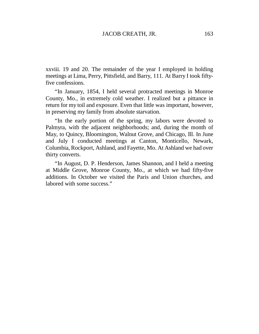xxviii. 19 and 20. The remainder of the year I employed in holding meetings at Lima, Perry, Pittsfield, and Barry, 111. At Barry I took fiftyfive confessions.

"In January, 1854, I held several protracted meetings in Monroe County, Mo., in extremely cold weather. I realized but a pittance in return for my toil and exposure. Even that little was important, however, in preserving my family from absolute starvation.

"In the early portion of the spring, my labors were devoted to Palmyra, with the adjacent neighborhoods; and, during the month of May, to Quincy, Bloomington, Walnut Grove, and Chicago, Ill. In June and July I conducted meetings at Canton, Monticello, Newark, Columbia, Rockport, Ashland, and Fayette, Mo. At Ashland we had over thirty converts.

"In August, D. P. Henderson, James Shannon, and I held a meeting at Middle Grove, Monroe County, Mo., at which we had fifty-five additions. In October we visited the Paris and Union churches, and labored with some success."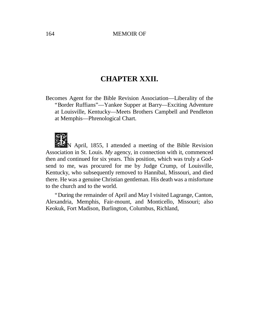# **CHAPTER XXII.**

Becomes Agent for the Bible Revision Association— Liberality of the "Border Ruffians"— Yankee Supper at Barry— Exciting Adventure at Louisville, Kentucky— Meets Brothers Campbell and Pendleton at Memphis— Phrenological Chart.



N April, 1855, I attended a meeting of the Bible Revision Association in St. Louis. *My* agency, in connection with it, commenced then and continued for six years. This position, which was truly a Godsend to me, was procured for me by Judge Crump, of Louisville, Kentucky, who subsequently removed to Hannibal, Missouri, and died there. He was a genuine Christian gentleman. His death was a misfortune to the church and to the world.

"During the remainder of April and May I visited Lagrange, Canton, Alexandria, Memphis, Fair-mount, and Monticello, Missouri; also Keokuk, Fort Madison, Burlington, Columbus, Richland,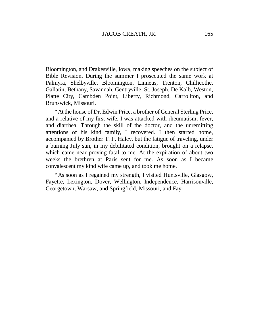Bloomington, and Drakesville, Iowa, making speeches on the subject of Bible Revision. During the summer I prosecuted the same work at Palmyra, Shelbyville, Bloomington, Linneus, Trenton, Chillicothe, Gallatin, Bethany, Savannah, Gentryville, St. Joseph, De Kalb, Weston, Platte City, Cambden Point, Liberty, Richmond, Carrollton, and Brunswick, Missouri.

"At the house of Dr. Edwin Price, a brother of General Sterling Price, and a relative of my first wife, I was attacked with rheumatism, fever, and diarrhea. Through the skill of the doctor, and the unremitting attentions of his kind family, I recovered. I then started home, accompanied by Brother T. P. Haley, but the fatigue of traveling, under a burning July sun, in my debilitated condition, brought on a relapse, which came near proving fatal to me. At the expiration of about two weeks the brethren at Paris sent for me. As soon as I became convalescent my kind wife came up, and took me home.

"As soon as I regained my strength, I visited Huntsville, Glasgow, Fayette, Lexington, Dover, Wellington, Independence, Harrisonville, Georgetown, Warsaw, and Springfield, Missouri, and Fay-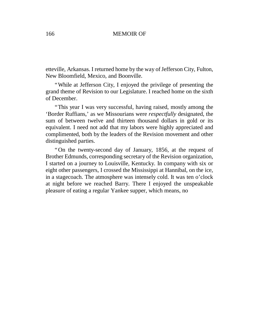etteville, Arkansas. I returned home by the way of Jefferson City, Fulton, New Bloomfield, Mexico, and Boonville.

"While at Jefferson City, I enjoyed the privilege of presenting the grand theme of Revision to our Legislature. I reached home on the sixth of December.

"This year I was very successful, having raised, mostly among the 'Border Ruffians,' as we Missourians were *respectfully* designated, the sum of between twelve and thirteen thousand dollars in gold or its equivalent. I need not add that my labors were highly appreciated and complimented, both by the leaders of the Revision movement and other distinguished parties.

"On the twenty-second day of January, 1856, at the request of Brother Edmunds, corresponding secretary of the Revision organization, I started on a journey to Louisville, Kentucky. In company with six or eight other passengers, I crossed the Mississippi at Hannibal, on the ice, in a stagecoach. The atmosphere was intensely cold. It was ten o'clock at night before we reached Barry. There I enjoyed the unspeakable pleasure of eating a regular Yankee supper, which means, no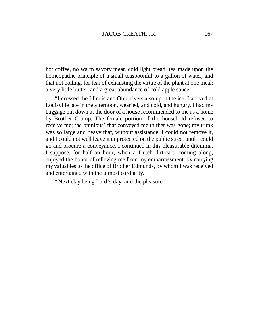hot coffee, no warm savory meat, cold light bread, tea made upon the homeopathic principle of a small teaspoonful to a gallon of water, and that not boiling, for fear of exhausting the virtue of the plant at one meal; a very little butter, and a great abundance of cold apple sauce.

"I crossed the Illinois and Ohio rivers also upon the ice. I arrived at Louisville late in the afternoon, wearied, and cold, and hungry. I had my baggage put down at the door of a house recommended to me as a home by Brother Crump. The female portion of the household refused to receive me; the omnibus' that conveyed me thither was gone; my trunk was so large and heavy that, without assistance, I could not remove it, and I could not well leave it unprotected on the public street until I could go and procure a conveyance. I continued in this pleasurable dilemma, I suppose, for half an hour, when a Dutch dirt-cart, coming along, enjoyed the honor of relieving me from my embarrassment, by carrying my valuables to the office of Brother Edmunds, by whom I was received and entertained with the utmost cordiality.

"Next clay being Lord's day, and the pleasure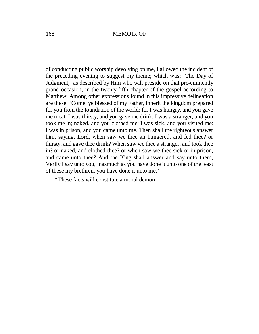of conducting public worship devolving on me, I allowed the incident of the preceding evening to suggest my theme; which was: 'The Day of Judgment,' as described by Him who will preside on that pre-eminently grand occasion, in the twenty-fifth chapter of the gospel according to Matthew. Among other expressions found in this impressive delineation are these: 'Come, ye blessed of my Father, inherit the kingdom prepared for you from the foundation of the world: for I was hungry, and you gave me meat: I was thirsty, and you gave me drink: I was a stranger, and you took me in; naked, and you clothed me: I was sick, and you visited me: I was in prison, and you came unto me. Then shall the righteous answer him, saying, Lord, when saw we thee an hungered, and fed thee? or thirsty, and gave thee drink? When saw we thee a stranger, and took thee in? or naked, and clothed thee? or when saw we thee sick or in prison, and came unto thee? And the King shall answer and say unto them, Verily I say unto you, Inasmuch as you have done it unto one of the least of these my brethren, you have done it unto me.'

"These facts will constitute a moral demon-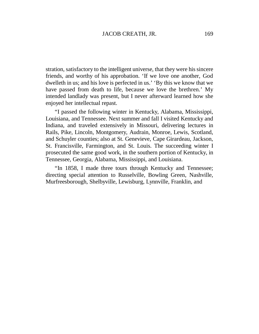stration, satisfactory to the intelligent universe, that they were his sincere friends, and worthy of his approbation. 'If we love one another, God dwelleth in us; and his love is perfected in us.' 'By this we know that we have passed from death to life, because we love the brethren.' My intended landlady was present, but I never afterward learned how she enjoyed her intellectual repast.

"I passed the following winter in Kentucky, Alabama, Mississippi, Louisiana, and Tennessee. Next summer and fall I visited Kentucky and Indiana, and traveled extensively in Missouri, delivering lectures in Rails, Pike, Lincoln, Montgomery, Audrain, Monroe, Lewis, Scotland, and Schuyler counties; also at St. Genevieve, Cape Girardeau, Jackson, St. Francisville, Farmington, and St. Louis. The succeeding winter I prosecuted the same good work, in the southern portion of Kentucky, in Tennessee, Georgia, Alabama, Mississippi, and Louisiana.

"In 1858, I made three tours through Kentucky and Tennessee; directing special attention to Russelville, Bowling Green, Nashville, Murfreesborough, Shelbyville, Lewisburg, Lynnville, Franklin, and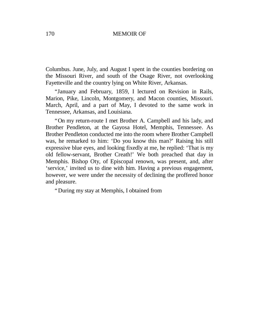Columbus. June, July, and August I spent in the counties bordering on the Missouri River, and south of the Osage River, not overlooking Fayetteville and the country lying on White River, Arkansas.

"January and February, 1859, I lectured on Revision in Rails, Marion, Pike, Lincoln, Montgomery, and Macon counties, Missouri. March, April, and a part of May, I devoted to the same work in Tennessee, Arkansas, and Louisiana.

"On my return-route I met Brother A. Campbell and his lady, and Brother Pendleton, at the Gayosa Hotel, Memphis, Tennessee. As Brother Pendleton conducted me into the room where Brother Campbell was, he remarked to him: 'Do you know this man?' Raising his still expressive blue eyes, and looking fixedly at me, he replied: 'That is my old fellow-servant, Brother Creath!' We both preached that day in Memphis. Bishop Oty, of Episcopal renown, was present, and, after 'service,'invited us to dine with him. Having a previous engagement, however, we were under the necessity of declining the proffered honor and pleasure.

"During my stay at Memphis, I obtained from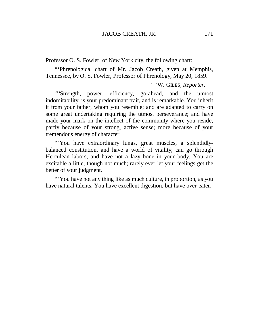Professor O. S. Fowler, of New York city, the following chart:

"'Phrenological chart of Mr. Jacob Creath, given at Memphis, Tennessee, by O. S. Fowler, Professor of Phrenology, May 20, 1859.

" 'W. GILES, *Reporter.*

*"'*Strength, power, efficiency, go-ahead, and the utmost indomitability, is your predominant trait, and is remarkable. You inherit it from your father, whom you resemble; and are adapted to carry on some great undertaking requiring the utmost perseverance; and have made your mark on the intellect of the community where you reside, partly because of your strong, active sense; more because of your tremendous energy of character.

"You have extraordinary lungs, great muscles, a splendidlybalanced constitution, and have a world of vitality; can go through Herculean labors, and have not a lazy bone in your body. You are excitable a little, though not much; rarely ever let your feelings get the better of your judgment.

"'You have not any thing like as much culture, in proportion, as you have natural talents. You have excellent digestion, but have over-eaten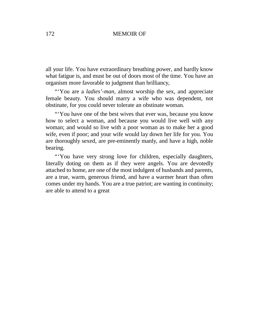all your life. You have extraordinary breathing power, and hardly know what fatigue is, and must be out of doors most of the time. You have an organism more favorable to judgment than brilliancy,

"'You are a *ladies'-man,* almost worship the sex, and appreciate female beauty. You should marry a wife who was dependent, not obstinate, for you could never tolerate an obstinate woman.

"You have one of the best wives that ever was, because you know how to select a woman, and because you would live well with any woman; and would so live with a poor woman as to make her a good wife, even if poor; and your wife would lay down her life for you. You are thoroughly sexed, are pre-eminently manly, and have a high, noble bearing.

"'You have very strong love for children, especially daughters, literally doting on them as if they were angels. You are devotedly attached to home, are one of the most indulgent of husbands and parents, are a true, warm, generous friend, and have a warmer heart than often comes under my hands. You are a true patriot; are wanting in continuity; are able to attend to a great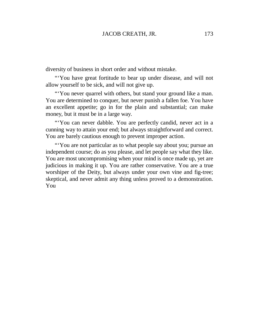diversity of business in short order and without mistake.

"'You have great fortitude to bear up under disease, and will not allow yourself to be sick, and will not give up.

"You never quarrel with others, but stand your ground like a man." You are determined to conquer, but never punish a fallen foe. You have an excellent appetite; go in for the plain and substantial; can make money, but it must be in a large way.

"'You can never dabble. You are perfectly candid, never act in a cunning way to attain your end; but always straightforward and correct. You are barely cautious enough to prevent improper action.

"'You are not particular as to what people say about you; pursue an independent course; do as you please, and let people say what they like. You are most uncompromising when your mind is once made up, yet are judicious in making it up. You are rather conservative. You are a true worshiper of the Deity, but always under your own vine and fig-tree; skeptical, and never admit any thing unless proved to a demonstration. You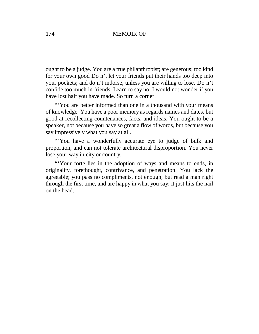ought to be a judge. You are a true philanthropist; are generous; too kind for your own good Do n't let your friends put their hands too deep into your pockets; and do n't indorse, unless you are willing to lose. Do n't confide too much in friends. Learn to say no. I would not wonder if you have lost half you have made. So turn a corner.

"'You are better informed than one in a thousand with your means of knowledge. You have a poor memory as regards names and dates, but good at recollecting countenances, facts, and ideas. You ought to be a speaker, not because you have so great a flow of words, but because you say impressively what you say at all.

"You have a wonderfully accurate eye to judge of bulk and proportion, and can not tolerate architectural disproportion. You never lose your way in city or country.

"'Your forte lies in the adoption of ways and means to ends, in originality, forethought, contrivance, and penetration. You lack the agreeable; you pass no compliments, not enough; but read a man right through the first time, and are happy in what you say; it just hits the nail on the head.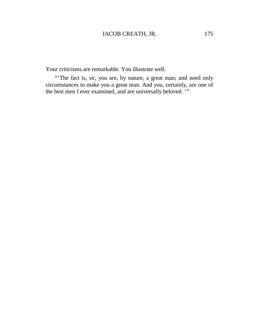# JACOB CREATH, JR. 175

Your criticisms are remarkable. You illustrate well.

"The fact is, sir, you are, by nature, a great man; and need only circumstances to make you a great man. And you, certainly, are one of the best men I ever examined, and are universally beloved. ""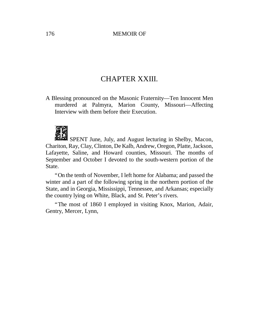# CHAPTER XXIII.

A Blessing pronounced on the Masonic Fraternity— Ten Innocent Men murdered at Palmyra, Marion County, Missouri— Affecting Interview with them before their Execution.



SPENT June, July, and August lecturing in Shelby, Macon, Chariton, Ray, Clay, Clinton, De Kalb, Andrew, Oregon, Platte, Jackson, Lafayette, Saline, and Howard counties, Missouri. The months of September and October I devoted to the south-western portion of the State.

"On the tenth of November, I left home for Alabama; and passed the winter and a part of the following spring in the northern portion of the State, and in Georgia, Mississippi, Tennessee, and Arkansas; especially the country lying on White, Black, and St. Peter's rivers.

"The most of 1860 I employed in visiting Knox, Marion, Adair, Gentry, Mercer, Lynn,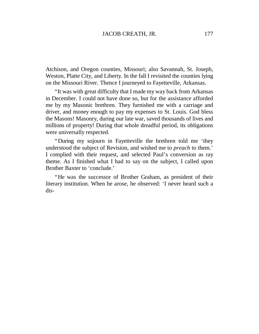Atchison, and Oregon counties, Missouri; also Savannah, St. Joseph, Weston, Platte City, and Liberty. In the fall I revisited the counties lying on the Missouri River. Thence I journeyed to Fayetteville, Arkansas.

"It was with great difficulty that I made my way back from Arkansas in December. I could not have done so, but for the assistance afforded me by my Masonic brethren. They furnished me with a carriage and driver, and money enough to pay my expenses to St. Louis. God bless the Masons! Masonry, during our late war, saved thousands of lives and millions of property! During that whole dreadful period, its obligations were universally respected.

"During my sojourn in Fayetteville the brethren told me 'they understood the subject of Revision, and wished me to *preach* to them.' I complied with their request, and selected Paul's conversion as ray theme. As I finished what I had to say on the subject, I called upon Brother Baxter to 'conclude.'

"He was the successor of Brother Graham, as president of their literary institution. When he arose, he observed: 'I never heard such a dis-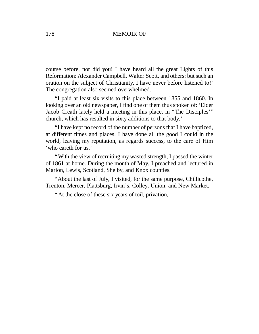course before, nor did you! I have heard all the great Lights of this Reformation: Alexander Campbell, Walter Scott, and others: but such an oration on the subject of Christianity, I have never before listened to!' The congregation also seemed overwhelmed.

"I paid at least six visits to this place between 1855 and 1860. In looking over an old newspaper, I find one of them thus spoken of: 'Elder Jacob Creath lately held a meeting in this place, in "The Disciples'" church, which has resulted in sixty additions to that body.'

"I have kept no record of the number of persons that I have baptized, at different times and places. I have done all the good I could in the world, leaving my reputation, as regards success, to the care of Him 'who careth for us.'

"With the view of recruiting my wasted strength, I passed the winter of 1861 at home. During the month of May, I preached and lectured in Marion, Lewis, Scotland, Shelby, and Knox counties.

"About the last of July, I visited, for the same purpose, Chillicothe, Trenton, Mercer, Plattsburg, Irvin's, Colley, Union, and New Market.

"At the close of these six years of toil, privation,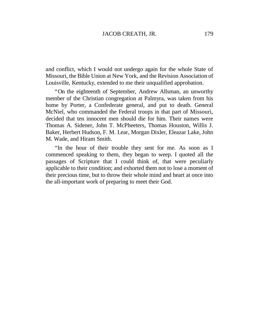and conflict, which I would not undergo again for the whole State of Missouri, the Bible Union at New York, and the Revision Association of Louisville, Kentucky, extended to me their unqualified approbation.

"On the eighteenth of September, Andrew Allsman, an unworthy member of the Christian congregation at Palmyra, was taken from his home by Porter, a Confederate general, and put to death. General McNiel, who commanded the Federal troops in that part of Missouri, decided that ten innocent men should die for him. Their names were Thomas A. Sidener, John T. McPheeters, Thomas Houston, Willis J. Baker, Herbert Hudson, F. M. Lear, Morgan Dixler, Eleazar Lake, John M. Wade, and Hiram Smith.

"In the hour of their trouble they sent for me. As soon as I commenced speaking to them, they began to weep. I quoted all the passages of Scripture that I could think of, that were peculiarly applicable to their condition; and exhorted them not to lose a moment of their precious time, but to throw their whole mind and heart at once into the all-important work of preparing to meet their God.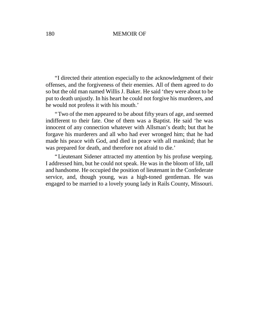"I directed their attention especially to the acknowledgment of their offenses, and the forgiveness of their enemies. All of them agreed to do so but the old man named Willis J. Baker. He said 'they were about to be put to death unjustly. In his heart he could not forgive his murderers, and he would not profess it with his mouth.'

"Two of the men appeared to be about fifty years of age, and seemed indifferent to their fate. One of them was a Baptist. He said 'he was innocent of any connection whatever with Allsman's death; but that he forgave his murderers and all who had ever wronged him; that he had made his peace with God, and died in peace with all mankind; that he was prepared for death, and therefore not afraid to die.'

"Lieutenant Sidener attracted my attention by his profuse weeping. I addressed him, but he could not speak. He was in the bloom of life, tall and handsome. He occupied the position of lieutenant in the Confederate service, and, though young, was a high-toned gentleman. He was engaged to be married to a lovely young lady in Rails County, Missouri.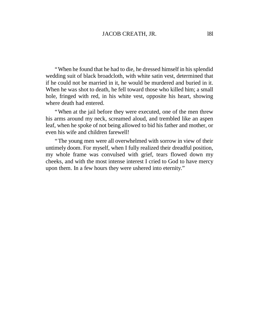"When he found that he had to die, he dressed himself in his splendid wedding suit of black broadcloth, with white satin vest, determined that if he could not be married in it, he would be murdered and buried in it. When he was shot to death, he fell toward those who killed him; a small hole, fringed with red, in his white vest, opposite his heart, showing where death had entered.

"When at the jail before they were executed, one of the men threw his arms around my neck, screamed aloud, and trembled like an aspen leaf, when he spoke of not being allowed to bid his father and mother, or even his wife and children farewell!

"The young men were all overwhelmed with sorrow in view of their untimely doom. For myself, when I fully realized their dreadful position, my whole frame was convulsed with grief, tears flowed down my cheeks, and with the most intense interest I cried to God to have mercy upon them. In a few hours they were ushered into eternity."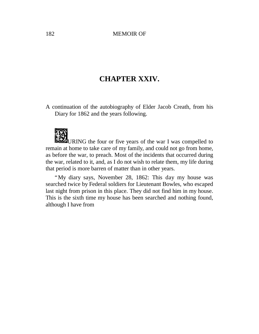# **CHAPTER XXIV.**

A continuation of the autobiography of Elder Jacob Creath, from his Diary for 1862 and the years following.



URING the four or five years of the war I was compelled to remain at home to take care of my family, and could not go from home, as before the war, to preach. Most of the incidents that occurred during the war, related to it, and, as I do not wish to relate them, my life during that period is more barren of matter than in other years.

"My diary says, November 28, 1862: This day my house was searched twice by Federal soldiers for Lieutenant Bowles, who escaped last night from prison in this place. They did not find him in my house. This is the sixth time my house has been searched and nothing found, although I have from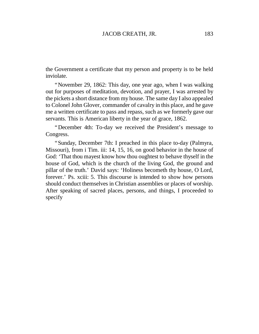the Government a certificate that my person and property is to be held inviolate.

"November 29, 1862: This day, one year ago, when I was walking out for purposes of meditation, devotion, and prayer, I was arrested by the pickets a short distance from my house. The same day I also appealed to Colonel John Glover, commander of cavalry in this place, and he gave me a written certificate to pass and repass, such as we formerly gave our servants. This is American liberty in the year of grace, 1862.

"December 4th: To-day we received the President's message to Congress.

"Sunday, December 7th: I preached in this place to-day (Palmyra, Missouri), from i Tim. iii: 14, 15, 16, on good behavior in the house of God: 'That thou mayest know how thou oughtest to behave thyself in the house of God, which is the church of the living God, the ground and pillar of the truth.' David says: 'Holiness becometh thy house, O Lord, forever.'Ps. xciii: 5. This discourse is intended to show how persons should conduct themselves in Christian assemblies or places of worship. After speaking of sacred places, persons, and things, I proceeded to specify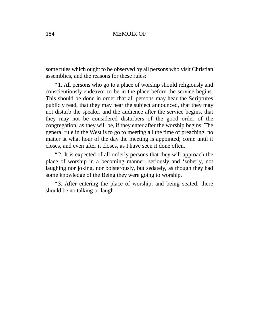some rules which ought to be observed by all persons who visit Christian assemblies, and the reasons for these rules:

"1. All persons who go to a place of worship should religiously and conscientiously endeavor to be in the place before the service begins. This should be done in order that all persons may hear the Scriptures publicly read, that they may hear the subject announced, that they may not disturb the speaker and the audience after the service begins, that they may not be considered disturbers of the good order of the congregation, as they will be, if they enter after the worship begins. The general rule in the West is to go to meeting all the time of preaching, no matter at what hour of the day the meeting is appointed; come until it closes, and even after it closes, as I have seen it done often.

"2. It is expected of all orderly persons that they will approach the place of worship in a becoming manner, seriously and 'soberly, not laughing nor joking, nor boisterously, but sedately, as though they had some knowledge of the Being they were going to worship.

"3. After entering the place of worship, and being seated, there should be no talking or laugh-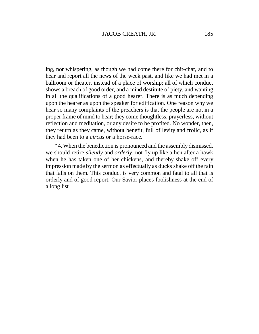ing, nor whispering, as though we had come there for chit-chat, and to hear and report all the news of the week past, and like we had met in a ballroom or theater, instead of a place of worship; all of which conduct shows a breach of good order, and a mind destitute of piety, and wanting in all the qualifications of a good hearer. There is as much depending upon the hearer as upon the speaker for edification. One reason why we hear so many complaints of the preachers is that the people are not in a proper frame of mind to hear; they come thoughtless, prayerless, without reflection and meditation, or any desire to be profited. No wonder, then, they return as they came, without benefit, full of levity and frolic, as if they had been to a *circus* or a horse-race.

"4. When the benediction is pronounced and the assembly dismissed, we should retire *silently* and *orderly,* not fly up like a hen after a hawk when he has taken one of her chickens, and thereby shake off every impression made by the sermon as effectually as ducks shake off the rain that falls on them. This conduct is very common and fatal to all that is orderly and of good report. Our Savior places foolishness at the end of a long list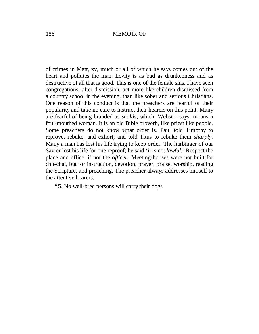of crimes in Matt, xv, much or all of which he says comes out of the heart and pollutes the man. Levity is as bad as drunkenness and as destructive of all that is good. This is one of the female sins. I have seen congregations, after dismission, act more like children dismissed from a country school in the evening, than like sober and serious Christians. One reason of this conduct is that the preachers are fearful of their popularity and take no care to instruct their hearers on this point. Many are fearful of being branded as *scolds,* which, Webster says, means a foul-mouthed woman. It is an old Bible proverb, like priest like people. Some preachers do not know what order is. Paul told Timothy to reprove, rebuke, and exhort; and told Titus to rebuke them *sharply.* Many a man has lost his life trying to keep order. The harbinger of our Savior lost his life for one reproof; he said 'it is not *lawful.'*Respect the place and office, if not the *officer.* Meeting-houses were not built for chit-chat, but for instruction, devotion, prayer, praise, worship, reading the Scripture, and preaching. The preacher always addresses himself to the attentive hearers.

"5. No well-bred persons will carry their dogs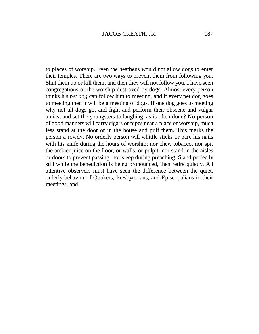to places of worship. Even the heathens would not allow dogs to enter their temples. There are two ways to prevent them from following you. Shut them up or kill them, and then they will not follow you. I have seen congregations or the worship destroyed by dogs. Almost every person thinks his *pet dog* can follow him to meeting, and if every pet dog goes to meeting then it will be a meeting of dogs. If one dog goes to meeting why not all dogs go, and fight and perform their obscene and vulgar antics, and set the youngsters to laughing, as is often done? No person of good manners will carry cigars or pipes near a place of worship, much less stand at the door or in the house and puff them. This marks the person a rowdy. No orderly person will whittle sticks or pare his nails with his knife during the hours of worship; nor chew tobacco, nor spit the ambier juice on the floor, or walls, or pulpit; nor stand in the aisles or doors to prevent passing, nor sleep during preaching. Stand perfectly still while the benediction is being pronounced, then retire quietly. All attentive observers must have seen the difference between the quiet, orderly behavior of Quakers, Presbyterians, and Episcopalians in their meetings, and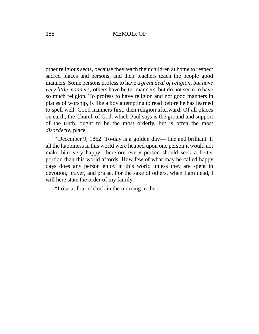other religious sects, because they teach their children at home to respect sacred places and persons, and their teachers teach the people good manners. Some persons professto have a *great deal of religion, but have very little manners;* others have better manners, but do not seem to have so much religion. To profess to have religion and not good manners in places of worship, is like a boy attempting to read before he has learned to spell well. Good manners first, then religion afterward. Of all places on earth, the Church of God, which Paul says is the ground and support of the truth, ought to be the most orderly, but is often the most *disorderly,* place.

"December 9, 1862: To-day is a golden day— fine and brilliant. If all the happiness in this world were heaped upon one person it would not make him very happy; therefore every person should seek a better portion than this world affords. How few of what may be called happy days does any person enjoy in this world unless they are spent in devotion, prayer, and praise. For the sake of others, when I am dead, I will here state the order of my family.

"I rise at four o'clock in the morning in the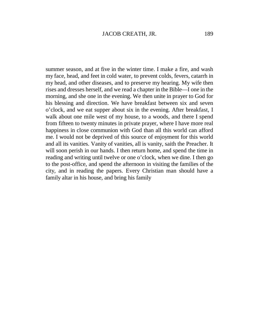summer season, and at five in the winter time. I make a fire, and wash my face, head, and feet in cold water, to prevent colds, fevers, catarrh in my head, and other diseases, and to preserve my hearing. My wife then rises and dresses herself, and we read a chapter in the Bible— I one in the morning, and she one in the evening. We then unite in prayer to God for his blessing and direction. We have breakfast between six and seven o'clock, and we eat supper about six in the evening. After breakfast, I walk about one mile west of my house, to a woods, and there I spend from fifteen to twenty minutes in private prayer, where I have more real happiness in close communion with God than all this world can afford me. I would not be deprived of this source of enjoyment for this world and all its vanities. Vanity of vanities, all is vanity, saith the Preacher. It will soon perish in our hands. I then return home, and spend the time in reading and writing until twelve or one o'clock, when we dine. I then go to the post-office, and spend the afternoon in visiting the families of the city, and in reading the papers. Every Christian man should have a family altar in his house, and bring his family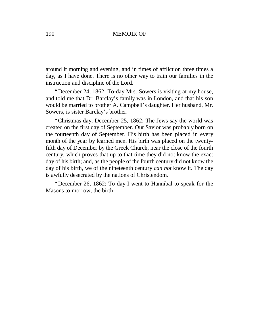around it morning and evening, and in times of affliction three times a day, as I have done. There is no other way to train our families in the instruction and discipline of the Lord.

"December 24, 1862: To-day Mrs. Sowers is visiting at my house, and told me that Dr. Barclay's family was in London, and that his son would be married to brother A. Campbell's daughter. Her husband, Mr. Sowers, is sister Barclay's brother.

"Christmas day, December 25, 1862: The Jews say the world was created on the first day of September. Our Savior was probably born on the fourteenth day of September. His birth has been placed in every month of the year by learned men. His birth was placed on the twentyfifth day of December by the Greek Church, near the close of the fourth century, which proves that up to that time they did not know the exact day of his birth; and, as the people of the fourth century did not know the day of his birth, we of the nineteenth century *can not* know it. The day is awfully desecrated by the nations of Christendom.

"December 26, 1862: To-day I went to Hannibal to speak for the Masons to-morrow, the birth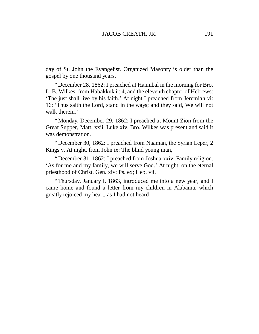day of St. John the Evangelist. Organized Masonry is older than the gospel by one thousand years.

"December 28, 1862: I preached at Hannibal in the morning for Bro. L. B. Wilkes, from Habakkuk ii: 4, and the eleventh chapter of Hebrews: 'The just shall live by his faith.'At night I preached from Jeremiah vi: 16: 'Thus saith the Lord, stand in the ways; and they said, We will not walk therein.'

"Monday, December 29, 1862: I preached at Mount Zion from the Great Supper, Matt, xxii; Luke xiv. Bro. Wilkes was present and said it was demonstration.

"December 30, 1862: I preached from Naaman, the Syrian Leper, 2 Kings v. At night, from John ix: The blind young man,

"December 31, 1862: I preached from Joshua xxiv: Family religion. 'As for me and my family, we will serve God.' At night, on the eternal priesthood of Christ. Gen. xiv; Ps. ex; Heb. vii.

"Thursday, January I, 1863, introduced me into a new year, and I came home and found a letter from my children in Alabama, which greatly rejoiced my heart, as I had not heard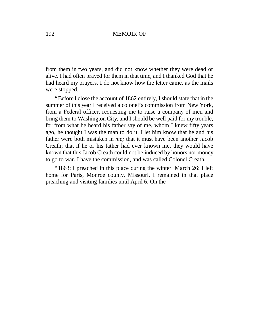from them in two years, and did not know whether they were dead or alive. I had often prayed for them in that time, and I thanked God that he had heard my prayers. I do not know how the letter came, as the mails were stopped.

"Before I close the account of 1862 entirely, I should state that in the summer of this year I received a colonel's commission from New York, from a Federal officer, requesting me to raise a company of men and bring them to Washington City, and I should be well paid for my trouble, for from what he heard his father say of me, whom I knew fifty years ago, he thought I was the man to do it. I let him know that he and his father were both mistaken in *me;* that it must have been another Jacob Creath; that if he or his father had ever known me, they would have known that this Jacob Creath could not be induced by honors nor money to go to war. I have the commission, and was called Colonel Creath.

"1863: I preached in this place during the winter. March 26: I left home for Paris, Monroe county, Missouri. I remained in that place preaching and visiting families until April 6. On the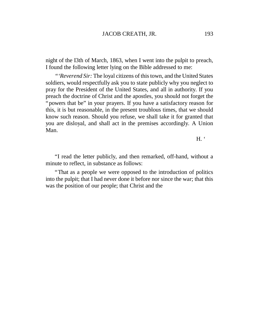night of the I3th of March, 1863, when I went into the pulpit to preach, I found the following letter lying on the Bible addressed to me:

*"'Reverend Sir:* The loyal citizens of thistown, and the United States soldiers, would respectfully ask you to state publicly why you neglect to pray for the President of the United States, and all in authority. If you preach the doctrine of Christ and the apostles, you should not forget the "powers that be" in your prayers. If you have a satisfactory reason for this, it is but reasonable, in the present troublous times, that we should know such reason. Should you refuse, we shall take it for granted that you are disloyal, and shall act in the premises accordingly. A Union Man.

 $H<sup>4</sup>$ 

"I read the letter publicly, and then remarked, off-hand, without a minute to reflect, in substance as follows:

"That as a people we were opposed to the introduction of politics into the pulpit; that I had never done it before nor since the war; that this was the position of our people; that Christ and the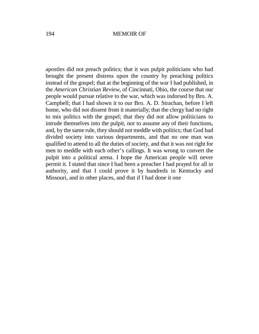apostles did not preach politics; that it was pulpit politicians who had brought the present distress upon the country by preaching politics instead of the gospel; that at the beginning of the war I had published, in the *American Christian Review,* of Cincinnati, Ohio, the course that our people would pursue relative to the war, which was indorsed by Bro. A. Campbell; that I had shown it to our Bro. A. D. Strachan, before I left home, who did not dissent from it materially; that the clergy had no right to mix politics with the gospel; that they did not allow politicians to intrude themselves into the pulpit, nor to assume any of their functions, and, by the same rule, they should not meddle with politics; that God had divided society into various departments, and that no one man was qualified to attend to all the duties of society, and that it was not right for men to meddle with each other's callings. It was wrong to convert the pulpit into a political arena. I hope the American people will never permit it. I stated that since I had been a preacher I had prayed for all in authority, and that I could prove it by hundreds in Kentucky and Missouri, and in other places, and that if I had done it one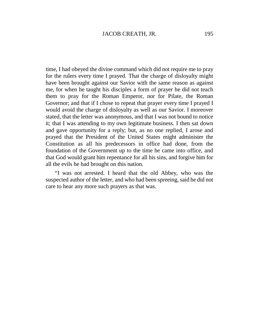time, I had obeyed the divine command which did not require me to pray for the rulers every time I prayed. That the charge of disloyalty might have been brought against our Savior with the same reason as against me, for when he taught his disciples a form of prayer he did not teach them to pray for the Roman Emperor, nor for Pilate, the Roman Governor; and that if I chose to repeat that prayer every time I prayed I would avoid the charge of disloyalty as well as our Savior. I moreover stated, that the letter was anonymous, and that I was not bound to notice it; that I was attending to my own legitimate business. I then sat down and gave opportunity for a reply; but, as no one replied, I arose and prayed that the President of the United States might administer the Constitution as all his predecessors in office had done, from the foundation of the Government up to the time he came into office, and that God would grant him repentance for all his sins, and forgive him for all the evils he had brought on this nation.

"I was not arrested. I heard that the old Abbey, who was the suspected author of the letter, and who had been spreeing, said he did not care to hear any more such prayers as that was.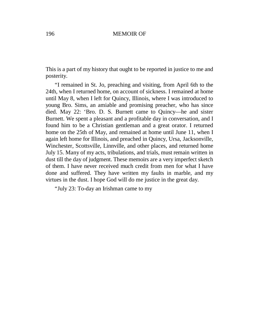This is a part of my history that ought to be reported in justice to me and posterity.

"I remained in St. Jo, preaching and visiting, from April 6th to the 24th, when I returned home, on account of sickness. I remained at home until May 8, when I left for Quincy, Illinois, where I was introduced to young Bro. Sims, an amiable and promising preacher, who has since died. May 22: 'Bro. D. S. Burnett came to Quincy— he and sister Burnett. We spent a pleasant and a profitable day in conversation, and I found him to be a Christian gentleman and a great orator. I returned home on the 25th of May, and remained at home until June 11, when I again left home for Illinois, and preached in Quincy, Ursa, Jacksonville, Winchester, Scottsville, Linnville, and other places, and returned home July 15. Many of my acts, tribulations, and trials, must remain written in dust till the day of judgment. These memoirs are a very imperfect sketch of them. I have never received much credit from men for what I have done and suffered. They have written my faults in marble, and my virtues in the dust. I hope God will do me justice in the great day.

"July 23: To-day an Irishman came to my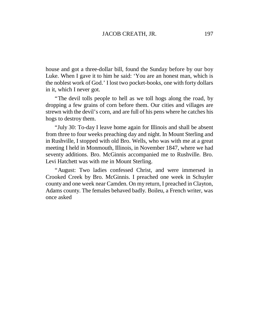house and got a three-dollar bill, found the Sunday before by our boy Luke. When I gave it to him he said: 'You are an honest man, which is the noblest work of God.'I lost two pocket-books, one with forty dollars in it, which I never got.

"The devil tolls people to hell as we toll hogs along the road, by dropping a few grains of corn before them. Our cities and villages are strewn with the devil's corn, and are full of his pens where he catches his hogs to destroy them.

"July 30: To-day I leave home again for Illinois and shall be absent from three to four weeks preaching day and night. In Mount Sterling and in Rushville, I stopped with old Bro. Wells, who was with me at a great meeting I held in Monmouth, Illinois, in November 1847, where we had seventy additions. Bro. McGinnis accompanied me to Rushville. Bro. Levi Hatchett was with me in Mount Sterling.

"August: Two ladies confessed Christ, and were immersed in Crooked Creek by Bro. McGinnis. I preached one week in Schuyler county and one week near Camden. On my return, I preached in Clayton, Adams county. The females behaved badly. Boileu, a French writer, was once asked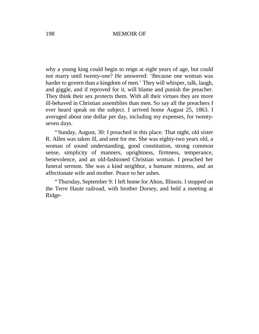why a young king could begin to reign at eight years of age, but could not marry until twenty-one? He answered: 'Because one woman was harder to govern than a kingdom of men.'They will whisper, talk, laugh, and giggle, and if reproved for it, will blame and punish the preacher. They think their sex protects them. With all their virtues they are more ill-behaved in Christian assemblies than men. So say all the preachers I ever heard speak on the subject. I arrived home August 25, 1863. I averaged about one dollar per day, including my expenses, for twentyseven days.

"Sunday, August, 30: I preached in this place. That night, old sister R. Allen was taken ill, and sent for me. She was eighty-two years old, a woman of sound understanding, good constitution, strong common sense, simplicity of manners, uprightness, firmness, temperance, benevolence, and an old-fashioned Christian woman. I preached her funeral sermon. She was a kind neighbor, a humane mistress, and an affectionate wife and mother. Peace to her ashes.

"Thursday, September 9: I left home for Alton, Illinois. I stopped on the Terre Haute railroad, with brother Dorsey, and held a meeting at Ridge-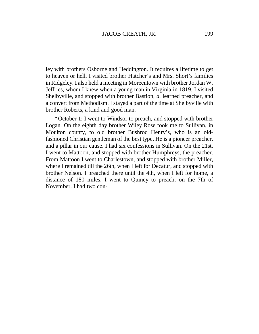ley with brothers Osborne and Heddington. It requires a lifetime to get to heaven or hell. I visited brother Hatcher's and Mrs. Short's families in Ridgeley. I also held a meeting in Moreentown with brother Jordan W. Jeffries, whom I knew when a young man in Virginia in 1819. I visited Shelbyville, and stopped with brother Bastion, *a.* learned preacher, and a convert from Methodism. I stayed a part of the time at Shelbyville with brother Roberts, a kind and good man.

"October 1: I went to Windsor to preach, and stopped with brother Logan. On the eighth day brother Wiley Rose took me to Sullivan, in Moulton county, to old brother Bushrod Henry's, who is an oldfashioned Christian gentleman of the best type. He is a pioneer preacher, and a pillar in our cause. I had six confessions in Sullivan. On the 21st, I went to Mattoon, and stopped with brother Humphreys, the preacher. From Mattoon I went to Charlestown, and stopped with brother Miller, where I remained till the 26th, when I left for Decatur, and stopped with brother Nelson. I preached there until the 4th, when I left for home, a distance of 180 miles. I went to Quincy to preach, on the 7th of November. I had two con-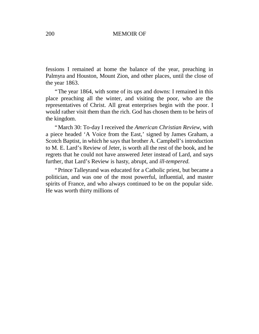fessions I remained at home the balance of the year, preaching in Palmyra and Houston, Mount Zion, and other places, until the close of the year 1863.

"The year 1864, with some of its ups and downs: I remained in this place preaching all the winter, and visiting the poor, who are the representatives of Christ. All great enterprises begin with the poor. I would rather visit them than the rich. God has chosen them to be heirs of the kingdom.

"March 30: To-day I received the *American Christian Review,* with a piece headed 'A Voice from the East,' signed by James Graham, a Scotch Baptist, in which he says that brother A. Campbell's introduction to M. E. Lard's Review of Jeter, is worth all the rest of the book, and he regrets that he could not have answered Jeter instead of Lard, and says further, that Lard's Review is hasty, abrupt, and *ill-tempered.*

"Prince Talleyrand was educated for a Catholic priest, but became a politician, and was one of the most powerful, influential, and master spirits of France, and who always continued to be on the popular side. He was worth thirty millions of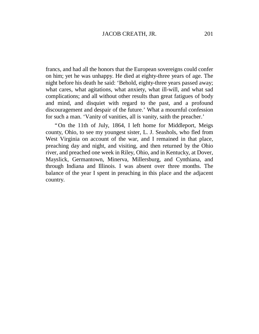francs, and had all the honors that the European sovereigns could confer on him; yet he was unhappy. He died at eighty-three years of age. The night before his death he said: 'Behold, eighty-three years passed away; what cares, what agitations, what anxiety, what ill-will, and what sad complications; and all without other results than great fatigues of body and mind, and disquiet with regard to the past, and a profound discouragement and despair of the future.' What a mournful confession for such a man. 'Vanity of vanities, all is vanity, saith the preacher.'

"On the 11th of July, 1864, I left home for Middleport, Meigs county, Ohio, to see my youngest sister, L. J. Seashols, who fled from West Virginia on account of the war, and I remained in that place, preaching day and night, and visiting, and then returned by the Ohio river, and preached one week in Riley, Ohio, and in Kentucky, at Dover, Mayslick, Germantown, Minerva, Millersburg, and Cynthiana, and through Indiana and Illinois. I was absent over three months. The balance of the year I spent in preaching in this place and the adjacent country.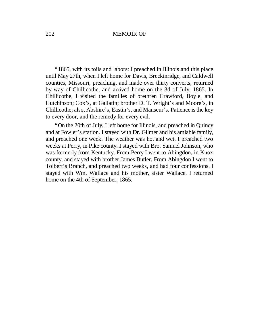"1865, with its toils and labors: I preached in Illinois and this place until May 27th, when I left home for Davis, Breckinridge, and Caldwell counties, Missouri, preaching, and made over thirty converts; returned by way of Chillicothe, and arrived home on the 3d of July, 1865. In Chillicothe, I visited the families of brethren Crawford, Boyle, and Hutchinson; Cox's, at Gallatin; brother D. T. Wright's and Moore's, in Chillicothe; also, Abshire's, Eastin's, and Manseur's. Patience isthe key to every door, and the remedy for every evil.

"On the 20th of July, I left home for Illinois, and preached in Quincy and at Fowler's station. I stayed with Dr. Gilmer and his amiable family, and preached one week. The weather was hot and wet. I preached two weeks at Perry, in Pike county. I stayed with Bro. Samuel Johnson, who was formerly from Kentucky. From Perry I went to Abingdon, in Knox county, and stayed with brother James Butler. From Abingdon I went to Tolbert's Branch, and preached two weeks, and had four confessions. I stayed with Wm. Wallace and his mother, sister Wallace. I returned home on the 4th of September, 1865.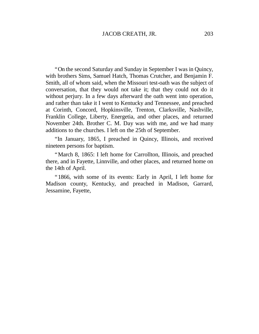"On the second Saturday and Sunday in September I was in Quincy, with brothers Sims, Samuel Hatch, Thomas Crutcher, and Benjamin F. Smith, all of whom said, when the Missouri test-oath was the subject of conversation, that they would not take it; that they could not do it without perjury. In a few days afterward the oath went into operation, and rather than take it I went to Kentucky and Tennessee, and preached at Corinth, Concord, Hopkinsville, Trenton, Clarksville, Nashville, Franklin College, Liberty, Energetia, and other places, and returned November 24th. Brother C. M. Day was with me, and we had many additions to the churches. I left on the 25th of September.

"In January, 1865, I preached in Quincy, Illinois, and received nineteen persons for baptism.

"March 8, 1865: I left home for Carrollton, Illinois, and preached there, and in Fayette, Linnville, and other places, and returned home on the 14th of April.

"1866, with some of its events: Early in April, I left home for Madison county, Kentucky, and preached in Madison, Garrard, Jessamine, Fayette,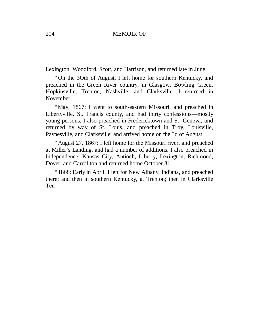Lexington, Woodford, Scott, and Harrison, and returned late in June.

"On the 3Oth of August, I left home for southern Kentucky, and preached in the Green River country, in Glasgow, Bowling Green, Hopkinsville, Trenton, Nashville, and Clarksville. I returned in November.

"May, 1867: I went to south-eastern Missouri, and preached in Libertyville, St. Francis county, and had thirty confessions— mostly young persons. I also preached in Fredericktown and St. Geneva, and returned by way of St. Louis, and preached in Troy, Louisville, Paynesville, and Clarksville, and arrived home on the 3d of August.

"August 27, 1867: I left home for the Missouri river, and preached at Miller's Landing, and had a number of additions. I also preached in Independence, Kansas City, Antioch, Liberty, Lexington, Richmond, Dover, and Carrollton and returned home October 31.

"1868: Early in April, I left for New Albany, Indiana, and preached there; and then in southern Kentucky, at Trenton; then in Clarksville Ten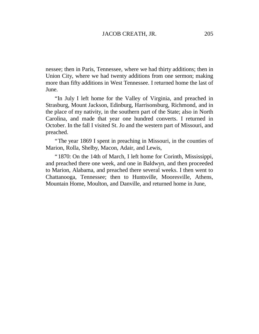nessee; then in Paris, Tennessee, where we had thirty additions; then in Union City, where we had twenty additions from one sermon; making more than fifty additions in West Tennessee. I returned home the last of June.

"In July I left home for the Valley of Virginia, and preached in Strasburg, Mount Jackson, Edinburg, Harrisonsburg, Richmond, and in the place of my nativity, in the southern part of the State; also in North Carolina, and made that year one hundred converts. I returned in October. In the fall I visited St. Jo and the western part of Missouri, and preached.

"The year 1869 I spent in preaching in Missouri, in the counties of Marion, Rolla, Shelby, Macon, Adair, and Lewis,

"1870: On the 14th of March, I left home for Corinth, Mississippi, and preached there one week, and one in Baldwyn, and then proceeded to Marion, Alabama, and preached there several weeks. I then went to Chattanooga, Tennessee; then to Huntsville, Mooresville, Athens, Mountain Home, Moulton, and Danville, and returned home in June,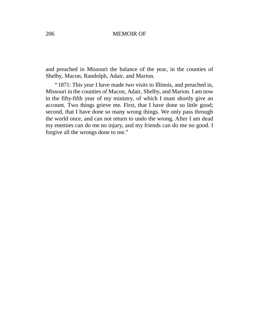and preached in Missouri the balance of the year, in the counties of Shelby, Macon, Randolph, Adair, and Marion.

"1871: This year I have made two visits to Illinois, and preached in, Missouri in the counties of Macon, Adair, Shelby, and Marion. I am now in the fifty-fifth year of my ministry, of which I must shortly give an account. Two things grieve me. First, that I have done so little good; second, that I have done so many wrong things. We only pass through the world once, and can not return to undo the wrong. After I am dead my enemies can do me no injury, and my friends can do me no good. I forgive all the wrongs done to me."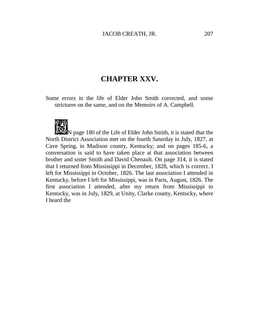# **CHAPTER XXV.**

Some errors in the life of Elder John Smith corrected, and some strictures on the same, and on the Memoirs of A. Campbell.



 $\sum_{n=1}^{\infty} N$  page 180 of the Life of Elder John Smith, it is stated that the North District Association met on the fourth Saturday in July, 1827, at Cave Spring, in Madison county, Kentucky; and on pages 185-6, a conversation is said to have taken place at that association between brother and sister Smith and David Chenault. On page 314, it is stated that I returned from Mississippi in December, 1828, which is correct. I left for Mississippi in October, 1826. The last association I attended in Kentucky, before I left for Mississippi, was in Paris, August, 1826. The first association I attended, after my return from Mississippi to Kentucky, was in July, 1829, at Unity, Clarke county, Kentucky, where I heard the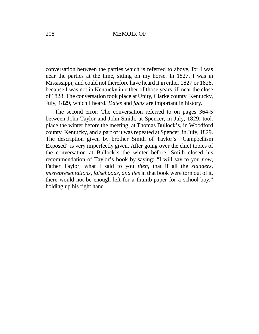conversation between the parties which is referred to above, for I was near the parties at the time, sitting on my horse. In 1827, I was in Mississippi, and could not therefore have heard it in either 1827 or 1828, because I was not in Kentucky in either of those years till near the close of 1828. The conversation took place at Unity, Clarke county, Kentucky, July, 1829, which I heard. *Dates* and *facts* are important in history.

The second error: The conversation referred to on pages 364-5 between John Taylor and John Smith, at Spencer, in July, 1829, took place the winter before the meeting, at Thomas Bullock's, in Woodford county, Kentucky, and a part of it was repeated at Spencer, in July, 1829. The description given by brother Smith of Taylor's "Campbellism Exposed" is very imperfectly given. After going over the chief topics of the conversation at Bullock's the winter before, Smith closed his recommendation of Taylor's book by saying: "I will say to you *now,* Father Taylor, what I said to you *then,* that if all the *slanders, misrepresentations, falsehoods, and lies* in that book were torn out of it, there would not be enough left for a thumb-paper for a school-boy," holding up his right hand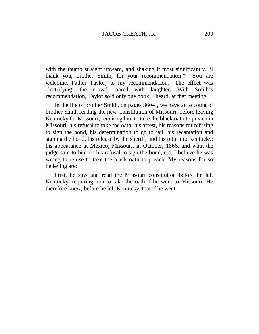with the thumb straight upward, and shaking it most significantly. "I thank you, brother Smith, for your recommendation." "You are welcome, Father Taylor, to my recommendation." The effect was electrifying; the crowd roared with laughter. With Smith's recommendation, Taylor sold only one book, I heard, at that meeting.

In the life of brother Smith, on pages 360-4, we have an account of brother Smith reading the new Constitution of Missouri, before leaving Kentucky for Missouri, requiring him to take the black oath to preach in Missouri, his refusal to take the oath, his arrest, his reasons for refusing to sign the bond, his determination to go to jail, his recantation and signing the bond, his release by the sheriff, and his return to Kentucky; his appearance at Mexico, Missouri, in October, 1866, and what the judge said to him on his refusal to sign the bond, etc. I believe he was wrong to refuse to take the black oath to preach. My reasons for so believing are:

First, he saw and read the Missouri constitution before he left Kentucky, requiring him to take the oath if he went to Missouri. He therefore knew, before he left Kentucky, that if he went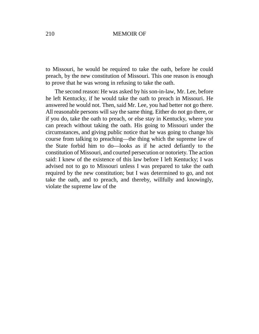to Missouri, he would be required to take the oath, before he could preach, by the new constitution of Missouri. This one reason is enough to prove that he was wrong in refusing to take the oath.

The second reason: He was asked by his son-in-law, Mr. Lee, before he left Kentucky, if he would take the oath to preach in Missouri. He answered he would not. Then, said Mr. Lee, you had better not go there. All reasonable persons will say the same thing. Either do not go there, or if you do, take the oath to preach, or else stay in Kentucky, where you can preach without taking the oath. His going to Missouri under the circumstances, and giving public notice that he was going to change his course from talking to preaching— the thing which the supreme law of the State forbid him to do— looks as if he acted defiantly to the constitution of Missouri, and courted persecution or notoriety. The action said: I knew of the existence of this law before I left Kentucky; I was advised not to go to Missouri unless I was prepared to take the oath required by the new constitution; but I was determined to go, and not take the oath, and to preach, and thereby, willfully and knowingly, violate the supreme law of the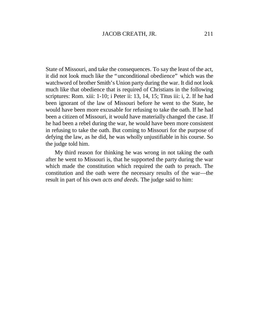State of Missouri, and take the consequences. To say the least of the act, it did not look much like the "unconditional obedience" which was the watchword of brother Smith's Union party during the war. It did not look much like that obedience that is required of Christians in the following scriptures: Rom. xiii: 1-10; i Peter ii: 13, 14, 15; Titus iii: i, 2. If he had been ignorant of the law of Missouri before he went to the State, he would have been more excusable for refusing to take the oath. If he had been a citizen of Missouri, it would have materially changed the case. If he had been a rebel during the war, he would have been more consistent in refusing to take the oath. But coming to Missouri for the purpose of defying the law, as he did, he was wholly unjustifiable in his course. So the judge told him.

My third reason for thinking he was wrong in not taking the oath after he went to Missouri is, that he supported the party during the war which made the constitution which required the oath to preach. The constitution and the oath were the necessary results of the war— the result in part of his own *acts and deeds.* The judge said to him: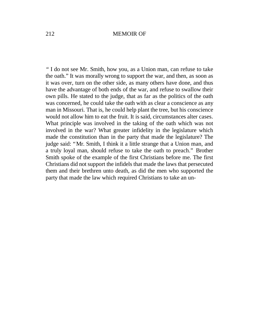*"*I do not see Mr. Smith, how you, as a Union man, can refuse to take the oath."It was morally wrong to support the war, and then, as soon as it was over, turn on the other side, as many others have done, and thus have the advantage of both ends of the war, and refuse to swallow their own pills. He stated to the judge, that as far as the politics of the oath was concerned, he could take the oath with as clear a conscience as any man in Missouri. That is, he could help plant the tree, but his conscience would not allow him to eat the fruit. It is said, circumstances alter cases. What principle was involved in the taking of the oath which was not involved in the war? What greater infidelity in the legislature which made the constitution than in the party that made the legislature? The judge said: "Mr. Smith, I think it a little strange that a Union man, and a truly loyal man, should refuse to take the oath to preach." Brother Smith spoke of the example of the first Christians before me. The first Christians did not support the infidels that made the laws that persecuted them and their brethren unto death, as did the men who supported the party that made the law which required Christians to take an un-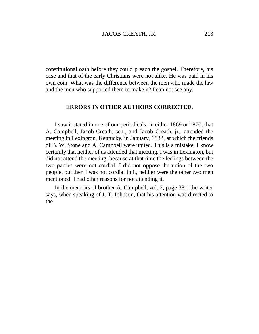constitutional oath before they could preach the gospel. Therefore, his case and that of the early Christians were not alike. He was paid in his own coin. What was the difference between the men who made the law and the men who supported them to make it? I can not see any.

# **ERRORS IN OTHER AUTHORS CORRECTED.**

I saw it stated in one of our periodicals, in either 1869 or 1870, that A. Campbell, Jacob Creath, sen., and Jacob Creath, jr., attended the meeting in Lexington, Kentucky, in January, 1832, at which the friends of B. W. Stone and A. Campbell were united. This is a mistake. I know certainly that neither of us attended that meeting. I was in Lexington, but did not attend the meeting, because at that time the feelings between the two parties were not cordial. I did not oppose the union of the two people, but then I was not cordial in it, neither were the other two men mentioned. I had other reasons for not attending it.

In the memoirs of brother A. Campbell, vol. 2, page 381, the writer says, when speaking of J. T. Johnson, that his attention was directed to the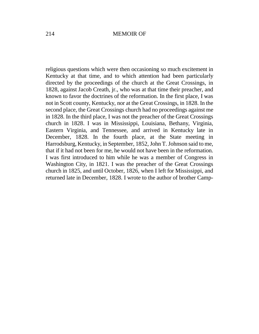religious questions which were then occasioning so much excitement in Kentucky at that time, and to which attention had been particularly directed by the proceedings of the church at the Great Crossings, in 1828, against Jacob Creath, jr., who was at that time their preacher, and known to favor the doctrines of the reformation. In the first place, I was not in Scott county, Kentucky, nor at the Great Crossings, in 1828. In the second place, the Great Crossings church had no proceedings against me in 1828. In the third place, I was not the preacher of the Great Crossings church in 1828. I was in Mississippi, Louisiana, Bethany, Virginia, Eastern Virginia, and Tennessee, and arrived in Kentucky late in December, 1828. In the fourth place, at the State meeting in Harrodsburg, Kentucky, in September, 1852, John T. Johnson said to me, that if it had not been for me, he would not have been in the reformation. I was first introduced to him while he was a member of Congress in Washington City, in 1821. I was the preacher of the Great Crossings church in 1825, and until October, 1826, when I left for Mississippi, and returned late in December, 1828. I wrote to the author of brother Camp-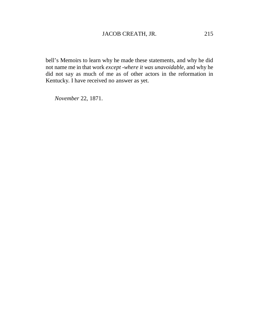bell's Memoirs to learn why he made these statements, and why he did not name me in that work *except -where it was unavoidable,* and why he did not say as much of me as of other actors in the reformation in Kentucky. I have received no answer as yet.

*November* 22, 1871.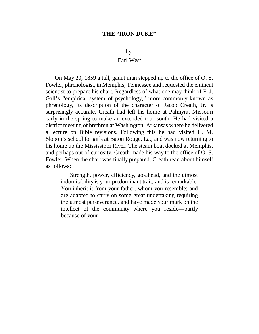#### **THE "IRON DUKE"**

#### by

## Earl West

On May 20, 1859 a tall, gaunt man stepped up to the office of O. S. Fowler, phrenologist, in Memphis, Tennessee and requested the eminent scientist to prepare his chart. Regardless of what one may think of F. J. Gall's "empirical system of psychology," more commonly known as phrenology, its description of the character of Jacob Creath, Jr. is surprisingly accurate. Creath had left his home at Palmyra, Missouri early in the spring to make an extended tour south. He had visited a district meeting of brethren at Washington, Arkansas where he delivered a lecture on Bible revisions. Following this he had visited H. M. Slopon's school for girls at Baton Rouge, La., and was now returning to his home up the Mississippi River. The steam boat docked at Memphis, and perhaps out of curiosity, Creath made his way to the office of O. S. Fowler. When the chart was finally prepared, Creath read about himself as follows:

Strength, power, efficiency, go-ahead, and the utmost indomitability is your predominant trait, and is remarkable. You inherit it from your father, whom you resemble; and are adapted to carry on some great undertaking requiring the utmost perseverance, and have made your mark on the intellect of the community where you reside— partly because of your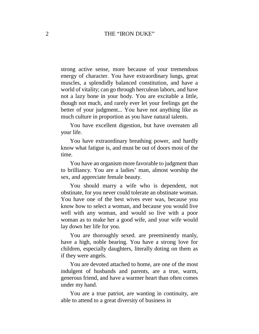## 2 THE "IRON DUKE"

strong active sense, more because of your tremendous energy of character. You have extraordinary lungs, great muscles, a splendidly balanced constitution, and have a world of vitality; can go through herculean labors, and have not a lazy bone in your body. You are excitable a little, though not much, and rarely ever let your feelings get the better of your judgment... You have not anything like as much culture in proportion as you have natural talents.

You have excellent digestion, but have overeaten all your life.

You have extraordinary breathing power, and hardly know what fatigue is, and must be out of doors most of the time.

You have an organism more favorable to judgment than to brilliancy. You are a ladies' man, almost worship the sex, and appreciate female beauty.

You should marry a wife who is dependent, not obstinate, for you never could tolerate an obstinate woman. You have one of the best wives ever was, because you know how to select a woman, and because you would live well with any woman, and would so live with a poor woman as to make her a good wife, and your wife would lay down her life for you.

You are thoroughly sexed. are preeminently manly, have a high, noble bearing. You have a strong love for children, especially daughters, literally doting on them as if they were angels.

You are devoted attached to home, are one of the most indulgent of husbands and parents, are a true, warm, generous friend, and have a warmer heart than often comes under my hand.

You are a true patriot, are wanting in continuity, are able to attend to a great diversity of business in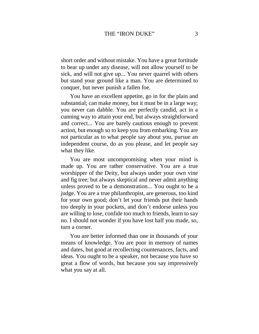short order and without mistake. You have a great fortitude to bear up under any disease, will not allow yourself to be sick, and will not give up... You never quarrel with others but stand your ground like a man. You are determined to conquer, but never punish a fallen foe.

You have an excellent appetite, go in for the plain and substantial; can make money, but it must be in a large way; you never can dabble. You are perfectly candid, act in a cunning way to attain your end, but always straightforward and correct... You are barely cautious enough to prevent action, but enough so to keep you from embarking. You are not particular as to what people say about you, pursue an independent course, do as you please, and let people say what they like.

You are most uncompromising when your mind is made up. You are rather conservative. You are a true worshipper of the Deity, but always under your own vine and fig tree; but always skeptical and never admit anything unless proved to be a demonstration... You ought to be a judge. You are a true philanthropist, are generous, too kind for your own good; don't let your friends put their hands too deeply in your pockets, and don't endorse unless you are willing to lose, confide too much to friends, learn to say no. I should not wonder if you have lost half you made, so, turn a corner.

You are better informed than one in thousands of your means of knowledge. You are poor in memory of names and dates, but good at recollecting countenances, facts, and ideas. You ought to be a speaker, not because you have so great a flow of words, but because you say impressively what you say at all.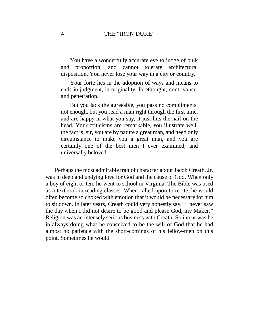You have a wonderfully accurate eye to judge of bulk and proportion, and cannot tolerate architectural disposition. You never lose your way in a city or country.

Your forte lies in the adoption of ways and means to ends in judgment, in originality, forethought, contrivance, and penetration.

But you lack the agreeable, you pass no compliments, not enough, but you read a man right through the first time, and are happy in what you say; it just hits the nail on the head. Your criticisms are remarkable, you illustrate well; the fact is, sir, you are by nature a great man, and need only circumstance to make you a great man, and you are certainly one of the best men I ever examined, and universally beloved.

Perhaps the most admirable trait of character about Jacob Creath, Jr. was in deep and undying love for God and the cause of God. When only a boy of eight or ten, he went to school in Virginia. The Bible was used as a textbook in reading classes. When called upon to recite, he would often become so choked with emotion that it would be necessary for him to sit down. In later years, Creath could very honestly say, "I never saw the day when I did not desire to be good and please God, my Maker." Religion was an intensely serious business with Creath. So intent was he in always doing what he conceived to be the will of God that he had almost no patience with the short-comings of his fellow-men on this point. Sometimes he would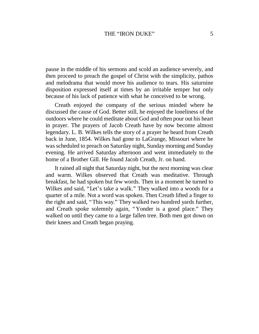pause in the middle of his sermons and scold an audience severely, and then proceed to preach the gospel of Christ with the simplicity, pathos and melodrama that would move his audience to tears. His saturnine disposition expressed itself at times by an irritable temper but only because of his lack of patience with what he conceived to be wrong.

Creath enjoyed the company of the serious minded where he discussed the cause of God. Better still, he enjoyed the loneliness of the outdoors where he could meditate about God and often pour out his heart in prayer. The prayers of Jacob Creath have by now become almost legendary. L. B. Wilkes tells the story of a prayer he heard from Creath back in June, 1854. Wilkes had gone to LaGrange, Missouri where he was scheduled to preach on Saturday night, Sunday morning and Sunday evening. He arrived Saturday afternoon and went immediately to the home of a Brother Gill. He found Jacob Creath, Jr. on hand.

It rained all night that Saturday night, but the next morning was clear and warm. Wilkes observed that Creath was meditative. Through breakfast, he had spoken but few words. Then in a moment he turned to Wilkes and said, "Let's take a walk." They walked into a woods for a quarter of a mile. Not a word was spoken. Then Creath lifted a finger to the right and said, "This way." They walked two hundred yards further, and Creath spoke solemnly again, "Yonder is a good place." They walked on until they came to a large fallen tree. Both men got down on their knees and Creath began praying.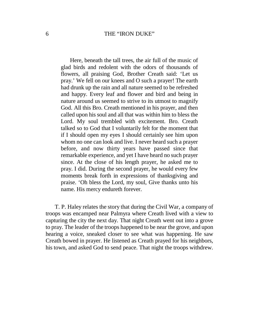#### 6 THE "IRON DUKE"

Here, beneath the tall trees, the air full of the music of glad birds and redolent with the odors of thousands of flowers, all praising God, Brother Creath said: 'Let us pray.'We fell on our knees and O such a prayer! The earth had drunk up the rain and all nature seemed to be refreshed and happy. Every leaf and flower and bird and being in nature around us seemed to strive to its utmost to magnify God. All this Bro. Creath mentioned in his prayer, and then called upon his soul and all that was within him to bless the Lord. My soul trembled with excitement. Bro. Creath talked so to God that I voluntarily felt for the moment that if I should open my eyes I should certainly see him upon whom no one can look and live. I never heard such a prayer before, and now thirty years have passed since that remarkable experience, and yet I have heard no such prayer since. At the close of his length prayer, he asked me to pray. I did. During the second prayer, he would every few moments break forth in expressions of thanksgiving and praise. 'Oh bless the Lord, my soul, Give thanks unto his name. His mercy endureth forever.

T. P. Haley relates the story that during the Civil War, a company of troops was encamped near Palmyra where Creath lived with a view to capturing the city the next day. That night Creath went out into a grove to pray. The leader of the troops happened to be near the grove, and upon hearing a voice, sneaked closer to see what was happening. He saw Creath bowed in prayer. He listened as Creath prayed for his neighbors, his town, and asked God to send peace. That night the troops withdrew.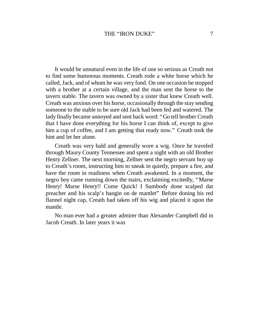It would be unnatural even in the life of one so serious as Creath not to find some humorous moments. Creath rode a white horse which he called, Jack, and of whom he was very fond. On one occasion he stopped with a brother at a certain village, and the man sent the horse to the tavern stable. The tavern was owned by a sister that knew Creath well. Creath was anxious over his horse, occasionally through the stay sending someone to the stable to be sure old Jack had been fed and watered. The lady finally became annoyed and sent back word: "Go tell brother Creath that I have done everything for his horse I can think of, except to give him a cup of coffee, and I am getting that ready now." Creath took the hint and let her alone.

Creath was very bald and generally wore a wig. Once he traveled through Maury County Tennessee and spent a night with an old Brother Henry Zellner. The next morning, Zellner sent the negro servant boy up to Creath's room, instructing him to sneak in quietly, prepare a fire, and have the room in readiness when Creath awakened. In a moment, the negro boy came running down the stairs, exclaiming excitedly, "Marse Henry! Marse Henry!! Come Quick! I Sumbody done scalped dat preacher and his scalp's hangin on de mantlet" Before doning his red flannel night cap, Creath had taken off his wig and placed it upon the mantle.

No man ever had a greater admirer than Alexander Campbell did in Jacob Creath. In later years it was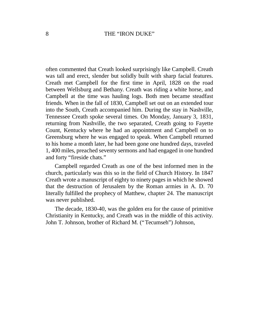often commented that Creath looked surprisingly like Campbell. Creath was tall and erect, slender but solidly built with sharp facial features. Creath met Campbell for the first time in April, 1828 on the road between Wellsburg and Bethany. Creath was riding a white horse, and Campbell at the time was hauling logs. Both men became steadfast friends. When in the fall of 1830, Campbell set out on an extended tour into the South, Creath accompanied him. During the stay in Nashville, Tennessee Creath spoke several times. On Monday, January 3, 1831, returning from Nashville, the two separated, Creath going to Fayette Count, Kentucky where he had an appointment and Campbell on to Greensburg where he was engaged to speak. When Campbell returned to his home a month later, he had been gone one hundred days, traveled 1, 400 miles, preached seventy sermons and had engaged in one hundred and forty "fireside chats."

Campbell regarded Creath as one of the best informed men in the church, particularly was this so in the field of Church History. In 1847 Creath wrote a manuscript of eighty to ninety pages in which he showed that the destruction of Jerusalem by the Roman armies in A. D. 70 literally fulfilled the prophecy of Matthew, chapter 24. The manuscript was never published.

The decade, 1830-40, was the golden era for the cause of primitive Christianity in Kentucky, and Creath was in the middle of this activity. John T. Johnson, brother of Richard M. ("Tecumseh") Johnson,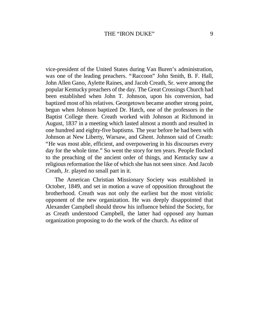vice-president of the United States during Van Buren's administration, was one of the leading preachers. "Raccoon" John Smith, B. F. Hall, John Allen Gano, Aylette Raines, and Jacob Creath, Sr. were among the popular Kentucky preachers of the day. The Great Crossings Church had been established when John T. Johnson, upon his conversion, had baptized most of his relatives. Georgetown became another strong point, begun when Johnson baptized Dr. Hatch, one of the professors in the Baptist College there. Creath worked with Johnson at Richmond in August, 1837 in a meeting which lasted almost a month and resulted in one hundred and eighty-five baptisms. The year before he had been with Johnson at New Liberty, Warsaw, and Ghent. Johnson said of Creath: "He was most able, efficient, and overpowering in his discourses every day for the whole time." So went the story for ten years. People flocked to the preaching of the ancient order of things, and Kentucky saw a religious reformation the like of which she has not seen since. And Jacob Creath, Jr. played no small part in it.

The American Christian Missionary Society was established in October, 1849, and set in motion a wave of opposition throughout the brotherhood. Creath was not only the earliest but the most vitriolic opponent of the new organization. He was deeply disappointed that Alexander Campbell should throw his influence behind the Society, for as Creath understood Campbell, the latter had opposed any human organization proposing to do the work of the church. As editor of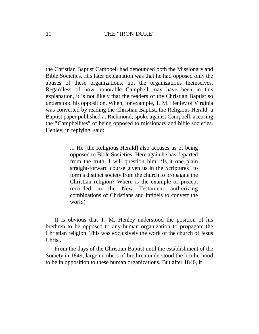the Christian Baptist Campbell had denounced both the Missionary and Bible Societies. His later explanation was that he had opposed only the abuses of these organizations, not the organizations themselves. Regardless of how honorable Campbell may have been in this explanation, it is not likely that the readers of the Christian Baptist so understood his opposition. When, for example, T. M. Henley of Virginia was converted by reading the Christian Baptist, the Religious Herald, a Baptist paper published at Richmond, spoke against Campbell, accusing the "Campbellites" of being opposed to missionary and bible societies. Henley, in replying, said:

> ... He [the Religious Herald] also accuses us of being opposed to Bible Societies. Here again he has departed from the truth. I will question him: 'Is it one plain straight-forward course given us in the Scriptures' to form a distinct society from the church to propagate the Christian religion? Where is the example or precept recorded in the New Testament authorizing combinations of Christians and infidels to convert the world)

It is obvious that T. M. Henley understood the position of his brethren to be opposed to any human organization to propagate the Christian religion. This was exclusively the work of the church of Jesus Christ.

From the days of the Christian Baptist until the establishment of the Society in 1849, large numbers of brethren understood the brotherhood to be in opposition to these human organizations. But after 1840, it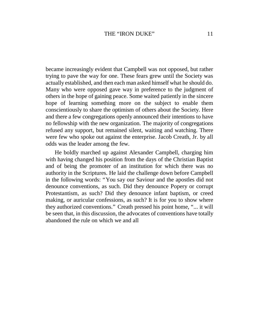became increasingly evident that Campbell was not opposed, but rather trying to pave the way for one. These fears grew until the Society was actually established, and then each man asked himself what he should do. Many who were opposed gave way in preference to the judgment of others in the hope of gaining peace. Some waited patiently in the sincere hope of learning something more on the subject to enable them conscientiously to share the optimism of others about the Society. Here and there a few congregations openly announced their intentions to have no fellowship with the new organization. The majority of congregations refused any support, but remained silent, waiting and watching. There were few who spoke out against the enterprise. Jacob Creath, Jr. by all odds was the leader among the few.

He boldly marched up against Alexander Campbell, charging him with having changed his position from the days of the Christian Baptist and of being the promoter of an institution for which there was no authority in the Scriptures. He laid the challenge down before Campbell in the following words: "You say our Saviour and the apostles did not denounce conventions, as such. Did they denounce Popery or corrupt Protestantism, as such? Did they denounce infant baptism, or creed making, or auricular confessions, as such? It is for you to show where they authorized conventions." Creath pressed his point home, "... it will be seen that, in this discussion, the advocates of conventions have totally abandoned the rule on which we and all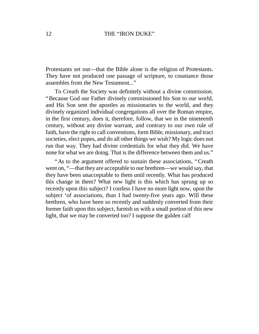## 12 THE "IRON DUKE"

Protestants set out— that the Bible alone is the religion of Protestants. They have not produced one passage of scripture, to countance those assembles from the New Testament..."

To Creath the Society was definitely without a divine commission. "Because God our Father divinely commissioned his Son to our world, and His Son sent the apostles as missionaries to the world, and they divinely organized individual congregations all over the Roman empire, in the first century, does it, therefore, follow, that we in the nineteenth century, without any divine warrant, and contrary to our own rule of faith, have the right to call conventions, form Bible, missionary, and tract societies, elect popes, and do all other things we wish? My logic does not run that way. They had divine credentials for what they did. We have none for what we are doing. That is the difference between them and us."

"As to the argument offered to sustain these associations, "Creath went on, "— that they are acceptable to our brethren— we would say, that they have been unacceptable to them until recently. What has produced this change in them? What new light is this which has sprung up so recently upon this subject? I confess I have no more light now, upon the subject 'of associations, than I had twenty-five years ago. Will these brethren, who have been so recently and suddenly converted from their former faith upon this subject, furnish us with a small portion of this new light, that we may be converted too? I suppose the gulden calf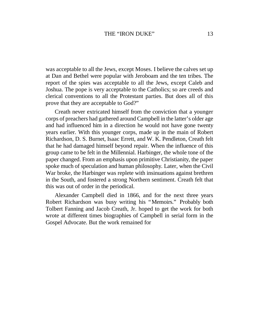was acceptable to all the Jews, except Moses. I believe the calves set up at Dan and Bethel were popular with Jeroboam and the ten tribes. The report of the spies was acceptable to all the Jews, except Caleb and Joshua. The pope is very acceptable to the Catholics; so are creeds and clerical conventions to all the Protestant parties. But does all of this prove that they are acceptable to God?"

Creath never extricated himself from the conviction that a younger corps of preachers had gathered around Campbell in the latter's older age and had influenced him in a direction he would not have gone twenty years earlier. With this younger corps, made up in the main of Robert Richardson, D. S. Burnet, Isaac Errett, and W. K. Pendleton, Creath felt that he had damaged himself beyond repair. When the influence of this group came to be felt in the Millennial. Harbinger, the whole tone of the paper changed. From an emphasis upon primitive Christianity, the paper spoke much of speculation and human philosophy. Later, when the Civil War broke, the Harbinger was replete with insinuations against brethren in the South, and fostered a strong Northern sentiment. Creath felt that this was out of order in the periodical.

Alexander Campbell died in 1866, and for the next three years Robert Richardson was busy writing his "Memoirs." Probably both Tolbert Fanning and Jacob Creath, Jr. hoped to get the work for both wrote at different times biographies of Campbell in serial form in the Gospel Advocate. But the work remained for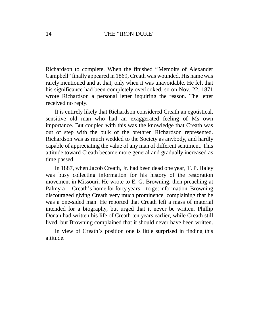Richardson to complete. When the finished "Memoirs of Alexander Campbell" finally appeared in 1869, Creath was wounded. His name was rarely mentioned and at that, only when it was unavoidable. He felt that his significance had been completely overlooked, so on Nov. 22, 1871 wrote Richardson a personal letter inquiring the reason. The letter received no reply.

It is entirely likely that Richardson considered Creath an egotistical, sensitive old man who had an exaggerated feeling of Ms own importance. But coupled with this was the knowledge that Creath was out of step with the bulk of the brethren Richardson represented. Richardson was as much wedded to the Society as anybody, and hardly capable of appreciating the value of any man of different sentiment. This attitude toward Creath became more general and gradually increased as time passed.

In 1887, when Jacob Creath, Jr. had been dead one year, T. P. Haley was busy collecting information for his history of the restoration movement in Missouri. He wrote to E. G. Browning, then preaching at Palmyra — Creath's home for forty years— to get information. Browning discouraged giving Creath very much prominence, complaining that he was a one-sided man. He reported that Creath left a mass of material intended for a biography, but urged that it never be written. Phillip Donan had written his life of Creath ten years earlier, while Creath still lived, but Browning complained that it should never have been written.

In view of Creath's position one is little surprised in finding this attitude.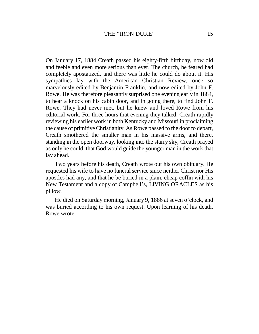On January 17, 1884 Creath passed his eighty-fifth birthday, now old and feeble and even more serious than ever. The church, he feared had completely apostatized, and there was little he could do about it. His sympathies lay with the American Christian Review, once so marvelously edited by Benjamin Franklin, and now edited by John F. Rowe. He was therefore pleasantly surprised one evening early in 1884, to hear a knock on his cabin door, and in going there, to find John F. Rowe. They had never met, but he knew and loved Rowe from his editorial work. For three hours that evening they talked, Creath rapidly reviewing his earlier work in both Kentucky and Missouri in proclaiming the cause of primitive Christianity. As Rowe passed to the door to depart, Creath smothered the smaller man in his massive arms, and there, standing in the open doorway, looking into the starry sky, Creath prayed as only he could, that God would guide the younger man in the work that lay ahead.

Two years before his death, Creath wrote out his own obituary. He requested his wife to have no funeral service since neither Christ nor His apostles had any, and that he be buried in a plain, cheap coffin with his New Testament and a copy of Campbell's, LIVING ORACLES as his pillow.

He died on Saturday morning, January 9, 1886 at seven o'clock, and was buried according to his own request. Upon learning of his death, Rowe wrote: